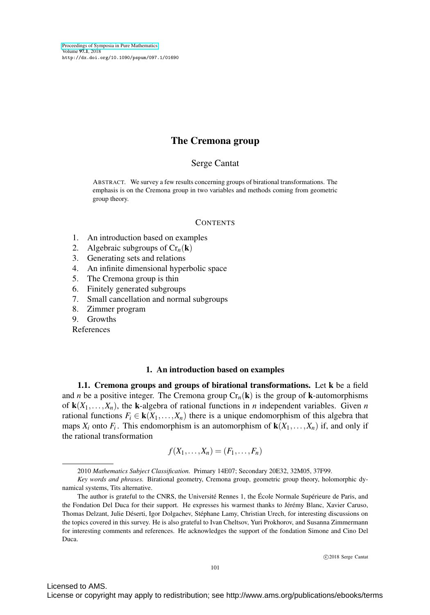# The Cremona group

#### Serge Cantat

ABSTRACT. We survey a few results concerning groups of birational transformations. The emphasis is on the Cremona group in two variables and methods coming from geometric group theory.

#### **CONTENTS**

- 1. An introduction based on examples
- 2. Algebraic subgroups of  $Cr_n(\mathbf{k})$
- 3. Generating sets and relations
- 4. An infinite dimensional hyperbolic space
- 5. The Cremona group is thin
- 6. Finitely generated subgroups
- 7. Small cancellation and normal subgroups
- 8. Zimmer program
- 9. Growths

References

## 1. An introduction based on examples

<span id="page-0-0"></span>1.1. Cremona groups and groups of birational transformations. Let k be a field and *n* be a positive integer. The Cremona group  $Cr_n(k)$  is the group of k-automorphisms of  $\mathbf{k}(X_1,\ldots,X_n)$ , the **k**-algebra of rational functions in *n* independent variables. Given *n* rational functions  $F_i \in \mathbf{k}(X_1,\ldots,X_n)$  there is a unique endomorphism of this algebra that maps  $X_i$  onto  $F_i$ . This endomorphism is an automorphism of  $\mathbf{k}(X_1,\ldots,X_n)$  if, and only if the rational transformation

$$
f(X_1,\ldots,X_n)=(F_1,\ldots,F_n)
$$

Licensed to AMS.

<sup>2010</sup> *Mathematics Subject Classification.* Primary 14E07; Secondary 20E32, 32M05, 37F99.

*Key words and phrases.* Birational geometry, Cremona group, geometric group theory, holomorphic dynamical systems, Tits alternative.

The author is grateful to the CNRS, the Université Rennes 1, the École Normale Supérieure de Paris, and the Fondation Del Duca for their support. He expresses his warmest thanks to Jérémy Blanc, Xavier Caruso, Thomas Delzant, Julie Déserti, Igor Dolgachev, Stéphane Lamy, Christian Urech, for interesting discussions on the topics covered in this survey. He is also grateful to Ivan Cheltsov, Yuri Prokhorov, and Susanna Zimmermann for interesting comments and references. He acknowledges the support of the fondation Simone and Cino Del Duca.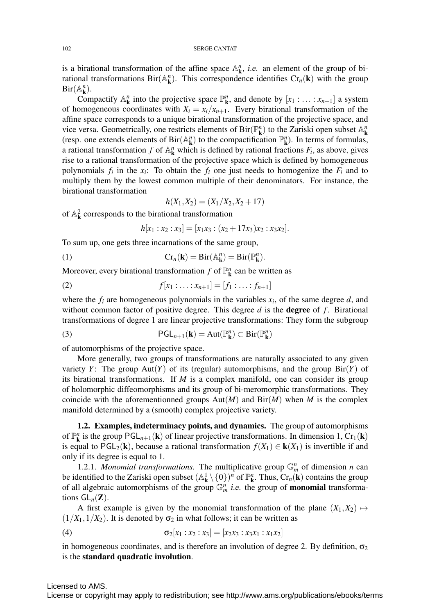is a birational transformation of the affine space  $\mathbb{A}^n_k$ , *i.e.* an element of the group of birational transformations  $\text{Bir}(\mathbb{A}_{\mathbf{k}}^n)$ . This correspondence identifies  $\text{Cr}_n(\mathbf{k})$  with the group  $\text{Bir}(\mathbb{A}_{\mathbf{k}}^n)$ .

Compactify  $\mathbb{A}^n_k$  into the projective space  $\mathbb{P}^n_k$ , and denote by  $[x_1 : \dots : x_{n+1}]$  a system of homogeneous coordinates with  $X_i = x_i/x_{n+1}$ . Every birational transformation of the affine space corresponds to a unique birational transformation of the projective space, and vice versa. Geometrically, one restricts elements of  $\text{Bir}(\mathbb{P}^n_k)$  to the Zariski open subset  $\mathbb{A}^n_k$ (resp. one extends elements of Bir( $\mathbb{A}^n_k$ ) to the compactification  $\mathbb{P}^n_k$ ). In terms of formulas, a rational transformation *f* of  $\mathbb{A}_{\mathbf{k}}^n$  which is defined by rational fractions  $F_i$ , as above, gives rise to a rational transformation of the projective space which is defined by homogeneous polynomials  $f_i$  in the  $x_i$ : To obtain the  $f_i$  one just needs to homogenize the  $F_i$  and to multiply them by the lowest common multiple of their denominators. For instance, the birational transformation

$$
h(X_1, X_2) = (X_1/X_2, X_2 + 17)
$$

of  $\mathbb{A}_{\mathbf{k}}^2$  corresponds to the birational transformation

$$
h[x_1:x_2:x_3]=[x_1x_3:(x_2+17x_3)x_2:x_3x_2].
$$

To sum up, one gets three incarnations of the same group,

(1) 
$$
\operatorname{Cr}_n(\mathbf{k}) = \operatorname{Bir}(\mathbb{A}_{\mathbf{k}}^n) = \operatorname{Bir}(\mathbb{P}_{\mathbf{k}}^n).
$$

Moreover, every birational transformation  $f$  of  $\mathbb{P}^n_{\mathbf{k}}$  can be written as

(2) 
$$
f[x_1: \ldots : x_{n+1}] = [f_1: \ldots : f_{n+1}]
$$

where the  $f_i$  are homogeneous polynomials in the variables  $x_i$ , of the same degree  $d$ , and without common factor of positive degree. This degree  $d$  is the **degree** of  $f$ . Birational transformations of degree 1 are linear projective transformations: They form the subgroup

(3) 
$$
\mathsf{PGL}_{n+1}(\mathbf{k}) = \mathrm{Aut}(\mathbb{P}_{\mathbf{k}}^n) \subset \mathrm{Bir}(\mathbb{P}_{\mathbf{k}}^n)
$$

of automorphisms of the projective space.

More generally, two groups of transformations are naturally associated to any given variety *Y*: The group  $Aut(Y)$  of its (regular) automorphisms, and the group  $Bir(Y)$  of its birational transformations. If *M* is a complex manifold, one can consider its group of holomorphic diffeomorphisms and its group of bi-meromorphic transformations. They coincide with the aforementionned groups  $Aut(M)$  and  $Bir(M)$  when M is the complex manifold determined by a (smooth) complex projective variety.

1.2. Examples, indeterminacy points, and dynamics. The group of automorphisms of  $\mathbb{P}^n_k$  is the group  $\mathsf{PGL}_{n+1}(k)$  of linear projective transformations. In dimension 1,  $\mathrm{Cr}_1(k)$ is equal to PGL<sub>2</sub>(**k**), because a rational transformation  $f(X_1) \in \mathbf{k}(X_1)$  is invertible if and only if its degree is equal to 1.

<span id="page-1-0"></span>1.2.1. *Monomial transformations*. The multiplicative group  $\mathbb{G}_m^n$  of dimension *n* can be identified to the Zariski open subset  $(A^1_k \setminus \{0\})^n$  of  $\mathbb{P}^n_k$ . Thus,  $Cr_n(k)$  contains the group of all algebraic automorphisms of the group  $\mathbb{G}_m^n$  *i.e.* the group of **monomial** transformations  $GL_n(\mathbf{Z})$ .

A first example is given by the monomial transformation of the plane  $(X_1, X_2) \mapsto$  $(1/X_1, 1/X_2)$ . It is denoted by  $\sigma_2$  in what follows; it can be written as

(4) 
$$
\sigma_2[x_1:x_2:x_3]=[x_2x_3:x_3x_1:x_1x_2]
$$

in homogeneous coordinates, and is therefore an involution of degree 2. By definition,  $\sigma_2$ is the standard quadratic involution.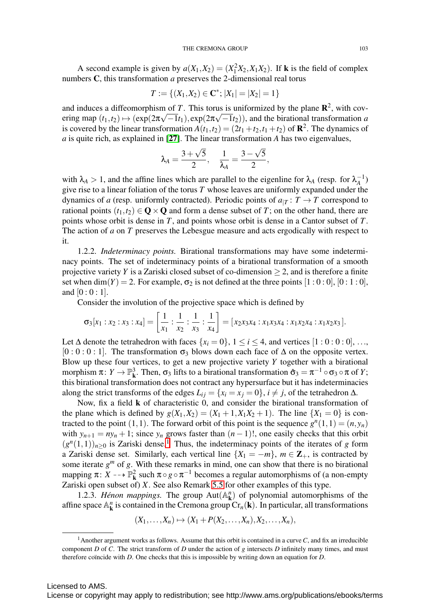A second example is given by  $a(X_1, X_2) = (X_1^2 X_2, X_1 X_2)$ . If **k** is the field of complex numbers C, this transformation *a* preserves the 2-dimensional real torus

$$
T := \{ (X_1, X_2) \in \mathbf{C}^*; |X_1| = |X_2| = 1 \}
$$

and induces a diffeomorphism of  $T$ . This torus is uniformized by the plane  $\mathbb{R}^2$ , with covand matters a diffeomorphism of *I*. This torus is unfformized by the plane **K**, with covering map  $(t_1, t_2) \mapsto (\exp(2\pi\sqrt{-1}t_1), \exp(2\pi\sqrt{-1}t_2))$ , and the birational transformation *a* is covered by the linear transformation  $A(t_1,t_2)=(2t_1+t_2,t_1+t_2)$  of  $\mathbb{R}^2$ . The dynamics of *a* is quite rich, as explained in [[27](#page-37-0)]. The linear transformation *A* has two eigenvalues,

$$
\lambda_A = \frac{3 + \sqrt{5}}{2}, \quad \frac{1}{\lambda_A} = \frac{3 - \sqrt{5}}{2},
$$

with  $\lambda_A > 1$ , and the affine lines which are parallel to the eigenline for  $\lambda_A$  (resp. for  $\lambda_A^{-1}$ ) give rise to a linear foliation of the torus *T* whose leaves are uniformly expanded under the dynamics of *a* (resp. uniformly contracted). Periodic points of  $a_{T}: T \rightarrow T$  correspond to rational points  $(t_1, t_2) \in \mathbb{Q} \times \mathbb{Q}$  and form a dense subset of T; on the other hand, there are points whose orbit is dense in *T*, and points whose orbit is dense in a Cantor subset of *T*. The action of *a* on *T* preserves the Lebesgue measure and acts ergodically with respect to it.

1.2.2. *Indeterminacy points.* Birational transformations may have some indeterminacy points. The set of indeterminacy points of a birational transformation of a smooth projective variety *Y* is a Zariski closed subset of co-dimension  $\geq$  2, and is therefore a finite set when dim(*Y*) = 2. For example,  $\sigma_2$  is not defined at the three points  $[1:0:0]$ ,  $[0:1:0]$ , and  $[0:0:1]$ .

Consider the involution of the projective space which is defined by

$$
\sigma_3[x_1:x_2:x_3:x_4]=\left[\frac{1}{x_1}:\frac{1}{x_2}:\frac{1}{x_3}:\frac{1}{x_4}\right]=[x_2x_3x_4:x_1x_3x_4:x_1x_2x_4:x_1x_2x_3].
$$

Let  $\Delta$  denote the tetrahedron with faces  $\{x_i = 0\}$ ,  $1 \le i \le 4$ , and vertices  $[1:0:0:0]$ , ...,  $[0:0:0:1]$ . The transformation  $\sigma_3$  blows down each face of  $\Delta$  on the opposite vertex. Blow up these four vertices, to get a new projective variety *Y* together with a birational morphism  $\pi: Y \to \mathbb{P}^3_{\mathbf{k}}$ . Then,  $\sigma_3$  lifts to a birational transformation  $\hat{\sigma}_3 = \pi^{-1} \circ \sigma_3 \circ \pi$  of *Y*; this birational transformation does not contract any hypersurface but it has indeterminacies along the strict transforms of the edges  $L_{ij} = \{x_i = x_j = 0\}$ ,  $i \neq j$ , of the tetrahedron  $\Delta$ .

Now, fix a field k of characteristic 0, and consider the birational transformation of the plane which is defined by  $g(X_1, X_2) = (X_1 + 1, X_1X_2 + 1)$ . The line  $\{X_1 = 0\}$  is contracted to the point  $(1,1)$ . The forward orbit of this point is the sequence  $g^{n}(1,1)=(n,y_{n})$ with  $y_{n+1} = ny_n + 1$ ; since  $y_n$  grows faster than  $(n-1)!$ , one easily checks that this orbit  $(g<sup>n</sup>(1,1))<sub>n>0</sub>$  $(g<sup>n</sup>(1,1))<sub>n>0</sub>$  $(g<sup>n</sup>(1,1))<sub>n>0</sub>$  is Zariski dense.<sup>1</sup> Thus, the indeterminacy points of the iterates of *g* form a Zariski dense set. Similarly, each vertical line  $\{X_1 = -m\}$ ,  $m \in \mathbb{Z}_+$ , is contracted by some iterate  $g<sup>m</sup>$  of  $g$ . With these remarks in mind, one can show that there is no birational mapping  $\pi: X \dashrightarrow \mathbb{P}^2_{\mathbf{k}}$  such  $\pi \circ g \circ \pi^{-1}$  becomes a regular automorphisms of (a non-empty Zariski open subset of) *X*. See also Remark [5.5](#page-23-0) for other examples of this type.

1.2.3. *Hénon mappings*. The group  $Aut(A^n_k)$  of polynomial automorphisms of the affine space  $\mathbb{A}^n_k$  is contained in the Cremona group  $\text{Cr}_n(\mathbf{k})$ . In particular, all transformations

$$
(X_1,\ldots,X_n)\mapsto (X_1+P(X_2,\ldots,X_n),X_2,\ldots,X_n),
$$

<span id="page-2-0"></span><sup>&</sup>lt;sup>1</sup>Another argument works as follows. Assume that this orbit is contained in a curve  $C$ , and fix an irreducible component *D* of *C*. The strict transform of *D* under the action of *g* intersects *D* infinitely many times, and must therefore coïncide with *D*. One checks that this is impossible by writing down an equation for *D*.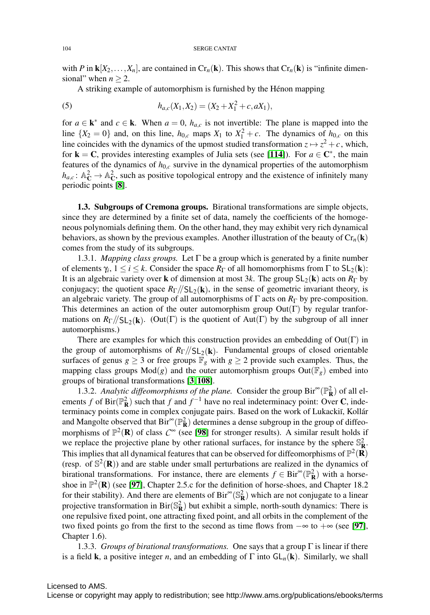with *P* in  $\mathbf{k}[X_2,\ldots,X_n]$ , are contained in  $\mathrm{Cr}_n(\mathbf{k})$ . This shows that  $\mathrm{Cr}_n(\mathbf{k})$  is "infinite dimensional" when  $n > 2$ .

A striking example of automorphism is furnished by the Hénon mapping

(5) 
$$
h_{a,c}(X_1,X_2)=(X_2+X_1^2+c,aX_1),
$$

for  $a \in \mathbf{k}^*$  and  $c \in \mathbf{k}$ . When  $a = 0$ ,  $h_{a,c}$  is not invertible: The plane is mapped into the line  $\{X_2 = 0\}$  and, on this line,  $h_{0,c}$  maps  $X_1$  to  $X_1^2 + c$ . The dynamics of  $h_{0,c}$  on this line coincides with the dynamics of the upmost studied transformation  $z \mapsto z^2 + c$ , which, for **k** = **C**, provides interesting examples of Julia sets (see [[114](#page-40-0)]). For  $a \in \mathbb{C}^*$ , the main features of the dynamics of  $h_{0,c}$  survive in the dynamical properties of the automorphism  $h_{a,c}: \mathbb{A}_{\mathbb{C}}^2 \to \mathbb{A}_{\mathbb{C}}^2$ , such as positive topological entropy and the existence of infinitely many periodic points [[8](#page-36-0)].

1.3. Subgroups of Cremona groups. Birational transformations are simple objects, since they are determined by a finite set of data, namely the coefficients of the homogeneous polynomials defining them. On the other hand, they may exhibit very rich dynamical behaviors, as shown by the previous examples. Another illustration of the beauty of  $Cr_n(k)$ comes from the study of its subgroups.

<span id="page-3-0"></span>1.3.1. *Mapping class groups*. Let  $\Gamma$  be a group which is generated by a finite number of elements  $\gamma_i$ ,  $1 \le i \le k$ . Consider the space  $R_\Gamma$  of all homomorphisms from  $\Gamma$  to  $SL_2(\mathbf{k})$ : It is an algebraic variety over k of dimension at most 3*k*. The group SL2(k) acts on *R*<sup>Γ</sup> by conjugacy; the quotient space  $R_{\Gamma}/\langle SL_2(\mathbf{k})$ , in the sense of geometric invariant theory, is an algebraic variety. The group of all automorphisms of  $\Gamma$  acts on  $R_{\Gamma}$  by pre-composition. This determines an action of the outer automorphism group  $Out(Γ)$  by regular tranformations on  $R_{\Gamma}/\langle SL_2(k)$ . (Out(Γ) is the quotient of Aut(Γ) by the subgroup of all inner automorphisms.)

There are examples for which this construction provides an embedding of  $Out(Γ)$  in the group of automorphisms of  $R_{\Gamma}/\mathcal{S}_{L_2}(k)$ . Fundamental groups of closed orientable surfaces of genus  $g \ge 3$  or free groups  $\mathbb{F}_g$  with  $g \ge 2$  provide such examples. Thus, the mapping class groups  $Mod(g)$  and the outer automorphism groups  $Out(\mathbb{F}_g)$  embed into groups of birational transformations [[3](#page-36-1), [108](#page-40-1)].

1.3.2. Analytic diffeomorphisms of the plane. Consider the group  $\text{Bir}^{\infty}(\mathbb{P}^2_{\mathbf{R}})$  of all elements *f* of Bir( $\mathbb{P}^2_{\mathbf{R}}$ ) such that *f* and  $f^{-1}$  have no real indeterminacy point: Over **C**, indeterminacy points come in complex conjugate pairs. Based on the work of Lukackii, Kollár and Mangolte observed that  $\text{Bir}^{\infty}(\mathbb{P}_{\mathbf{R}}^2)$  determines a dense subgroup in the group of diffeomorphisms of  $\mathbb{P}^2(\mathbf{R})$  of class  $C^{\infty}$  (see [[98](#page-40-2)] for stronger results). A similar result holds if we replace the projective plane by other rational surfaces, for instance by the sphere  $\mathbb{S}^2_{\mathbf{R}}$ . This implies that all dynamical features that can be observed for diffeomorphisms of  $\mathbb{P}^2(\mathbf{R})$ (resp. of  $\mathbb{S}^2(\mathbf{R})$ ) and are stable under small perturbations are realized in the dynamics of birational transformations. For instance, there are elements  $f \in Bir^{\infty}(\mathbb{P}_{\mathbf{R}}^2)$  with a horseshoe in  $\mathbb{P}^2(\mathbf{R})$  (see [[97](#page-40-3)], Chapter 2.5.c for the definition of horse-shoes, and Chapter 18.2 for their stability). And there are elements of  $\text{Bir}^{\infty}(\mathbb{S}^2_{\mathbf{R}})$  which are not conjugate to a linear projective transformation in  $\text{Bir}(\mathbb{S}_{\mathbf{R}}^2)$  but exhibit a simple, north-south dynamics: There is one repulsive fixed point, one attracting fixed point, and all orbits in the complement of the two fixed points go from the first to the second as time flows from  $-\infty$  to  $+\infty$  (see [[97](#page-40-3)], Chapter 1.6).

1.3.3. *Groups of birational transformations.* One says that a group  $\Gamma$  is linear if there is a field **k**, a positive integer *n*, and an embedding of  $\Gamma$  into  $GL_n(\mathbf{k})$ . Similarly, we shall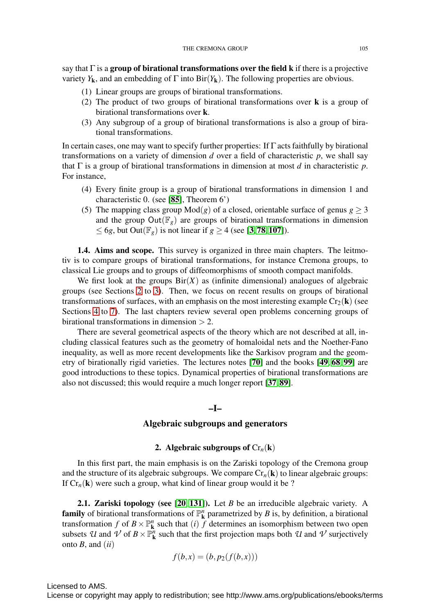say that  $\Gamma$  is a group of birational transformations over the field k if there is a projective variety  $Y_k$ , and an embedding of  $\Gamma$  into  $\text{Bir}(Y_k)$ . The following properties are obvious.

- (1) Linear groups are groups of birational transformations.
- (2) The product of two groups of birational transformations over k is a group of birational transformations over k.
- (3) Any subgroup of a group of birational transformations is also a group of birational transformations.

In certain cases, one may want to specify further properties: If  $\Gamma$  acts faithfully by birational transformations on a variety of dimension  $d$  over a field of characteristic  $p$ , we shall say that Γ is a group of birational transformations in dimension at most *d* in characteristic *p*. For instance,

- (4) Every finite group is a group of birational transformations in dimension 1 and characteristic 0. (see [[85](#page-39-0)], Theorem 6')
- (5) The mapping class group  $Mod(g)$  of a closed, orientable surface of genus  $g \ge 3$ and the group  $Out(\mathbb{F}_g)$  are groups of birational transformations in dimension  $\leq 6g$ , but Out( $\mathbb{F}_g$ ) is not linear if  $g \geq 4$  (see [[3](#page-36-1),[78](#page-39-1), [107](#page-40-4)]).

1.4. Aims and scope. This survey is organized in three main chapters. The leitmotiv is to compare groups of birational transformations, for instance Cremona groups, to classical Lie groups and to groups of diffeomorphisms of smooth compact manifolds.

We first look at the groups  $\text{Bir}(X)$  as (infinite dimensional) analogues of algebraic groups (see Sections [2](#page-4-0) to [3\)](#page-10-0). Then, we focus on recent results on groups of birational transformations of surfaces, with an emphasis on the most interesting example  $Cr_2(\mathbf{k})$  (see Sections [4](#page-13-0) to [7\)](#page-27-0). The last chapters review several open problems concerning groups of birational transformations in dimension  $> 2$ .

There are several geometrical aspects of the theory which are not described at all, including classical features such as the geometry of homaloidal nets and the Noether-Fano inequality, as well as more recent developments like the Sarkisov program and the geometry of birationally rigid varieties. The lectures notes [[70](#page-38-0)] and the books [[49](#page-38-1), [68](#page-38-2), [99](#page-40-5)] are good introductions to these topics. Dynamical properties of birational transformations are also not discussed; this would require a much longer report [[37](#page-37-1), [89](#page-39-2)].

#### –I–

## Algebraic subgroups and generators

## 2. Algebraic subgroups of  $Cr_n(\mathbf{k})$

<span id="page-4-0"></span>In this first part, the main emphasis is on the Zariski topology of the Cremona group and the structure of its algebraic subgroups. We compare  $Cr_n(\mathbf{k})$  to linear algebraic groups: If  $Cr_n(\mathbf{k})$  were such a group, what kind of linear group would it be ?

2.1. Zariski topology (see [[20](#page-36-2), [131](#page-41-0)]). Let *B* be an irreducible algebraic variety. A **family** of birational transformations of  $\mathbb{P}^n_k$  parametrized by *B* is, by definition, a birational transformation *f* of  $B \times \mathbb{P}^n$  such that *(i) f* determines an isomorphism between two open subsets *U* and *V* of  $B \times \mathbb{P}_k^n$  such that the first projection maps both *U* and *V* surjectively onto *B*, and (*ii*)

$$
f(b,x) = (b, p_2(f(b,x)))
$$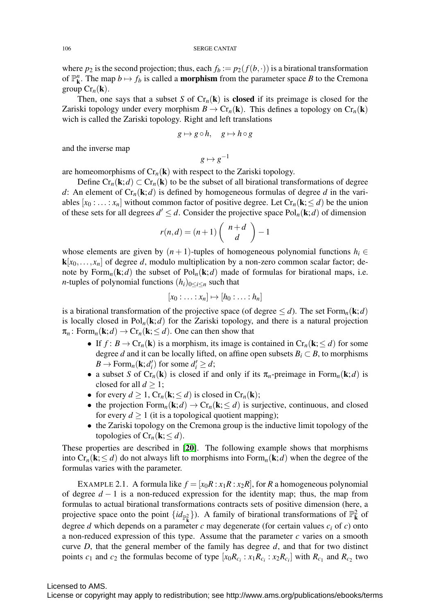where  $p_2$  is the second projection; thus, each  $f_b := p_2(f(b, \cdot))$  is a birational transformation of  $\mathbb{P}^n_k$ . The map  $b \mapsto f_b$  is called a **morphism** from the parameter space *B* to the Cremona group  $Cr_n(\mathbf{k})$ .

Then, one says that a subset *S* of  $Cr_n(k)$  is **closed** if its preimage is closed for the Zariski topology under every morphism  $B \to Cr_n(\mathbf{k})$ . This defines a topology on  $Cr_n(\mathbf{k})$ wich is called the Zariski topology. Right and left translations

$$
g \mapsto g \circ h, \quad g \mapsto h \circ g
$$

and the inverse map

 $g \mapsto g^{-1}$ 

are homeomorphisms of  $Cr_n(k)$  with respect to the Zariski topology.

Define  $Cr_n(\mathbf{k};d) \subset Cr_n(\mathbf{k})$  to be the subset of all birational transformations of degree *d*: An element of  $Cr_n(\mathbf{k};d)$  is defined by homogeneous formulas of degree *d* in the variables  $[x_0 : \ldots : x_n]$  without common factor of positive degree. Let  $Cr_n(k \le d)$  be the union of these sets for all degrees  $d' \leq d$ . Consider the projective space  $Pol_n(\mathbf{k};d)$  of dimension

$$
r(n,d)=(n+1)\left(\begin{array}{c} n+d \\ d \end{array} \right)-1
$$

whose elements are given by  $(n + 1)$ -tuples of homogeneous polynomial functions  $h_i \in$  $\mathbf{k}[x_0,\ldots,x_n]$  of degree *d*, modulo multiplication by a non-zero common scalar factor; denote by  $Form_n(\mathbf{k}; d)$  the subset of  $Pol_n(\mathbf{k}; d)$  made of formulas for birational maps, i.e. *n*-tuples of polynomial functions  $(h_i)_{0 \le i \le n}$  such that

$$
[x_0: \ldots : x_n] \mapsto [h_0: \ldots : h_n]
$$

is a birational transformation of the projective space (of degree  $\leq d$ ). The set Form<sub>n</sub>(**k**;*d*) is locally closed in  $Pol_n(k; d)$  for the Zariski topology, and there is a natural projection  $\pi_n$ : Form<sub>*n*</sub>(**k**; *d*)  $\rightarrow$  Cr<sub>*n*</sub>(**k**;  $\leq$  *d*). One can then show that

- If  $f: B \to \mathrm{Cr}_n(\mathbf{k})$  is a morphism, its image is contained in  $\mathrm{Cr}_n(\mathbf{k}; \leq d)$  for some degree *d* and it can be locally lifted, on affine open subsets  $B_i \subset B$ , to morphisms  $B \to \text{Form}_n(\mathbf{k}; d_i')$  for some  $d_i' \geq d$ ;
- a subset *S* of Cr<sub>n</sub>(**k**) is closed if and only if its  $\pi_n$ -preimage in Form<sub>n</sub>(**k**;*d*) is closed for all  $d \geq 1$ ;
- for every  $d \geq 1$ ,  $Cr_n(\mathbf{k}; \leq d)$  is closed in  $Cr_n(\mathbf{k})$ ;
- the projection  $Form_n(\mathbf{k}; d) \rightarrow Cr_n(\mathbf{k}; \leq d)$  is surjective, continuous, and closed for every  $d \ge 1$  (it is a topological quotient mapping);
- the Zariski topology on the Cremona group is the inductive limit topology of the topologies of  $Cr_n(\mathbf{k}; \leq d)$ .

These properties are described in [[20](#page-36-2)]. The following example shows that morphisms into  $Cr_n(k; \leq d)$  do not always lift to morphisms into  $Form_n(k; d)$  when the degree of the formulas varies with the parameter.

EXAMPLE 2.1. A formula like  $f = [x_0R : x_1R : x_2R]$ , for *R* a homogeneous polynomial of degree *d* − 1 is a non-reduced expression for the identity map; thus, the map from formulas to actual birational transformations contracts sets of positive dimension (here, a projective space onto the point  $\{id_{\mathbb{P}_k^2}\}\)$ . A family of birational transformations of  $\mathbb{P}_k^2$  of degree *d* which depends on a parameter *c* may degenerate (for certain values  $c_i$  of *c*) onto a non-reduced expression of this type. Assume that the parameter *c* varies on a smooth curve *D*, that the general member of the family has degree *d*, and that for two distinct points  $c_1$  and  $c_2$  the formulas become of type  $[x_0R_{c_i} : x_1R_{c_i} : x_2R_{c_i}]$  with  $R_{c_1}$  and  $R_{c_2}$  two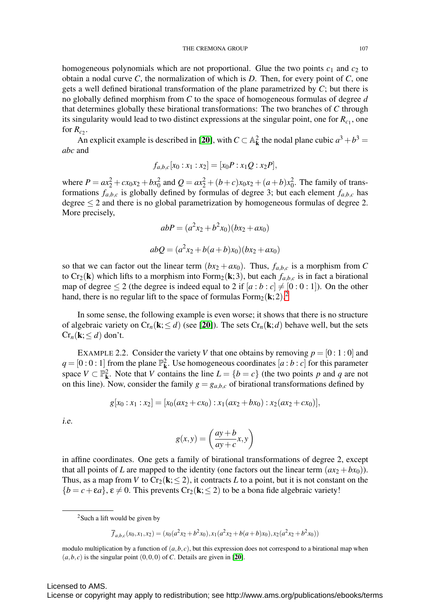homogeneous polynomials which are not proportional. Glue the two points  $c_1$  and  $c_2$  to obtain a nodal curve *C*, the normalization of which is *D*. Then, for every point of *C*, one gets a well defined birational transformation of the plane parametrized by *C*; but there is no globally defined morphism from *C* to the space of homogeneous formulas of degree *d* that determines globally these birational transformations: The two branches of *C* through its singularity would lead to two distinct expressions at the singular point, one for  $R_{c_1}$ , one for  $R_c$ .

An explicit example is described in [[20](#page-36-2)], with  $C \subset \mathbb{A}_{\mathbf{k}}^2$  the nodal plane cubic  $a^3 + b^3 =$ *abc* and

$$
f_{a,b,c}[x_0:x_1:x_2]=[x_0P:x_1Q:x_2P],
$$

where  $P = ax_2^2 + cx_0x_2 + bx_0^2$  and  $Q = ax_2^2 + (b+c)x_0x_2 + (a+b)x_0^2$ . The family of transformations  $f_{a,b,c}$  is globally defined by formulas of degree 3; but each element  $f_{a,b,c}$  has degree  $\leq 2$  and there is no global parametrization by homogeneous formulas of degree 2. More precisely,

$$
abP = (a2x2 + b2x0)(bx2 + ax0)
$$
  

$$
abQ = (a2x2 + b(a+b)x0)(bx2 + ax0)
$$

so that we can factor out the linear term  $(bx_2 + ax_0)$ . Thus,  $f_{a,b,c}$  is a morphism from C to Cr<sub>2</sub>(k) which lifts to a morphism into Form<sub>2</sub>(k; 3), but each  $f_{a,b,c}$  is in fact a birational map of degree  $\leq 2$  (the degree is indeed equal to 2 if  $[a:b:c] \neq [0:0:1]$ ). On the other hand, there is no regular lift to the space of formulas  $Form_2(k; 2)$  $Form_2(k; 2)$  $Form_2(k; 2)$ .<sup>2</sup>

In some sense, the following example is even worse; it shows that there is no structure of algebraic variety on  $Cr_n(\mathbf{k}; \leq d)$  (see [[20](#page-36-2)]). The sets  $Cr_n(\mathbf{k}; d)$  behave well, but the sets  $Cr_n(\mathbf{k}; \leq d)$  don't.

EXAMPLE 2.2. Consider the variety *V* that one obtains by removing  $p = [0:1:0]$  and  $q = [0:0:1]$  from the plane  $\mathbb{P}_{k}^{2}$ . Use homogeneous coordinates  $[a:b:c]$  for this parameter space  $V \subset \mathbb{P}^2_k$ . Note that *V* contains the line  $L = \{b = c\}$  (the two points *p* and *q* are not on this line). Now, consider the family  $g = g_{a,b,c}$  of birational transformations defined by

$$
g[x_0:x_1:x_2]=[x_0(ax_2+cx_0):x_1(ax_2+bx_0):x_2(ax_2+cx_0)],
$$

i.e.

$$
g(x,y) = \left(\frac{ay+b}{ay+c}x, y\right)
$$

in affine coordinates. One gets a family of birational transformations of degree 2, except that all points of *L* are mapped to the identity (one factors out the linear term  $(ax_2 + bx_0)$ ). Thus, as a map from *V* to  $Cr_2(k;\leq 2)$ , it contracts *L* to a point, but it is not constant on the  ${b = c + \epsilon a}$ ,  $\epsilon \neq 0$ . This prevents Cr<sub>2</sub>(**k**;  $\leq 2$ ) to be a bona fide algebraic variety!

$$
\overline{f}_{a,b,c}(x_0,x_1,x_2)=(x_0(a^2x_2+b^2x_0),x_1(a^2x_2+b(a+b)x_0),x_2(a^2x_2+b^2x_0))
$$

modulo multiplication by a function of  $(a, b, c)$ , but this expression does not correspond to a birational map when  $(a, b, c)$  is the singular point  $(0, 0, 0)$  of *C*. Details are given in [[20](#page-36-2)].

<span id="page-6-0"></span><sup>2</sup>Such a lift would be given by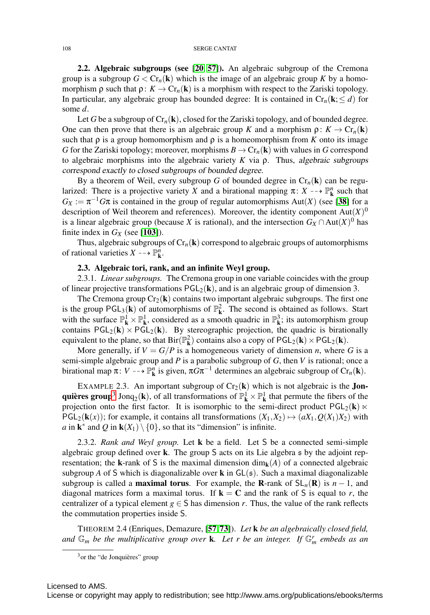<span id="page-7-4"></span>2.2. Algebraic subgroups (see [[20](#page-36-2), [57](#page-38-3)]). An algebraic subgroup of the Cremona group is a subgroup  $G < Cr_n(k)$  which is the image of an algebraic group K by a homomorphism  $\rho$  such that  $\rho: K \to Cr_n(\mathbf{k})$  is a morphism with respect to the Zariski topology. In particular, any algebraic group has bounded degree: It is contained in  $Cr_n(k, \leq d)$  for some *d*.

Let G be a subgroup of  $Cr_n(k)$ , closed for the Zariski topology, and of bounded degree. One can then prove that there is an algebraic group *K* and a morphism  $\rho: K \to Cr_n(k)$ such that  $\rho$  is a group homomorphism and  $\rho$  is a homeomorphism from *K* onto its image *G* for the Zariski topology; moreover, morphisms  $B \to Cr_n(\mathbf{k})$  with values in *G* correspond to algebraic morphisms into the algebraic variety *K* via ρ. Thus, algebraic subgroups correspond exactly to closed subgroups of bounded degree.

By a theorem of Weil, every subgroup *G* of bounded degree in  $Cr_n(\mathbf{k})$  can be regularized: There is a projective variety *X* and a birational mapping  $\pi: X \dashrightarrow \mathbb{P}^n$  such that  $G_X := \pi^{-1}G\pi$  is contained in the group of regular automorphisms Aut(*X*) (see [[38](#page-37-2)] for a description of Weil theorem and references). Moreover, the identity component  $Aut(X)$ <sup>0</sup> is a linear algebraic group (because *X* is rational), and the intersection  $G_X \cap Aut(X)^0$  has finite index in  $G_X$  (see [[103](#page-40-6)]).

<span id="page-7-3"></span>Thus, algebraic subgroups of  $Cr_n(k)$  correspond to algebraic groups of automorphisms of rational varieties  $X \dashrightarrow \mathbb{P}_{\mathbf{k}}^n$ .

#### 2.3. Algebraic tori, rank, and an infinite Weyl group.

2.3.1. *Linear subgroups.* The Cremona group in one variable coincides with the group of linear projective transformations  $PGL_2(k)$ , and is an algebraic group of dimension 3.

The Cremona group  $Cr_2(k)$  contains two important algebraic subgroups. The first one is the group  $PGL_3(k)$  of automorphisms of  $\mathbb{P}^2_k$ . The second is obtained as follows. Start with the surface  $\mathbb{P}^1_{\mathbf{k}} \times \mathbb{P}^1_{\mathbf{k}}$ , considered as a smooth quadric in  $\mathbb{P}^3_{\mathbf{k}}$ ; its automorphism group contains  $PGL_2(k) \times PGL_2(k)$ . By stereographic projection, the quadric is birationally equivalent to the plane, so that  $\text{Bir}(\mathbb{P}^2_{\mathbf{k}})$  contains also a copy of  $\text{PGL}_2(\mathbf{k}) \times \text{PGL}_2(\mathbf{k})$ .

More generally, if  $V = G/P$  is a homogeneous variety of dimension *n*, where G is a semi-simple algebraic group and *P* is a parabolic subgroup of *G*, then *V* is rational; once a birational map  $\pi: V \dashrightarrow \mathbb{P}^n_k$  is given,  $\pi G \pi^{-1}$  determines an algebraic subgroup of  $Cr_n(k)$ .

<span id="page-7-2"></span>EXAMPLE 2.3. An important subgroup of  $Cr_2(k)$  which is not algebraic is the **Jon-**quières group<sup>[3](#page-7-0)</sup> Jonq<sub>2</sub>(k), of all transformations of  $\mathbb{P}^1_k \times \mathbb{P}^1_k$  that permute the fibers of the projection onto the first factor. It is isomorphic to the semi-direct product  $PGL_2(k)$   $\ltimes$  $PGL_2(k(x))$ ; for example, it contains all transformations  $(X_1, X_2) \rightarrow (aX_1, Q(X_1)X_2)$  with *a* in  $\mathbf{k}^*$  and *Q* in  $\mathbf{k}(X_1) \setminus \{0\}$ , so that its "dimension" is infinite.

2.3.2. *Rank and Weyl group.* Let k be a field. Let S be a connected semi-simple algebraic group defined over k. The group S acts on its Lie algebra s by the adjoint representation; the k-rank of S is the maximal dimension  $\dim_k(A)$  of a connected algebraic subgroup *A* of S which is diagonalizable over **k** in  $GL(s)$ . Such a maximal diagonalizable subgroup is called a **maximal torus**. For example, the **R**-rank of  $SL_n(\mathbf{R})$  is  $n-1$ , and diagonal matrices form a maximal torus. If  $\mathbf{k} = \mathbf{C}$  and the rank of S is equal to *r*, the centralizer of a typical element  $g \in S$  has dimension *r*. Thus, the value of the rank reflects the commutation properties inside S.

<span id="page-7-1"></span>THEOREM 2.4 (Enriques, Demazure, [[57](#page-38-3),[73](#page-39-3)]). *Let* k *be an algebraically closed field, and*  $\mathbb{G}_m$  *be the multiplicative group over* **k***. Let r be an integer. If*  $\mathbb{G}_m^r$  *embeds as an* 

<span id="page-7-0"></span> $3$ or the "de Jonquières" group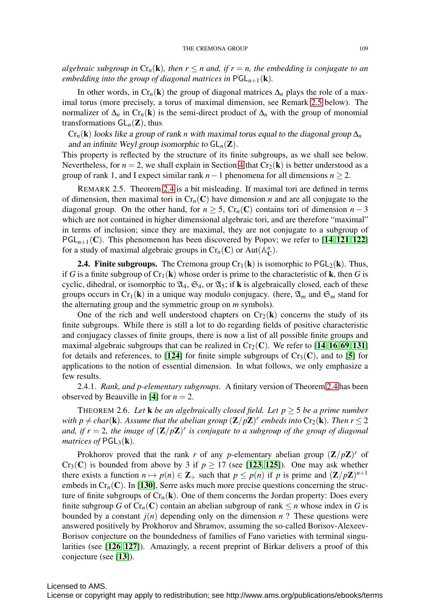*algebraic subgroup in*  $Cr_n(\mathbf{k})$ *, then*  $r \leq n$  *and, if*  $r = n$ *, the embedding is conjugate to an embedding into the group of diagonal matrices in*  $PGL_{n+1}(\mathbf{k})$ *.* 

In other words, in  $Cr_n(k)$  the group of diagonal matrices  $\Delta_n$  plays the role of a maximal torus (more precisely, a torus of maximal dimension, see Remark [2.5](#page-8-0) below). The normalizer of  $\Delta_n$  in  $Cr_n(\mathbf{k})$  is the semi-direct product of  $\Delta_n$  with the group of monomial transformations  $GL_n(\mathbb{Z})$ , thus

 $Cr_n(k)$  looks like a group of rank *n* with maximal torus equal to the diagonal group  $\Delta_n$ and an infinite Weyl group isomorphic to  $GL_n(\mathbb{Z})$ .

This property is reflected by the structure of its finite subgroups, as we shall see below. Nevertheless, for  $n = 2$ , we shall explain in Section [4](#page-13-0) that  $Cr_2(\mathbf{k})$  is better understood as a group of rank 1, and I expect similar rank  $n-1$  phenomena for all dimensions  $n \geq 2$ .

<span id="page-8-0"></span>REMARK 2.5. Theorem [2.4](#page-7-1) is a bit misleading. If maximal tori are defined in terms of dimension, then maximal tori in  $Cr_n(C)$  have dimension *n* and are all conjugate to the diagonal group. On the other hand, for  $n \geq 5$ , Cr<sub>n</sub>(C) contains tori of dimension  $n-3$ which are not contained in higher dimensional algebraic tori, and are therefore "maximal" in terms of inclusion; since they are maximal, they are not conjugate to a subgroup of  $PGL_{n+1}(C)$ . This phenomenon has been discovered by Popov; we refer to [[14](#page-36-3), [121](#page-40-7), [122](#page-41-1)] for a study of maximal algebraic groups in  $Cr_n(C)$  or  $Aut(\mathbb{A}_C^n)$ .

**2.4. Finite subgroups.** The Cremona group  $Cr_1(k)$  is isomorphic to  $PGL_2(k)$ . Thus, if *G* is a finite subgroup of  $Cr_1(k)$  whose order is prime to the characteristic of **k**, then *G* is cyclic, dihedral, or isomorphic to  $\mathfrak{A}_4$ ,  $\mathfrak{S}_4$ , or  $\mathfrak{A}_5$ ; if **k** is algebraically closed, each of these groups occurs in Cr<sub>1</sub>(k) in a unique way modulo conjugacy. (here,  $\mathfrak{A}_m$  and  $\mathfrak{S}_m$  stand for the alternating group and the symmetric group on *m* symbols).

One of the rich and well understood chapters on  $Cr_2(k)$  concerns the study of its finite subgroups. While there is still a lot to do regarding fields of positive characteristic and conjugacy classes of finite groups, there is now a list of all possible finite groups and maximal algebraic subgroups that can be realized in  $Cr_2(C)$ . We refer to [[14](#page-36-3), [16](#page-36-4), [69](#page-38-4), [131](#page-41-0)] for details and references, to [[124](#page-41-2)] for finite simple subgroups of  $Cr_3(C)$ , and to [[5](#page-36-5)] for applications to the notion of essential dimension. In what follows, we only emphasize a few results.

2.4.1. *Rank, and p-elementary subgroups.* A finitary version of Theorem [2.4](#page-7-1) has been observed by Beauville in [[4](#page-36-6)] for  $n = 2$ .

THEOREM 2.6. Let **k** *be an algebraically closed field. Let*  $p \geq 5$  *be a prime number with p*  $\neq$  *char*(**k**)*. Assume that the abelian group*  $(\mathbb{Z}/p\mathbb{Z})^r$  *embeds into* Cr<sub>2</sub>(**k**)*. Then*  $r \leq 2$ *and, if*  $r = 2$ *, the image of*  $(\mathbb{Z}/p\mathbb{Z})^r$  *is conjugate to a subgroup of the group of diagonal matrices of*  $PGL_3(\mathbf{k})$ .

Prokhorov proved that the rank *r* of any *p*-elementary abelian group  $(\mathbf{Z}/p\mathbf{Z})^r$  of Cr<sub>3</sub>(C) is bounded from above by 3 if  $p \ge 17$  (see [[123](#page-41-3), [125](#page-41-4)]). One may ask whether there exists a function  $n \mapsto p(n) \in \mathbb{Z}_+$  such that  $p \leq p(n)$  if *p* is prime and  $(\mathbb{Z}/p\mathbb{Z})^{n+1}$ embeds in  $Cr_n(C)$ . In [[130](#page-41-5)], Serre asks much more precise questions concerning the structure of finite subgroups of  $Cr_n(k)$ . One of them concerns the Jordan property: Does every finite subgroup *G* of  $Cr_n(C)$  contain an abelian subgroup of rank  $\leq n$  whose index in *G* is bounded by a constant  $j(n)$  depending only on the dimension  $n$ ? These questions were answered positively by Prokhorov and Shramov, assuming the so-called Borisov-Alexeev-Borisov conjecture on the boundedness of families of Fano varieties with terminal singularities (see [[126](#page-41-6), [127](#page-41-7)]). Amazingly, a recent preprint of Birkar delivers a proof of this conjecture (see [[13](#page-36-7)]).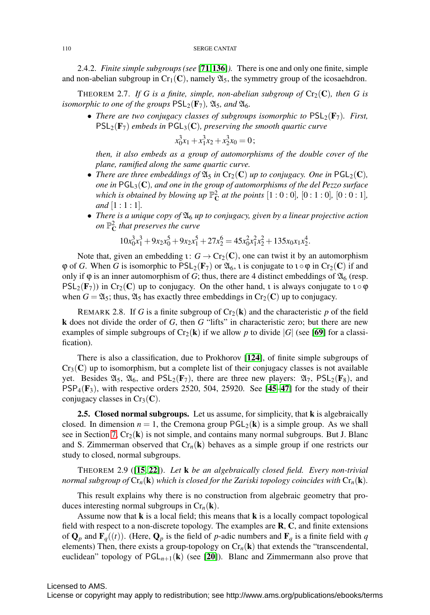2.4.2. *Finite simple subgroups (see* [[71](#page-38-5),[136](#page-41-8)]*).* There is one and only one finite, simple and non-abelian subgroup in  $Cr_1(C)$ , namely  $\mathfrak{A}_5$ , the symmetry group of the icosaehdron.

THEOREM 2.7. If G is a finite, simple, non-abelian subgroup of  $Cr_2(\mathbb{C})$ , then G is *isomorphic to one of the groups*  $PSL_2(\mathbf{F}_7)$ *,*  $\mathfrak{A}_5$ *<i>, and*  $\mathfrak{A}_6$ *.* 

• *There are two conjugacy classes of subgroups isomorphic to*  $PSL_2(\mathbf{F}_7)$ *. First,*  $PSL_2(\mathbf{F}_7)$  *embeds in*  $PGL_3(\mathbf{C})$ *, preserving the smooth quartic curve* 

$$
x_0^3x_1+x_1^3x_2+x_2^3x_0=0
$$
;

*then, it also embeds as a group of automorphisms of the double cover of the plane, ramified along the same quartic curve.*

- *There are three embeddings of*  $\mathfrak{A}_5$  *in*  $Cr_2(\mathbf{C})$  *up to conjugacy. One in*  $PGL_2(\mathbf{C})$ *, one in* PGL3(C)*, and one in the group of automorphisms of the del Pezzo surface which is obtained by blowing up*  $\mathbb{P}_{\mathbb{C}}^2$  *at the points*  $[1:0:0]$ *,*  $[0:1:0]$ *,*  $[0:0:1]$ *, and* [1:1:1]*.*
- *There is a unique copy of*  $\mathfrak{A}_6$  *up to conjugacy, given by a linear projective action on* P<sup>2</sup> <sup>C</sup> *that preserves the curve*

$$
10x_0^3x_1^3 + 9x_2x_0^5 + 9x_2x_1^5 + 27x_2^6 = 45x_0^2x_1^2x_2^2 + 135x_0x_1x_2^4.
$$

Note that, given an embedding  $\iota: G \to Cr_2(\mathbb{C})$ , one can twist it by an automorphism  $\varphi$  of *G*. When *G* is isomorphic to  $PSL_2(\mathbf{F}_7)$  or  $\mathfrak{A}_6$ , *i* is conjugate to  $\iota \circ \varphi$  in  $Cr_2(\mathbf{C})$  if and only if  $\varphi$  is an inner automorphism of *G*; thus, there are 4 distinct embeddings of  $\mathfrak{A}_6$  (resp.  $PSL_2(F_7)$ ) in Cr<sub>2</sub>(C) up to conjugacy. On the other hand, *i* is always conjugate to  $\iota \circ \varphi$ when  $G = \mathfrak{A}_5$ ; thus,  $\mathfrak{A}_5$  has exactly three embeddings in Cr<sub>2</sub>(C) up to conjugacy.

REMARK 2.8. If *G* is a finite subgroup of  $Cr_2(k)$  and the characteristic *p* of the field k does not divide the order of *G*, then *G* "lifts" in characteristic zero; but there are new examples of simple subgroups of  $Cr_2(k)$  if we allow p to divide |*G*| (see [[69](#page-38-4)] for a classification).

There is also a classification, due to Prokhorov [[124](#page-41-2)], of finite simple subgroups of  $Cr_3(C)$  up to isomorphism, but a complete list of their conjugacy classes is not available yet. Besides  $\mathfrak{A}_5$ ,  $\mathfrak{A}_6$ , and  $PSL_2(\mathbf{F}_7)$ , there are three new players:  $\mathfrak{A}_7$ ,  $PSL_2(\mathbf{F}_8)$ , and  $PSP_4(\mathbf{F}_3)$ , with respective orders 2520, 504, 25920. See [[45](#page-37-3)–[47](#page-37-4)] for the study of their conjugacy classes in  $Cr_3(\mathbf{C})$ .

<span id="page-9-0"></span>2.5. Closed normal subgroups. Let us assume, for simplicity, that **k** is algebraically closed. In dimension  $n = 1$ , the Cremona group  $PGL_2(k)$  is a simple group. As we shall see in Section [7,](#page-27-0)  $Cr_2(\mathbf{k})$  is not simple, and contains many normal subgroups. But J. Blanc and S. Zimmerman observed that  $Cr_n(k)$  behaves as a simple group if one restricts our study to closed, normal subgroups.

THEOREM 2.9 ([[15](#page-36-8), [22](#page-37-5)]). *Let* k *be an algebraically closed field. Every non-trivial normal subgroup of*  $Cr_n(\mathbf{k})$  *which is closed for the Zariski topology coincides with*  $Cr_n(\mathbf{k})$ *.* 

This result explains why there is no construction from algebraic geometry that produces interesting normal subgroups in  $Cr_n(\mathbf{k})$ .

Assume now that  **is a local field; this means that**  $**k**$  **is a locally compact topological** field with respect to a non-discrete topology. The examples are  $\mathbf{R}, \mathbf{C}$ , and finite extensions of  $\mathbf{Q}_p$  and  $\mathbf{F}_q((t))$ . (Here,  $\mathbf{Q}_p$  is the field of *p*-adic numbers and  $\mathbf{F}_q$  is a finite field with *q* elements) Then, there exists a group-topology on  $Cr_n(\mathbf{k})$  that extends the "transcendental, euclidean" topology of  $PGL_{n+1}(\mathbf{k})$  (see [[20](#page-36-2)]). Blanc and Zimmermann also prove that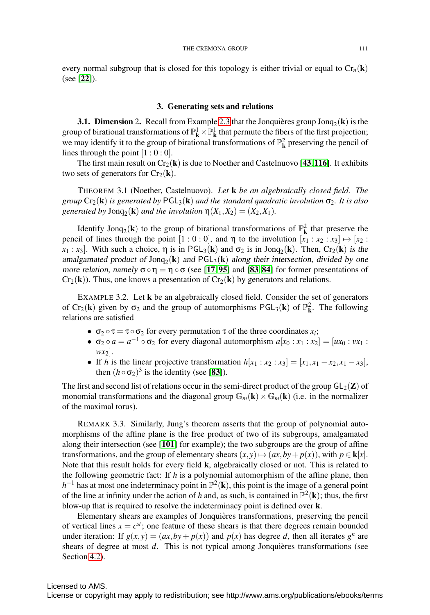every normal subgroup that is closed for this topology is either trivial or equal to  $Cr_n(k)$ (see [[22](#page-37-5)]).

#### 3. Generating sets and relations

<span id="page-10-0"></span>**3.1. Dimension** 2. Recall from Example [2.3](#page-7-2) that the Jonquieres group Jon $q_2(k)$  is the group of birational transformations of  $\mathbb{P}^1_{\mathbf{k}} \times \mathbb{P}^1_{\mathbf{k}}$  that permute the fibers of the first projection; we may identify it to the group of birational transformations of  $\mathbb{P}^2_{\mathbf{k}}$  preserving the pencil of lines through the point  $[1:0:0]$ .

The first main result on  $Cr_2(\mathbf{k})$  is due to Noether and Castelnuovo [[43](#page-37-6), [116](#page-40-8)]. It exhibits two sets of generators for  $Cr_2(\mathbf{k})$ .

THEOREM 3.1 (Noether, Castelnuovo). *Let* k *be an algebraically closed field. The group*  $Cr_2(\mathbf{k})$  *is generated by*  $PGL_3(\mathbf{k})$  *and the standard quadratic involution*  $\sigma_2$ *. It is also generated by*  $\text{Jonq}_2(\mathbf{k})$  *and the involution*  $\eta(X_1, X_2) = (X_2, X_1)$ *.* 

Identify Jonq<sub>2</sub>(**k**) to the group of birational transformations of  $\mathbb{P}^2$  that preserve the pencil of lines through the point  $[1:0:0]$ , and  $\eta$  to the involution  $[x_1:x_2:x_3] \mapsto [x_2:$  $x_1$ :  $x_3$ ]. With such a choice,  $\eta$  is in PGL<sub>3</sub>(k) and  $\sigma_2$  is in Jonq<sub>2</sub>(k). Then, Cr<sub>2</sub>(k) is the amalgamated product of  $\text{Jonq}_2(\mathbf{k})$  and  $\text{PGL}_3(\mathbf{k})$  along their intersection, divided by one more relation, namely  $\sigma \circ \eta = \eta \circ \sigma$  (see [[17](#page-36-9), [95](#page-39-4)] and [[83](#page-39-5), [84](#page-39-6)] for former presentations of  $Cr_2(\mathbf{k})$ ). Thus, one knows a presentation of  $Cr_2(\mathbf{k})$  by generators and relations.

EXAMPLE 3.2. Let k be an algebraically closed field. Consider the set of generators of  $Cr_2(\mathbf{k})$  given by  $\sigma_2$  and the group of automorphisms  $PGL_3(\mathbf{k})$  of  $\mathbb{P}^2_{\mathbf{k}}$ . The following relations are satisfied

- $\sigma_2 \circ \tau = \tau \circ \sigma_2$  for every permutation  $\tau$  of the three coordinates  $x_i$ ;
- $\sigma_2 \circ a = a^{-1} \circ \sigma_2$  for every diagonal automorphism  $a[x_0 : x_1 : x_2] = [ux_0 : vx_1 : x_2]$  $wx_2$ ].
- If *h* is the linear projective transformation  $h[x_1 : x_2 : x_3] = [x_1, x_1 x_2, x_1 x_3]$ , then  $(h \circ \sigma_2)^3$  is the identity (see [[83](#page-39-5)]).

The first and second list of relations occur in the semi-direct product of the group  $GL_2(\mathbb{Z})$  of monomial transformations and the diagonal group  $\mathbb{G}_m(\mathbf{k}) \times \mathbb{G}_m(\mathbf{k})$  (i.e. in the normalizer of the maximal torus).

REMARK 3.3. Similarly, Jung's theorem asserts that the group of polynomial automorphisms of the affine plane is the free product of two of its subgroups, amalgamated along their intersection (see [[101](#page-40-9)] for example); the two subgroups are the group of affine transformations, and the group of elementary shears  $(x, y) \mapsto (ax, by + p(x))$ , with  $p \in \mathbf{k}[x]$ . Note that this result holds for every field k, algebraically closed or not. This is related to the following geometric fact: If *h* is a polynomial automorphism of the affine plane, then  $h^{-1}$  has at most one indeterminacy point in  $\mathbb{P}^2(\overline{k})$ , this point is the image of a general point of the line at infinity under the action of *h* and, as such, is contained in  $\mathbb{P}^2(\mathbf{k})$ ; thus, the first blow-up that is required to resolve the indeterminacy point is defined over k.

Elementary shears are examples of Jonquières transformations, preserving the pencil of vertical lines  $x = c^{st}$ ; one feature of these shears is that there degrees remain bounded under iteration: If  $g(x, y) = (ax, by + p(x))$  and  $p(x)$  has degree *d*, then all iterates  $g^n$  are shears of degree at most *d*. This is not typical among Jonquières transformations (see Section [4.2\)](#page-18-0).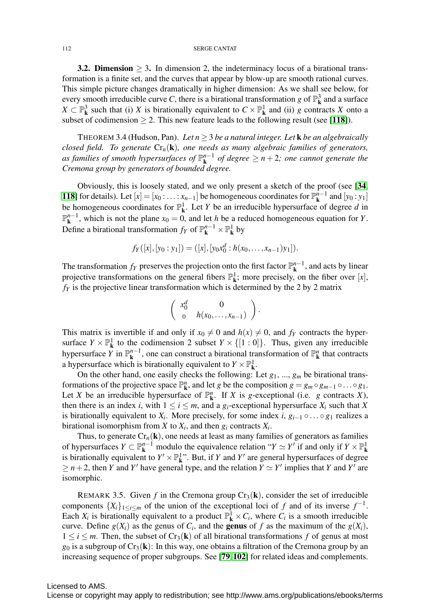**3.2. Dimension**  $> 3$ . In dimension 2, the indeterminacy locus of a birational transformation is a finite set, and the curves that appear by blow-up are smooth rational curves. This simple picture changes dramatically in higher dimension: As we shall see below, for every smooth irreducible curve *C*, there is a birational transformation *g* of  $\mathbb{P}^3_{\mathbf{k}}$  and a surface *X* ⊂  $\mathbb{P}^3$  such that (i) *X* is birationally equivalent to *C* ×  $\mathbb{P}^1$  and (ii) *g* contracts *X* onto a subset of codimension  $\geq 2$ . This new feature leads to the following result (see [[118](#page-40-10)]).

THEOREM 3.4 (Hudson, Pan). Let  $n \geq 3$  *be a natural integer. Let* **k** *be an algebraically closed field. To generate* Cr*n*(k)*, one needs as many algebraic families of generators, as families of smooth hypersurfaces of* P*n*−<sup>1</sup> <sup>k</sup> *of degree* ≥ *n* + 2*; one cannot generate the Cremona group by generators of bounded degree.*

Obviously, this is loosely stated, and we only present a sketch of the proof (see [[34](#page-37-7), [118](#page-40-10)] for details). Let  $[x] = [x_0 : ... : x_{n-1}]$  be homogeneous coordinates for  $\mathbb{P}_{k}^{n-1}$  and  $[y_0 : y_1]$ be homogeneous coordinates for  $\mathbb{P}^1_{\mathbf{k}}$ . Let *Y* be an irreducible hypersurface of degree *d* in  $\mathbb{P}_{k}^{n-1}$ , which is not the plane *x*<sub>0</sub> = 0, and let *h* be a reduced homogeneous equation for *Y*. Define a birational transformation  $f_Y$  of  $\mathbb{P}^{n-1}_k \times \mathbb{P}^1_k$  by

$$
f_Y([x],[y_0:y_1]) = ([x],[y_0x_0^d:h(x_0,\ldots,x_{n-1})y_1]).
$$

The transformation  $f_Y$  preserves the projection onto the first factor  $\mathbb{P}^{n-1}_k$ , and acts by linear projective transformations on the general fibers  $\mathbb{P}^1_{\mathbf{k}}$ ; more precisely, on the fiber over [*x*],  $f_Y$  is the projective linear transformation which is determined by the 2 by 2 matrix

$$
\left(\begin{array}{cc} x_0^d & 0 \\ 0 & h(x_0,\ldots,x_{n-1}) \end{array}\right).
$$

This matrix is invertible if and only if  $x_0 \neq 0$  and  $h(x) \neq 0$ , and  $f_Y$  contracts the hypersurface  $Y \times \mathbb{P}^1_{\mathbf{k}}$  to the codimension 2 subset  $Y \times \{[1:0]\}$ . Thus, given any irreducible hypersurface *Y* in  $\mathbb{P}^{n-1}_k$ , one can construct a birational transformation of  $\mathbb{P}^n_k$  that contracts a hypersurface which is birationally equivalent to  $Y \times \mathbb{P}^1_{\mathbf{k}}$ .

On the other hand, one easily checks the following: Let *g*1, ..., *gm* be birational transformations of the projective space  $\mathbb{P}^n_k$ , and let *g* be the composition  $g = g_m \circ g_{m-1} \circ \dots \circ g_1$ . Let *X* be an irreducible hypersurface of  $\mathbb{P}^n_k$ . If *X* is *g*-exceptional (i.e. *g* contracts *X*), then there is an index *i*, with  $1 \le i \le m$ , and a  $g_i$ -exceptional hypersurface  $X_i$  such that  $X$ is birationally equivalent to  $X_i$ . More precisely, for some index  $i$ ,  $g_{i-1} \circ \ldots \circ g_1$  realizes a birational isomorphism from *X* to  $X_i$ , and then  $g_i$  contracts  $X_i$ .

Thus, to generate  $Cr_n(\mathbf{k})$ , one needs at least as many families of generators as families of hypersurfaces  $Y \subset \mathbb{P}^{n-1}_k$  modulo the equivalence relation " $Y \simeq Y'$  if and only if  $Y \times \mathbb{P}^1_k$ is birationally equivalent to  $Y' \times \mathbb{P}^1_{\mathbf{k}}$ . But, if *Y* and *Y'* are general hypersurfaces of degree  $\geq n+2$ , then *Y* and *Y'* have general type, and the relation  $Y \simeq Y'$  implies that *Y* and *Y'* are isomorphic.

<span id="page-11-0"></span>REMARK 3.5. Given *f* in the Cremona group  $Cr_3(\mathbf{k})$ , consider the set of irreducible components  $\{X_i\}_{1\leq i\leq m}$  of the union of the exceptional loci of *f* and of its inverse  $f^{-1}$ . Each  $X_i$  is birationally equivalent to a product  $\mathbb{P}^1_{\mathbf{k}} \times C_i$ , where  $C_i$  is a smooth irreducible curve. Define  $g(X_i)$  as the genus of  $C_i$ , and the **genus** of f as the maximum of the  $g(X_i)$ ,  $1 \le i \le m$ . Then, the subset of Cr<sub>3</sub>(k) of all birational transformations f of genus at most  $g_0$  is a subgroup of  $Cr_3(\mathbf{k})$ : In this way, one obtains a filtration of the Cremona group by an increasing sequence of proper subgroups. See [[79](#page-39-7),[102](#page-40-11)] for related ideas and complements.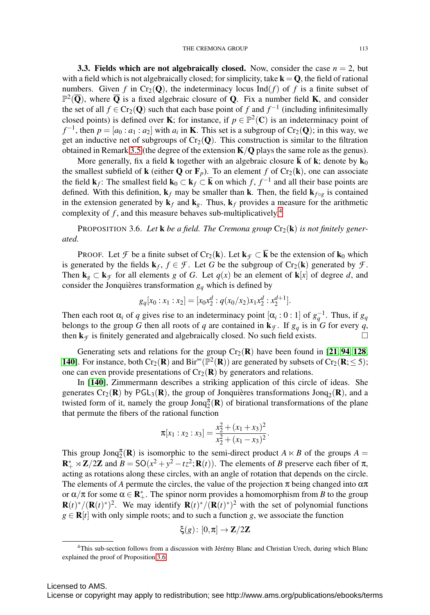**3.3. Fields which are not algebraically closed.** Now, consider the case  $n = 2$ , but with a field which is not algebraically closed; for simplicity, take  $k = Q$ , the field of rational numbers. Given *f* in Cr<sub>2</sub>(Q), the indeterminacy locus Ind(*f*) of *f* is a finite subset of  $\mathbb{P}^2(\overline{Q})$ , where  $\overline{Q}$  is a fixed algebraic closure of Q. Fix a number field **K**, and consider the set of all  $f \in Cr_2(O)$  such that each base point of f and  $f^{-1}$  (including infinitesimally closed points) is defined over **K**; for instance, if  $p \in \mathbb{P}^2(\mathbb{C})$  is an indeterminacy point of *f*<sup>-1</sup>, then  $p = [a_0 : a_1 : a_2]$  with  $a_i$  in **K**. This set is a subgroup of Cr<sub>2</sub>(Q); in this way, we get an inductive net of subgroups of  $Cr_2(Q)$ . This construction is similar to the filtration obtained in Remark [3.5](#page-11-0) (the degree of the extension  $K/Q$  plays the same role as the genus).

More generally, fix a field **k** together with an algebraic closure **k** of **k**; denote by **k**<sub>0</sub> the smallest subfield of **k** (either **Q** or **F**<sub>p</sub>). To an element f of Cr<sub>2</sub>(**k**), one can associate the field  $\mathbf{k}_f$ : The smallest field  $\mathbf{k}_0 \subset \mathbf{k}_f \subset \overline{\mathbf{k}}$  on which f,  $f^{-1}$  and all their base points are defined. With this definition,  $\mathbf{k}_f$  may be smaller than **k**. Then, the field  $\mathbf{k}_{f \circ g}$  is contained in the extension generated by  $\mathbf{k}_f$  and  $\mathbf{k}_g$ . Thus,  $\mathbf{k}_f$  provides a measure for the arithmetic complexity of *f* , and this measure behaves sub-multiplicatively.[4](#page-12-0)

<span id="page-12-1"></span>PROPOSITION 3.6. Let **k** be a field. The Cremona group  $Cr_2(\mathbf{k})$  is not finitely gener*ated.*

PROOF. Let *F* be a finite subset of Cr<sub>2</sub>(k). Let  $k_f \subset \overline{k}$  be the extension of  $k_0$  which is generated by the fields  $\mathbf{k}_f$ ,  $f \in \mathcal{F}$ . Let *G* be the subgroup of Cr<sub>2</sub>(**k**) generated by  $\mathcal{F}$ . Then  $\mathbf{k}_g \subset \mathbf{k}_f$  for all elements *g* of *G*. Let  $q(x)$  be an element of  $\mathbf{k}[x]$  of degree *d*, and consider the Jonquieres transformation  $g_q$  which is defined by

$$
g_q[x_0:x_1:x_2]=[x_0x_2^d:q(x_0/x_2)x_1x_2^d:x_2^{d+1}].
$$

Then each root  $\alpha_i$  of *q* gives rise to an indeterminacy point  $[\alpha_i:0:1]$  of  $g_q^{-1}$ . Thus, if  $g_q$ belongs to the group *G* then all roots of *q* are contained in  $\mathbf{k}_f$ . If  $g_q$  is in *G* for every *q*, then  $\mathbf{k}_{\mathcal{F}}$  is finitely generated and algebraically closed. No such field exists.

Generating sets and relations for the group  $Cr_2(\mathbf{R})$  have been found in [[21](#page-36-10), [94](#page-39-8), [128](#page-41-9), [140](#page-41-10)]. For instance, both Cr<sub>2</sub>(**R**) and Bir<sup>∞</sup>( $\mathbb{P}^2(\mathbf{R})$ ) are generated by subsets of Cr<sub>2</sub>(**R**;  $\leq$  5); one can even provide presentations of  $Cr_2(\mathbf{R})$  by generators and relations.

In [[140](#page-41-10)], Zimmermann describes a striking application of this circle of ideas. She generates  $Cr_2(\mathbf{R})$  by PGL<sub>3</sub>( $\mathbf{R}$ ), the group of Jonquières transformations Jonq<sub>2</sub>( $\mathbf{R}$ ), and a twisted form of it, namely the group  $\text{Jonq}_2^{\pi}(\mathbf{R})$  of birational transformations of the plane that permute the fibers of the rational function

$$
\pi[x_1:x_2:x_3]=\frac{x_2^2+(x_1+x_3)^2}{x_2^2+(x_1-x_3)^2}.
$$

This group  $\text{Jonq}_{2}^{\pi}(\mathbf{R})$  is isomorphic to the semi-direct product  $A \ltimes B$  of the groups  $A =$  $\mathbf{R}^*_+ \rtimes \mathbf{Z}/2\mathbf{Z}$  and  $\mathbf{B} = \mathsf{SO}(x^2 + y^2 - tz^2; \mathbf{R}(t))$ . The elements of *B* preserve each fiber of  $\pi$ , acting as rotations along these circles, with an angle of rotation that depends on the circle. The elements of *A* permute the circles, the value of the projection  $\pi$  being changed into  $\alpha\pi$ or  $\alpha/\pi$  for some  $\alpha \in \mathbb{R}_+^*$ . The spinor norm provides a homomorphism from *B* to the group  $\mathbf{R}(t)$ <sup>\*</sup>/( $\mathbf{R}(t)$ <sup>\*</sup>)<sup>2</sup>. We may identify  $\mathbf{R}(t)$ <sup>\*</sup>/( $\mathbf{R}(t)$ <sup>\*</sup>)<sup>2</sup> with the set of polynomial functions  $g \in \mathbf{R}[t]$  with only simple roots; and to such a function *g*, we associate the function

$$
\xi(g)\colon [0,\pi]\to \mathbf{Z}/2\mathbf{Z}
$$

<span id="page-12-0"></span><sup>&</sup>lt;sup>4</sup>This sub-section follows from a discussion with Jérémy Blanc and Christian Urech, during which Blanc explained the proof of Proposition [3.6.](#page-12-1)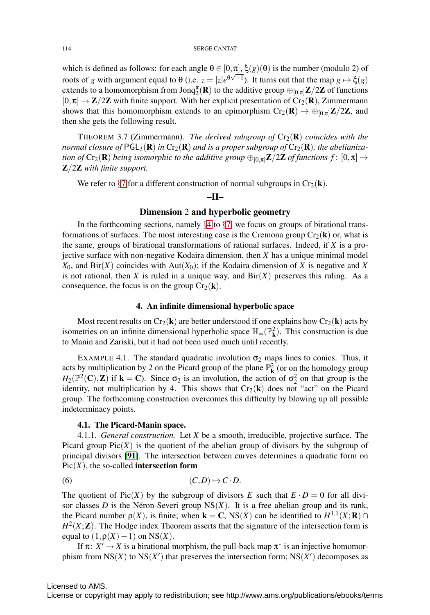which is defined as follows: for each angle  $\theta \in [0, \pi]$ ,  $\xi(g)(\theta)$  is the number (modulo 2) of  $\alpha$  by the number (modulo 2) of roots of *g* with argument equal to θ (i.e.  $z = |z|e^{θ√{-1}}$ ). It turns out that the map *g* → ξ(*g*) extends to a homomorphism from  ${\rm Jonq}_{2}^{\pi}(\mathbf{R})$  to the additive group  $\oplus_{[0,\pi]} \mathbf{Z}/2\mathbf{Z}$  of functions  $[0,\pi] \to \mathbb{Z}/2\mathbb{Z}$  with finite support. With her explicit presentation of Cr<sub>2</sub>(R), Zimmermann shows that this homomorphism extends to an epimorphism  $Cr_2(\mathbf{R}) \to \bigoplus_{[0,\pi]} \mathbb{Z}/2\mathbb{Z}$ , and then she gets the following result.

THEOREM 3.7 (Zimmermann). *The derived subgroup of*  $Cr_2(\mathbf{R})$  *coincides with the normal closure of*  $PGL_3(\mathbf{R})$  *in*  $Cr_2(\mathbf{R})$  *and is a proper subgroup of*  $Cr_2(\mathbf{R})$ *, the abelianization of*  $Cr_2(\mathbf{R})$  *being isomorphic to the additive group*  $\bigoplus_{[0,\pi]} \mathbf{Z}/2\mathbf{Z}$  *of functions*  $f: [0,\pi] \to$ Z/2Z *with finite support.*

We refer to  $\S7$  $\S7$  for a different construction of normal subgroups in  $Cr_2(\mathbf{k})$ .

# –II–

# Dimension 2 and hyperbolic geometry

In the forthcoming sections, namely  $\S 4$  $\S 4$  to  $\S 7$ , we focus on groups of birational transformations of surfaces. The most interesting case is the Cremona group  $Cr_2(k)$  or, what is the same, groups of birational transformations of rational surfaces. Indeed, if *X* is a projective surface with non-negative Kodaira dimension, then *X* has a unique minimal model  $X_0$ , and Bir(*X*) coincides with Aut( $X_0$ ); if the Kodaira dimension of *X* is negative and *X* is not rational, then *X* is ruled in a unique way, and  $\text{Bir}(X)$  preserves this ruling. As a consequence, the focus is on the group  $Cr_2(\mathbf{k})$ .

#### 4. An infinite dimensional hyperbolic space

<span id="page-13-0"></span>Most recent results on  $Cr_2(\mathbf{k})$  are better understood if one explains how  $Cr_2(\mathbf{k})$  acts by isometries on an infinite dimensional hyperbolic space  $\mathbb{H}_{\infty}(\mathbb{P}^2_k)$ . This construction is due to Manin and Zariski, but it had not been used much until recently.

EXAMPLE 4.1. The standard quadratic involution  $\sigma_2$  maps lines to conics. Thus, it acts by multiplication by 2 on the Picard group of the plane  $\mathbb{P}^2$  (or on the homology group  $H_2(\mathbb{P}^2(\mathbb{C}), \mathbb{Z})$  if  $\mathbf{k} = \mathbb{C}$ ). Since  $\sigma_2$  is an involution, the action of  $\sigma_2^2$  on that group is the identity, not multiplication by 4. This shows that  $Cr_2(k)$  does not "act" on the Picard group. The forthcoming construction overcomes this difficulty by blowing up all possible indeterminacy points.

### <span id="page-13-1"></span>4.1. The Picard-Manin space.

4.1.1. *General construction.* Let *X* be a smooth, irreducible, projective surface. The Picard group  $Pic(X)$  is the quotient of the abelian group of divisors by the subgroup of principal divisors [[91](#page-39-9)]. The intersection between curves determines a quadratic form on  $Pic(X)$ , the so-called **intersection form** 

$$
(6) \qquad \qquad (C,D)\mapsto C\cdot D.
$$

The quotient of Pic(*X*) by the subgroup of divisors *E* such that  $E \cdot D = 0$  for all divisor classes  $D$  is the Néron-Severi group  $NS(X)$ . It is a free abelian group and its rank, the Picard number  $p(X)$ , is finite; when **k** = **C**, NS(*X*) can be identified to  $H^{1,1}(X; \mathbf{R}) \cap$  $H^2(X;\mathbb{Z})$ . The Hodge index Theorem asserts that the signature of the intersection form is equal to  $(1, \rho(X) - 1)$  on NS(*X*).

If  $\pi: X' \to X$  is a birational morphism, the pull-back map  $\pi^*$  is an injective homomorphism from  $NS(X)$  to  $NS(X')$  that preserves the intersection form;  $NS(X')$  decomposes as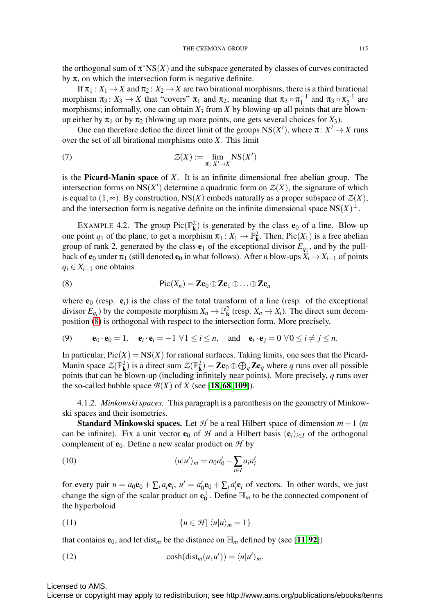the orthogonal sum of  $\pi$ <sup>\*</sup>NS(*X*) and the subspace generated by classes of curves contracted by  $\pi$ , on which the intersection form is negative definite.

If  $\pi_1: X_1 \to X$  and  $\pi_2: X_2 \to X$  are two birational morphisms, there is a third birational morphism  $\pi_3: X_3 \to X$  that "covers"  $\pi_1$  and  $\pi_2$ , meaning that  $\pi_3 \circ \pi_1^{-1}$  and  $\pi_3 \circ \pi_2^{-1}$  are morphisms; informally, one can obtain  $X_3$  from  $X$  by blowing-up all points that are blownup either by  $\pi_1$  or by  $\pi_2$  (blowing up more points, one gets several choices for  $X_3$ ).

One can therefore define the direct limit of the groups  $NS(X')$ , where  $\pi: X' \to X$  runs over the set of all birational morphisms onto *X*. This limit

(7) 
$$
\mathcal{Z}(X) := \lim_{\pi \colon X' \to X} \text{NS}(X')
$$

is the Picard-Manin space of *X*. It is an infinite dimensional free abelian group. The intersection forms on  $NS(X')$  determine a quadratic form on  $Z(X)$ , the signature of which is equal to  $(1, \infty)$ . By construction, NS(*X*) embeds naturally as a proper subspace of  $\mathcal{Z}(X)$ , and the intersection form is negative definite on the infinite dimensional space  $NS(X)^\perp$ .

<span id="page-14-2"></span>EXAMPLE 4.2. The group  $Pic(\mathbb{P}^2_{\mathbf{k}})$  is generated by the class  $\mathbf{e}_0$  of a line. Blow-up one point  $q_1$  of the plane, to get a morphism  $\pi_1: X_1 \to \mathbb{P}^2_{\mathbf{k}}$ . Then, Pic $(X_1)$  is a free abelian group of rank 2, generated by the class  $e_1$  of the exceptional divisor  $E_{q_1}$ , and by the pullback of  $e_0$  under  $\pi_1$  (still denoted  $e_0$  in what follows). After *n* blow-ups  $X_i \to X_{i-1}$  of points  $q_i \in X_{i-1}$  one obtains

<span id="page-14-0"></span>(8) 
$$
\operatorname{Pic}(X_n) = \mathbf{Z}\mathbf{e}_0 \oplus \mathbf{Z}\mathbf{e}_1 \oplus \ldots \oplus \mathbf{Z}\mathbf{e}_n
$$

where  $e_0$  (resp.  $e_i$ ) is the class of the total transform of a line (resp. of the exceptional divisor  $E_{q_i}$ ) by the composite morphism  $X_n \to \mathbb{P}^2_k$  (resp.  $X_n \to X_i$ ). The direct sum decomposition [\(8\)](#page-14-0) is orthogonal with respect to the intersection form. More precisely,

(9) 
$$
\mathbf{e}_0 \cdot \mathbf{e}_0 = 1
$$
,  $\mathbf{e}_i \cdot \mathbf{e}_i = -1 \ \forall 1 \leq i \leq n$ , and  $\mathbf{e}_i \cdot \mathbf{e}_j = 0 \ \forall 0 \leq i \neq j \leq n$ .

In particular,  $Pic(X) = NS(X)$  for rational surfaces. Taking limits, one sees that the Picard-Manin space  $Z(\mathbb{P}^2_{\mathbf{k}})$  is a direct sum  $Z(\mathbb{P}^2_{\mathbf{k}}) = \mathbf{Z}\mathbf{e}_0 \oplus \bigoplus_q \mathbf{Z}\mathbf{e}_q$  where  $q$  runs over all possible points that can be blown-up (including infinitely near points). More precisely, *q* runs over the so-called bubble space  $\mathcal{B}(X)$  of *X* (see [[18](#page-36-11), [68](#page-38-2), [109](#page-40-12)]).

<span id="page-14-1"></span>4.1.2. *Minkowski spaces.* This paragraph is a parenthesis on the geometry of Minkowski spaces and their isometries.

**Standard Minkowski spaces.** Let  $H$  be a real Hilbert space of dimension  $m+1$  (*m* can be infinite). Fix a unit vector  $\mathbf{e}_0$  of *H* and a Hilbert basis  $(\mathbf{e}_i)_{i\in I}$  of the orthogonal complement of  $e_0$ . Define a new scalar product on  $H$  by

(10) 
$$
\langle u|u'\rangle_m = a_0 a'_0 - \sum_{i\in I} a_i a'_i
$$

for every pair  $u = a_0 \mathbf{e}_0 + \sum_i a_i \mathbf{e}_i$ ,  $u' = a'_0 \mathbf{e}_0 + \sum_i a'_i \mathbf{e}_i$  of vectors. In other words, we just change the sign of the scalar product on  $\mathbf{e}_0^{\perp}$ . Define  $\mathbb{H}_m$  to be the connected component of the hyperboloid

$$
(11) \qquad \{u \in \mathcal{H} \mid \langle u | u \rangle_m = 1\}
$$

that contains  $e_0$ , and let dist<sub>m</sub> be the distance on  $\mathbb{H}_m$  defined by (see [[11](#page-36-12),[92](#page-39-10)])

(12) 
$$
\cosh(\text{dist}_m(u, u')) = \langle u | u' \rangle_m.
$$

Licensed to AMS.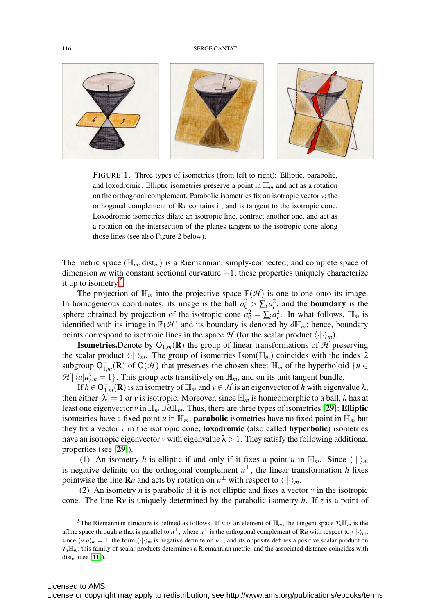

FIGURE 1. Three types of isometries (from left to right): Elliptic, parabolic, and loxodromic. Elliptic isometries preserve a point in  $\mathbb{H}_m$  and act as a rotation on the orthogonal complement. Parabolic isometries fix an isotropic vector *v*; the orthogonal complement of R*v* contains it, and is tangent to the isotropic cone. Loxodromic isometries dilate an isotropic line, contract another one, and act as a rotation on the intersection of the planes tangent to the isotropic cone along those lines (see also Figure 2 below).

The metric space  $(\mathbb{H}_m, \text{dist}_m)$  is a Riemannian, simply-connected, and complete space of dimension *m* with constant sectional curvature −1; these properties uniquely characterize it up to isometry.[5](#page-15-0)

The projection of  $\mathbb{H}_m$  into the projective space  $\mathbb{P}(\mathcal{H})$  is one-to-one onto its image. In homogeneous coordinates, its image is the ball  $a_0^2 > \sum_i a_i^2$ , and the **boundary** is the sphere obtained by projection of the isotropic cone  $a_0^2 = \sum_i a_i^2$ . In what follows,  $\mathbb{H}_m$  is identified with its image in  $\mathbb{P}(\mathcal{H})$  and its boundary is denoted by  $\partial \mathbb{H}_m$ ; hence, boundary points correspond to isotropic lines in the space  $H$  (for the scalar product  $\langle \cdot | \cdot \rangle_m$ ).

**Isometries.**Denote by  $O_{1,m}(\mathbf{R})$  the group of linear transformations of  $H$  preserving the scalar product  $\langle \cdot | \cdot \rangle_m$ . The group of isometries Isom( $\mathbb{H}_m$ ) coincides with the index 2 subgroup  $O_{1,m}^+(\mathbf{R})$  of  $O(\mathcal{H})$  that preserves the chosen sheet  $\mathbb{H}_m$  of the hyperboloid  $\{u \in$  $\mathcal{H} | \langle u | u \rangle_m = 1$ . This group acts transitively on  $\mathbb{H}_m$ , and on its unit tangent bundle.

If  $h \in O_{1,m}^+(\mathbf{R})$  is an isometry of  $\mathbb{H}_m$  and  $v \in \mathcal{H}$  is an eigenvector of *h* with eigenvalue  $\lambda$ , then either  $|\lambda| = 1$  or *v* is isotropic. Moreover, since  $\mathbb{H}_m$  is homeomorphic to a ball, *h* has at least one eigenvector *v* in  $\mathbb{H}_m \cup \partial \mathbb{H}_m$ . Thus, there are three types of isometries [[29](#page-37-8)]: **Elliptic** isometries have a fixed point *u* in  $\mathbb{H}_m$ ; **parabolic** isometries have no fixed point in  $\mathbb{H}_m$  but they fix a vector  $\nu$  in the isotropic cone; **loxodromic** (also called **hyperbolic**) isometries have an isotropic eigenvector *v* with eigenvalue  $\lambda > 1$ . They satisfy the following additional properties (see [[29](#page-37-8)]).

(1) An isometry *h* is elliptic if and only if it fixes a point *u* in  $\mathbb{H}_m$ . Since  $\langle \cdot | \cdot \rangle_m$ is negative definite on the orthogonal complement  $u^{\perp}$ , the linear transformation *h* fixes pointwise the line **R**u and acts by rotation on  $u^{\perp}$  with respect to  $\langle \cdot | \cdot \rangle_m$ .

(2) An isometry *h* is parabolic if it is not elliptic and fixes a vector  $\nu$  in the isotropic cone. The line  $\mathbb{R}v$  is uniquely determined by the parabolic isometry *h*. If *z* is a point of

<span id="page-15-0"></span><sup>&</sup>lt;sup>5</sup>The Riemannian structure is defined as follows. If *u* is an element of  $\mathbb{H}_m$ , the tangent space  $T_u\mathbb{H}_m$  is the affine space through *u* that is parallel to  $u^{\perp}$ , where  $u^{\perp}$  is the orthogonal complement of **R***u* with respect to  $\langle \cdot | \cdot \rangle_m$ ; since  $\langle u | u \rangle_m = 1$ , the form  $\langle \cdot | \cdot \rangle_m$  is negative definite on  $u^{\perp}$ , and its opposite defines a positive scalar product on *Tu*H*m*; this family of scalar products determines a Riemannian metric, and the associated distance coincides with dist*<sup>m</sup>* (see [[11](#page-36-12)]).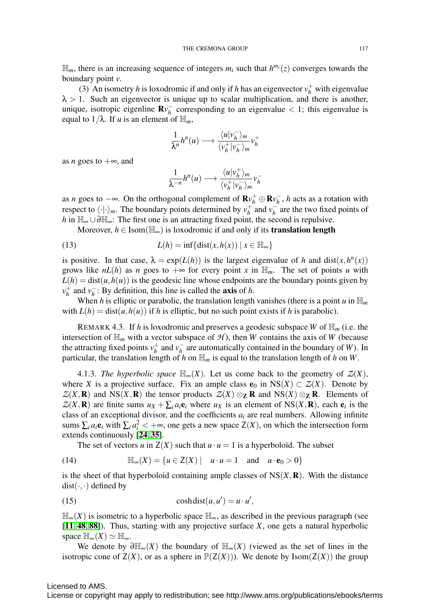$\mathbb{H}_m$ , there is an increasing sequence of integers  $m_i$  such that  $h^{m_i}(z)$  converges towards the boundary point *v*.

(3) An isometry *h* is loxodromic if and only if *h* has an eigenvector  $v_h^+$  with eigenvalue  $\lambda > 1$ . Such an eigenvector is unique up to scalar multiplication, and there is another, unique, isotropic eigenline  $\mathbb{R}v_h^-$  corresponding to an eigenvalue  $\lt 1$ ; this eigenvalue is equal to  $1/\lambda$ . If *u* is an element of  $\mathbb{H}_m$ ,

$$
\frac{1}{\lambda^n}h^n(u) \longrightarrow \frac{\langle u|v_h^-\rangle_m}{\langle v_h^+|v_h^-\rangle_m}v_h^+
$$

as *n* goes to  $+\infty$ , and

$$
\frac{1}{\lambda^{-n}}h^n(u)\longrightarrow \frac{\langle u|v^+_h\rangle_m}{\langle v^+_h|v^-_h\rangle_m}v^-_h
$$

as *n* goes to  $-\infty$ . On the orthogonal complement of  $\mathbf{R}v_h^+ \oplus \mathbf{R}v_h^-$ , *h* acts as a rotation with respect to  $\langle \cdot | \cdot \rangle_m$ . The boundary points determined by  $v_h^+$  and  $v_h^-$  are the two fixed points of *h* in  $\mathbb{H}_{\infty} \cup \partial \mathbb{H}_{\infty}$ : The first one is an attracting fixed point, the second is repulsive.

Moreover,  $h \in \text{Isom}(\mathbb{H}_{\infty})$  is loxodromic if and only if its **translation length** 

(13) 
$$
L(h) = \inf\{\text{dist}(x, h(x)) \mid x \in \mathbb{H}_{\infty}\}\
$$

is positive. In that case,  $\lambda = \exp(L(h))$  is the largest eigenvalue of *h* and dist(*x*,  $h^n(x)$ ) grows like  $nL(h)$  as *n* goes to  $+\infty$  for every point *x* in  $\mathbb{H}_m$ . The set of points *u* with  $L(h) = \text{dist}(u, h(u))$  is the geodesic line whose endpoints are the boundary points given by  $v_h^+$  and  $v_h^-$ : By definition, this line is called the **axis** of *h*.

When *h* is elliptic or parabolic, the translation length vanishes (there is a point *u* in  $\mathbb{H}_m$ with  $L(h) = \text{dist}(u, h(u))$  if h is elliptic, but no such point exists if h is parabolic).

REMARK 4.3. If *h* is loxodromic and preserves a geodesic subspace *W* of  $\mathbb{H}_m$  (i.e. the intersection of  $\mathbb{H}_m$  with a vector subspace of  $\mathcal{H}$ ), then *W* contains the axis of *W* (because the attracting fixed points  $v_h^+$  and  $v_h^-$  are automatically contained in the boundary of *W*). In particular, the translation length of *h* on  $\mathbb{H}_m$  is equal to the translation length of *h* on *W*.

4.1.3. *The hyperbolic space*  $\mathbb{H}_{\infty}(X)$ . Let us come back to the geometry of  $\mathcal{Z}(X)$ , where *X* is a projective surface. Fix an ample class  $e_0$  in NS(*X*) ⊂  $Z(X)$ . Denote by  $Z(X, \mathbf{R})$  and NS(*X*, **R**) the tensor products  $Z(X) \otimes_{\mathbf{Z}} \mathbf{R}$  and NS(*X*)  $\otimes_{\mathbf{Z}} \mathbf{R}$ . Elements of  $Z(X, \mathbf{R})$  are finite sums  $u_X + \sum_i a_i \mathbf{e}_i$  where  $u_X$  is an element of NS(*X*, **R**), each  $\mathbf{e}_i$  is the class of an exceptional divisor, and the coefficients  $a_i$  are real numbers. Allowing infinite sums  $\sum_i a_i \mathbf{e}_i$  with  $\sum_i a_i^2 < +\infty$ , one gets a new space  $Z(X)$ , on which the intersection form extends continuously [[24](#page-37-9), [35](#page-37-10)].

The set of vectors *u* in  $Z(X)$  such that  $u \cdot u = 1$  is a hyperboloïd. The subset

(14) 
$$
\mathbb{H}_{\infty}(X) = \{u \in Z(X) \mid u \cdot u = 1 \text{ and } u \cdot \mathbf{e}_0 > 0\}
$$

is the sheet of that hyperboloid containing ample classes of  $NS(X,\mathbf{R})$ . With the distance  $dist(\cdot, \cdot)$  defined by

(15) 
$$
\cosh(\text{dist}(u, u')) = u \cdot u',
$$

 $\mathbb{H}_{\infty}(X)$  is isometric to a hyperbolic space  $\mathbb{H}_{\infty}$ , as described in the previous paragraph (see [[11](#page-36-12), [48](#page-38-6), [88](#page-39-11)]). Thus, starting with any projective surface *X*, one gets a natural hyperbolic space  $\mathbb{H}_{\infty}(X) \simeq \mathbb{H}_{\infty}$ .

We denote by  $\partial \mathbb{H}_{\infty}(X)$  the boundary of  $\mathbb{H}_{\infty}(X)$  (viewed as the set of lines in the isotropic cone of  $Z(X)$ , or as a sphere in  $\mathbb{P}(Z(X))$ . We denote by Isom( $Z(X)$ ) the group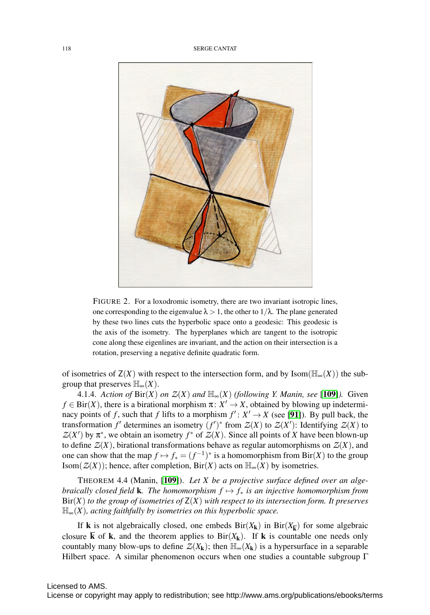

FIGURE 2. For a loxodromic isometry, there are two invariant isotropic lines, one corresponding to the eigenvalue  $\lambda > 1$ , the other to  $1/\lambda$ . The plane generated by these two lines cuts the hyperbolic space onto a geodesic: This geodesic is the axis of the isometry. The hyperplanes which are tangent to the isotropic cone along these eigenlines are invariant, and the action on their intersection is a rotation, preserving a negative definite quadratic form.

of isometries of  $Z(X)$  with respect to the intersection form, and by Isom( $\mathbb{H}_{\infty}(X)$ ) the subgroup that preserves  $\mathbb{H}_{\infty}(X)$ .

4.1.4. *Action of*  $\text{Bir}(X)$  *on*  $\mathcal{Z}(X)$  *and*  $\mathbb{H}_{\infty}(X)$  *(following Y. Manin, see* [[109](#page-40-12)]*)*. Given  $f \in Bir(X)$ , there is a birational morphism  $\pi: X' \to X$ , obtained by blowing up indeterminacy points of *f*, such that *f* lifts to a morphism  $f' : X' \to X$  (see [[91](#page-39-9)]). By pull back, the transformation  $f'$  determines an isometry  $(f')^*$  from  $\mathcal{Z}(X)$  to  $\mathcal{Z}(X')$ : Identifying  $\mathcal{Z}(X)$  to  $Z(X')$  by  $\pi^*$ , we obtain an isometry  $f^*$  of  $Z(X)$ . Since all points of *X* have been blown-up to define  $Z(X)$ , birational transformations behave as regular automorphisms on  $Z(X)$ , and one can show that the map  $f \mapsto f_* = (f^{-1})^*$  is a homomorphism from Bir(*X*) to the group Isom( $Z(X)$ ); hence, after completion,  $\text{Bir}(X)$  acts on  $\mathbb{H}_{\infty}(X)$  by isometries.

THEOREM 4.4 (Manin, [[109](#page-40-12)]). *Let X be a projective surface defined over an algebraically closed field* **k***. The homomorphism*  $f \mapsto f_*$  *is an injective homomorphism from* Bir(*X*) *to the group of isometries of* Z(*X*) *with respect to its intersection form. It preserves* H∞(*X*)*, acting faithfully by isometries on this hyperbolic space.*

If **k** is not algebraically closed, one embeds  $\text{Bir}(X_k)$  in  $\text{Bir}(X_{\overline{k}})$  for some algebraic closure  $\overline{k}$  of k, and the theorem applies to Bir( $X_k$ ). If k is countable one needs only countably many blow-ups to define  $Z(X_k)$ ; then  $\mathbb{H}_{\infty}(X_k)$  is a hypersurface in a separable Hilbert space. A similar phenomenon occurs when one studies a countable subgroup  $\Gamma$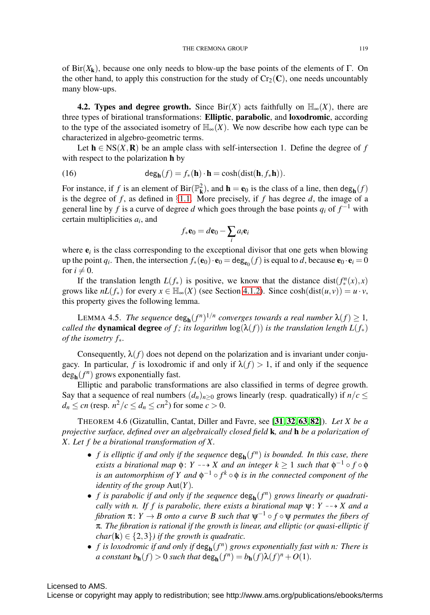of Bir( $X_k$ ), because one only needs to blow-up the base points of the elements of  $\Gamma$ . On the other hand, to apply this construction for the study of  $Cr_2(C)$ , one needs uncountably many blow-ups.

<span id="page-18-0"></span>**4.2. Types and degree growth.** Since Bir(*X*) acts faithfully on  $\mathbb{H}_{\infty}(X)$ , there are three types of birational transformations: Elliptic, parabolic, and loxodromic, according to the type of the associated isometry of  $\mathbb{H}_{\infty}(X)$ . We now describe how each type can be characterized in algebro-geometric terms.

Let  $h \in \text{NS}(X,\mathbb{R})$  be an ample class with self-intersection 1. Define the degree of f with respect to the polarization **h** by

(16) 
$$
\deg_{\mathbf{h}}(f) = f_*(\mathbf{h}) \cdot \mathbf{h} = \cosh(\mathrm{dist}(\mathbf{h}, f_*\mathbf{h})).
$$

For instance, if *f* is an element of  $\text{Bir}(\mathbb{P}_{\mathbf{k}}^2)$ , and  $\mathbf{h} = \mathbf{e}_0$  is the class of a line, then  $\text{deg}_{\mathbf{h}}(f)$ is the degree of  $f$ , as defined in §[1.1.](#page-0-0) More precisely, if  $f$  has degree  $d$ , the image of a general line by *f* is a curve of degree *d* which goes through the base points  $q_i$  of  $f^{-1}$  with certain multiplicities *ai*, and

$$
f_*\mathbf{e}_0 = d\mathbf{e}_0 - \sum_i a_i \mathbf{e}_i
$$

where  $e_i$  is the class corresponding to the exceptional divisor that one gets when blowing up the point *q<sub>i</sub>*. Then, the intersection  $f_*(\mathbf{e}_0) \cdot \mathbf{e}_0 = \deg_{\mathbf{e}_0}(f)$  is equal to *d*, because  $\mathbf{e}_0 \cdot \mathbf{e}_i = 0$ for  $i \neq 0$ .

If the translation length  $L(f_*)$  is positive, we know that the distance dist $(f_*^n(x),x)$ grows like  $nL(f_*)$  for every  $x \in \mathbb{H}_{\infty}(X)$  (see Section [4.1.2\)](#page-14-1). Since  $cosh(dist(u,v)) = u \cdot v$ , this property gives the following lemma.

LEMMA 4.5. *The sequence*  $\deg_{h}(f^{n})^{1/n}$  *converges towards a real number*  $\lambda(f) \geq 1$ *, called the* **dynamical degree** *of f; its logarithm*  $log(\lambda(f))$  *is the translation length*  $L(f_*)$ *of the isometry f*∗*.*

Consequently,  $\lambda(f)$  does not depend on the polarization and is invariant under conjugacy. In particular, *f* is loxodromic if and only if  $\lambda(f) > 1$ , if and only if the sequence  $deg_{h}(f^{n})$  grows exponentially fast.

Elliptic and parabolic transformations are also classified in terms of degree growth. Say that a sequence of real numbers  $(d_n)_{n\geq 0}$  grows linearly (resp. quadratically) if  $n/c \leq$  $d_n \leq cn$  (resp.  $n^2/c \leq d_n \leq cn^2$ ) for some  $c > 0$ .

<span id="page-18-1"></span>THEOREM 4.6 (Gizatullin, Cantat, Diller and Favre, see [[31](#page-37-11), [32](#page-37-12), [63](#page-38-7), [82](#page-39-12)]). *Let X be a projective surface, defined over an algebraically closed field* k*, and* h *be a polarization of X. Let f be a birational transformation of X.*

- *f is elliptic if and only if the sequence*  $\deg_{h}(f^{n})$  *is bounded. In this case, there exists a birational map*  $\phi$ : *Y* -- $\rightarrow$  *X and an integer*  $k \geq 1$  *such that*  $\phi^{-1} \circ f \circ \phi$ *is an automorphism of Y and*  $\phi^{-1} \circ f^k \circ \phi$  *is in the connected component of the identity of the group* Aut(*Y*)*.*
- *f* is parabolic if and only if the sequence  $\deg_{\mathbf{h}}(f^n)$  grows linearly or quadrati*cally with n. If f is parabolic, there exists a birational map* ψ: *Y* -- *X and a fibration*  $\pi: Y \to B$  *onto a curve B such that*  $\psi^{-1} \circ f \circ \psi$  *permutes the fibers of* π*. The fibration is rational if the growth is linear, and elliptic (or quasi-elliptic if char*( $\bf{k}$ )  $\in$  {2,3}*) if the growth is quadratic.*
- *f is loxodromic if and only if*  $\deg_{h}(f^{n})$  *grows exponentially fast with n: There is a constant*  $b_h(f) > 0$  *such that*  $\deg_h(f^n) = b_h(f) \lambda(f)^n + O(1)$ *.*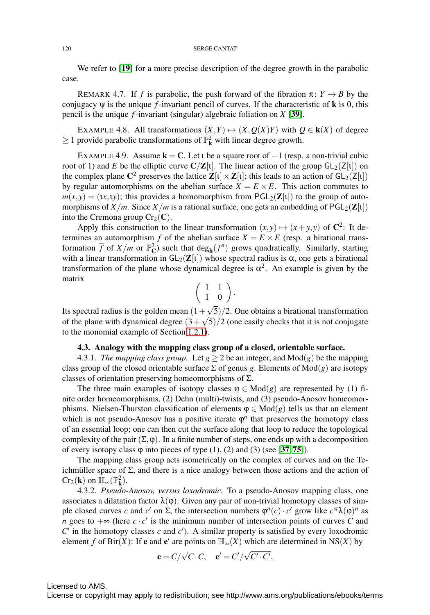#### 120 SERGE CANTAT

We refer to [[19](#page-36-13)] for a more precise description of the degree growth in the parabolic case.

<span id="page-19-0"></span>REMARK 4.7. If *f* is parabolic, the push forward of the fibration  $\pi: Y \rightarrow B$  by the conjugacy  $\psi$  is the unique *f*-invariant pencil of curves. If the characteristic of **k** is 0, this pencil is the unique *f*-invariant (singular) algebraic foliation on *X* [[39](#page-37-13)].

EXAMPLE 4.8. All transformations  $(X, Y) \mapsto (X, Q(X)Y)$  with  $Q \in k(X)$  of degree  $\geq 1$  provide parabolic transformations of  $\mathbb{P}_{k}^{2}$  with linear degree growth.

EXAMPLE 4.9. Assume  $k = C$ . Let t be a square root of  $-1$  (resp. a non-trivial cubic root of 1) and *E* be the elliptic curve  $C/Z[i]$ . The linear action of the group  $GL_2(Z[i])$  on the complex plane  $\mathbb{C}^2$  preserves the lattice  $\mathbb{Z}[\iota] \times \mathbb{Z}[\iota]$ ; this leads to an action of  $GL_2(\mathbb{Z}[\iota])$ by regular automorphisms on the abelian surface  $X = E \times E$ . This action commutes to  $m(x, y) = (x, 1, y)$ ; this provides a homomorphism from  $PGL_2(\mathbb{Z}[1])$  to the group of automorphisms of  $X/m$ . Since  $X/m$  is a rational surface, one gets an embedding of  $PGL_2(\mathbb{Z}[1])$ into the Cremona group  $Cr_2(\mathbf{C})$ .

Apply this construction to the linear transformation  $(x, y) \mapsto (x + y, y)$  of  $\mathbb{C}^2$ : It determines an automorphism *f* of the abelian surface  $X = E \times E$  (resp. a birational transformation  $\overline{f}$  of  $X/m$  or  $\mathbb{P}_{\mathbb{C}}^2$ ) such that  $\deg_{\mathbf{h}}(f^n)$  grows quadratically. Similarly, starting with a linear transformation in  $GL_2(\mathbf{Z}[t])$  whose spectral radius is  $\alpha$ , one gets a birational transformation of the plane whose dynamical degree is  $\alpha^2$ . An example is given by the matrix

$$
\left(\begin{array}{cc} 1 & 1 \\ 1 & 0 \end{array}\right).
$$

Its spectral radius is the golden mean  $(1+\sqrt{5})/2$ . One obtains a birational transformation of the plane with dynamical degree  $(3+\sqrt{5})/2$  (one easily checks that it is not conjugate to the monomial example of Section [1.2.1\)](#page-1-0).

### 4.3. Analogy with the mapping class group of a closed, orientable surface.

4.3.1. *The mapping class group.* Let  $g > 2$  be an integer, and  $Mod(g)$  be the mapping class group of the closed orientable surface  $\Sigma$  of genus g. Elements of Mod(g) are isotopy classes of orientation preserving homeomorphisms of  $\Sigma$ .

The three main examples of isotopy classes  $\varphi \in Mod(g)$  are represented by (1) finite order homeomorphisms, (2) Dehn (multi)-twists, and (3) pseudo-Anosov homeomorphisms. Nielsen-Thurston classification of elements  $\varphi \in Mod(g)$  tells us that an element which is not pseudo-Anosov has a positive iterate  $\varphi^n$  that preserves the homotopy class of an essential loop; one can then cut the surface along that loop to reduce the topological complexity of the pair  $(\Sigma, \varphi)$ . In a finite number of steps, one ends up with a decomposition of every isotopy class  $\varphi$  into pieces of type (1), (2) and (3) (see [[37](#page-37-1), [75](#page-39-13)]).

The mapping class group acts isometrically on the complex of curves and on the Teichmuller space of  $\Sigma$ , and there is a nice analogy between those actions and the action of  $Cr_2(\mathbf{k})$  on  $\mathbb{H}_{\infty}(\mathbb{P}_{\mathbf{k}}^2)$ .

4.3.2. *Pseudo-Anosov, versus loxodromic.* To a pseudo-Anosov mapping class, one associates a dilatation factor  $\lambda(\varphi)$ : Given any pair of non-trivial homotopy classes of simple closed curves *c* and *c'* on  $\Sigma$ , the intersection numbers  $\varphi^{n}(c) \cdot c'$  grow like  $c^{st}\lambda(\varphi)^{n}$  as *n* goes to  $+\infty$  (here *c* · *c'* is the minimum number of intersection points of curves *C* and  $C'$  in the homotopy classes  $c$  and  $c'$ ). A similar property is satisfied by every loxodromic element *f* of Bir(*X*): If **e** and **e'** are points on  $\mathbb{H}_{\infty}(X)$  which are determined in NS(*X*) by

$$
\mathbf{e} = C/\sqrt{C \cdot C}, \quad \mathbf{e}' = C'/\sqrt{C' \cdot C'},
$$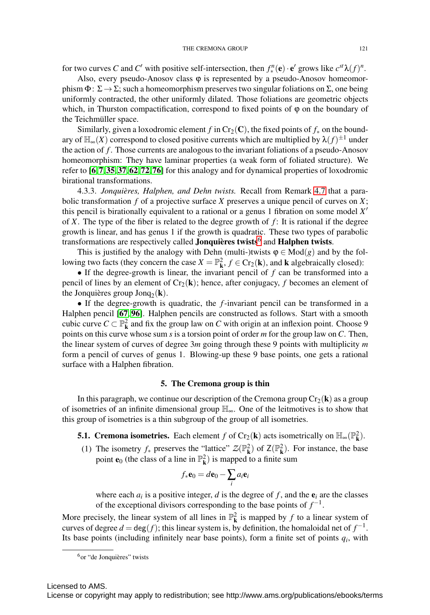for two curves *C* and *C'* with positive self-intersection, then  $f_*^n(\mathbf{e}) \cdot \mathbf{e}'$  grows like  $c^{st} \lambda(f)^n$ .

Also, every pseudo-Anosov class  $\varphi$  is represented by a pseudo-Anosov homeomorphism  $\Phi: \Sigma \to \Sigma$ ; such a homeomorphism preserves two singular foliations on  $\Sigma$ , one being uniformly contracted, the other uniformly dilated. Those foliations are geometric objects which, in Thurston compactification, correspond to fixed points of  $\varphi$  on the boundary of the Teichmüller space.

Similarly, given a loxodromic element *f* in Cr<sub>2</sub>(C), the fixed points of  $f_*$  on the boundary of  $\mathbb{H}_{\infty}(X)$  correspond to closed positive currents which are multiplied by  $\lambda(f)^{\pm 1}$  under the action of *f* . Those currents are analogous to the invariant foliations of a pseudo-Anosov homeomorphism: They have laminar properties (a weak form of foliated structure). We refer to [[6](#page-36-14),[7](#page-36-15),[35](#page-37-10),[37](#page-37-1),[62](#page-38-8),[72](#page-38-9),[76](#page-39-14)] for this analogy and for dynamical properties of loxodromic birational transformations.

4.3.3. *Jonquieres, Halphen, and Dehn twists. `* Recall from Remark [4.7](#page-19-0) that a parabolic transformation *f* of a projective surface *X* preserves a unique pencil of curves on *X*; this pencil is birationally equivalent to a rational or a genus 1 fibration on some model *X* of *X*. The type of the fiber is related to the degree growth of *f* : It is rational if the degree growth is linear, and has genus 1 if the growth is quadratic. These two types of parabolic transformations are respectively called **Jonquières twists**<sup>[6](#page-20-0)</sup> and **Halphen twists**.

This is justified by the analogy with Dehn (multi-)twists  $\varphi \in Mod(g)$  and by the following two facts (they concern the case  $X = \mathbb{P}_{\mathbf{k}}^2$ ,  $f \in \text{Cr}_2(\mathbf{k})$ , and **k** algebraically closed):

• If the degree-growth is linear, the invariant pencil of *f* can be transformed into a pencil of lines by an element of  $Cr_2(\mathbf{k})$ ; hence, after conjugacy, f becomes an element of the Jonquières group Jonq<sub>2</sub>(k).

• If the degree-growth is quadratic, the *f*-invariant pencil can be transformed in a Halphen pencil [[67](#page-38-10), [96](#page-39-15)]. Halphen pencils are constructed as follows. Start with a smooth cubic curve  $C \subset \mathbb{P}^2_k$  and fix the group law on *C* with origin at an inflexion point. Choose 9 points on this curve whose sum *s* is a torsion point of order *m* for the group law on*C*. Then, the linear system of curves of degree 3*m* going through these 9 points with multiplicity *m* form a pencil of curves of genus 1. Blowing-up these 9 base points, one gets a rational surface with a Halphen fibration.

#### 5. The Cremona group is thin

In this paragraph, we continue our description of the Cremona group  $Cr_2(\mathbf{k})$  as a group of isometries of an infinite dimensional group  $\mathbb{H}_{\infty}$ . One of the leitmotives is to show that this group of isometries is a thin subgroup of the group of all isometries.

**5.1. Cremona isometries.** Each element *f* of Cr<sub>2</sub>(**k**) acts isometrically on  $\mathbb{H}_{\infty}(\mathbb{P}_{k}^{2})$ .

(1) The isometry  $f_*$  preserves the "lattice"  $\mathcal{Z}(\mathbb{P}^2_{\mathbf{k}})$  of  $\mathsf{Z}(\mathbb{P}^2_{\mathbf{k}})$ . For instance, the base point **e**<sub>0</sub> (the class of a line in  $\mathbb{P}_{\mathbf{k}}^2$ ) is mapped to a finite sum

$$
f_*\mathbf{e}_0 = d\mathbf{e}_0 - \sum_i a_i \mathbf{e}_i
$$

where each  $a_i$  is a positive integer, *d* is the degree of *f*, and the  $e_i$  are the classes of the exceptional divisors corresponding to the base points of  $f^{-1}$ .

More precisely, the linear system of all lines in  $\mathbb{P}^2_{\mathbf{k}}$  is mapped by *f* to a linear system of curves of degree  $d = \deg(f)$ ; this linear system is, by definition, the homaloidal net of  $f^{-1}$ . Its base points (including infinitely near base points), form a finite set of points  $q_i$ , with

<span id="page-20-0"></span> $6$ or "de Jonquières" twists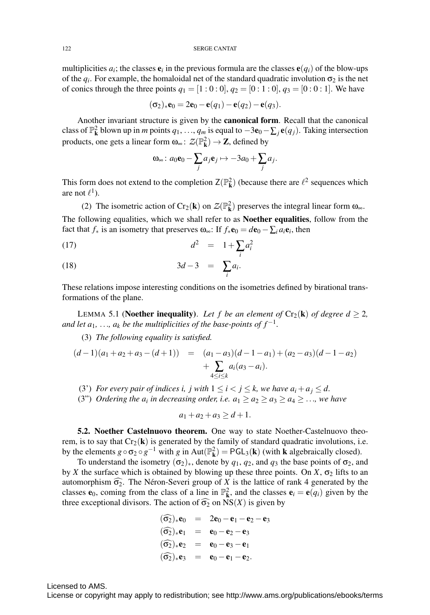multiplicities  $a_i$ ; the classes  $e_i$  in the previous formula are the classes  $e(q_i)$  of the blow-ups of the  $q_i$ . For example, the homaloidal net of the standard quadratic involution  $\sigma_2$  is the net of conics through the three points  $q_1 = [1:0:0], q_2 = [0:1:0], q_3 = [0:0:1].$  We have

$$
(\sigma_2)_*{\bf e}_0=2{\bf e}_0-{\bf e}(q_1)-{\bf e}(q_2)-{\bf e}(q_3).
$$

Another invariant structure is given by the canonical form. Recall that the canonical class of  $\mathbb{P}^2_{\mathbf{k}}$  blown up in *m* points  $q_1, ..., q_m$  is equal to  $-3\mathbf{e}_0 - \sum_j \mathbf{e}(q_j)$ . Taking intersection products, one gets a linear form  $\omega_{\infty} \colon \mathcal{Z}(\mathbb{P}^2_{\mathbf{k}}) \to \mathbf{Z}$ , defined by

$$
\mathbf{\omega}_{\infty}\colon a_0\mathbf{e}_0-\sum_j a_j\mathbf{e}_j\mapsto -3a_0+\sum_j a_j.
$$

This form does not extend to the completion  $Z(\mathbb{P}^2_{\mathbf{k}})$  (because there are  $\ell^2$  sequences which are not  $\ell^1$ ).

(2) The isometric action of  $Cr_2(\mathbf{k})$  on  $\mathcal{Z}(\mathbb{P}^2_{\mathbf{k}})$  preserves the integral linear form  $\omega_{\infty}$ . The following equalities, which we shall refer to as Noether equalities, follow from the fact that  $f_*$  is an isometry that preserves  $\omega_{\infty}$ : If  $f_*\mathbf{e}_0 = d\mathbf{e}_0 - \sum_i a_i \mathbf{e}_i$ , then

$$
d^2 = 1 + \sum_i a_i^2
$$

$$
(18) \t\t 3d-3 = \sum_i a_i.
$$

These relations impose interesting conditions on the isometries defined by birational transformations of the plane.

LEMMA 5.1 (**Noether inequality**). Let f be an element of  $Cr_2(\mathbf{k})$  of degree  $d \geq 2$ , *and let a*<sub>1</sub>*, ..., a<sub>k</sub> be the multiplicities of the base-points of*  $f^{-1}$ *.* 

(3) *The following equality is satisfied.*

$$
(d-1)(a_1 + a_2 + a_3 - (d+1)) = (a_1 - a_3)(d-1-a_1) + (a_2 - a_3)(d-1-a_2) + \sum_{4 \le i \le k} a_i(a_3 - a_i).
$$

(3') *For every pair of indices i, j with*  $1 \le i < j \le k$ *, we have*  $a_i + a_j \le d$ *.* 

(3") *Ordering the*  $a_i$  *in decreasing order, i.e.*  $a_1 \ge a_2 \ge a_3 \ge a_4 \ge \ldots$ *, we have* 

$$
a_1 + a_2 + a_3 \ge d + 1.
$$

<span id="page-21-0"></span>5.2. Noether Castelnuovo theorem. One way to state Noether-Castelnuovo theorem, is to say that  $Cr_2(k)$  is generated by the family of standard quadratic involutions, i.e. by the elements  $g \circ \sigma_2 \circ g^{-1}$  with  $g$  in Aut( $\mathbb{P}_{\mathbf{k}}^2$ ) = PGL<sub>3</sub>( $\mathbf{k}$ ) (with  $\mathbf{k}$  algebraically closed).

To understand the isometry  $(\sigma_2)_*$ , denote by  $q_1, q_2$ , and  $q_3$  the base points of  $\sigma_2$ , and by *X* the surface which is obtained by blowing up these three points. On *X*,  $\sigma_2$  lifts to an automorphism  $\widehat{\sigma_2}$ . The Néron-Severi group of X is the lattice of rank 4 generated by the classes  $\mathbf{e}_0$ , coming from the class of a line in  $\mathbb{P}_{\mathbf{k}}^2$ , and the classes  $\mathbf{e}_i = \mathbf{e}(q_i)$  given by the three exceptional divisors. The action of  $\widehat{\sigma_2}$  on  $NS(X)$  is given by

$$
(\widehat{\sigma_2})_* \mathbf{e}_0 = 2\mathbf{e}_0 - \mathbf{e}_1 - \mathbf{e}_2 - \mathbf{e}_3 \n(\widehat{\sigma_2})_* \mathbf{e}_1 = \mathbf{e}_0 - \mathbf{e}_2 - \mathbf{e}_3 \n(\widehat{\sigma_2})_* \mathbf{e}_2 = \mathbf{e}_0 - \mathbf{e}_3 - \mathbf{e}_1 \n(\widehat{\sigma_2})_* \mathbf{e}_3 = \mathbf{e}_0 - \mathbf{e}_1 - \mathbf{e}_2.
$$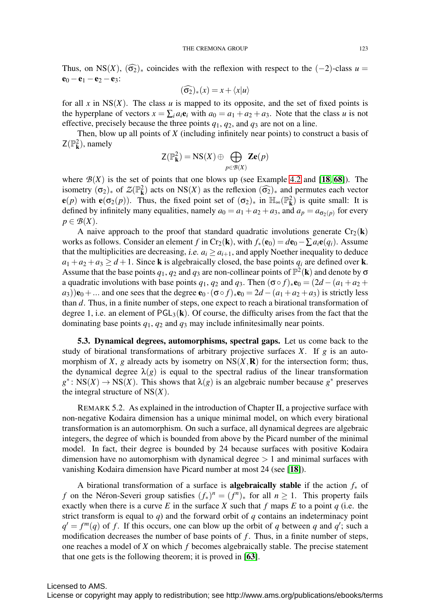Thus, on NS(*X*),  $(\widehat{\sigma_2})_*$  coincides with the reflexion with respect to the (-2)-class *u* =  $e_0 - e_1 - e_2 - e_3$ :

$$
(\widehat{\sigma_2})_*(x) = x + \langle x | u \rangle
$$

for all x in  $NS(X)$ . The class u is mapped to its opposite, and the set of fixed points is the hyperplane of vectors  $x = \sum_i a_i \mathbf{e}_i$  with  $a_0 = a_1 + a_2 + a_3$ . Note that the class *u* is not effective, precisely because the three points  $q_1$ ,  $q_2$ , and  $q_3$  are not on a line.

Then, blow up all points of *X* (including infinitely near points) to construct a basis of  $Z(\mathbb{P}_{\mathbf{k}}^2)$ , namely

$$
\mathsf{Z}(\mathbb{P}_{\mathbf{k}}^2) = \mathbf{NS}(X) \oplus \bigoplus_{p \in \mathcal{B}(X)} \mathbf{Z}\mathbf{e}(p)
$$

where  $B(X)$  is the set of points that one blows up (see Example [4.2](#page-14-2) and [[18](#page-36-11), [68](#page-38-2)]). The isometry  $(\sigma_2)_*$  of  $\mathcal{Z}(\mathbb{P}^2_k)$  acts on NS(*X*) as the reflexion  $(\widehat{\sigma_2})_*$  and permutes each vector  $e(p)$  with  $e(\sigma_2(p))$ . Thus, the fixed point set of  $(\sigma_2)_*$  in  $\mathbb{H}_{\infty}(\mathbb{P}_{\mathbf{k}}^2)$  is quite small: It is defined by infinitely many equalities, namely  $a_0 = a_1 + a_2 + a_3$ , and  $a_p = a_{\sigma_2(p)}$  for every  $p \in \mathcal{B}(X)$ .

A naive approach to the proof that standard quadratic involutions generate  $Cr_2(\mathbf{k})$ works as follows. Consider an element *f* in Cr<sub>2</sub>(**k**), with  $f_*(\mathbf{e}_0) = d\mathbf{e}_0 - \sum a_i \mathbf{e}(q_i)$ . Assume that the multiplicities are decreasing, *i.e.*  $a_i \geq a_{i+1}$ , and apply Noether inequality to deduce  $a_1 + a_2 + a_3 \ge d + 1$ . Since **k** is algebraically closed, the base points  $q_i$  are defined over **k**. Assume that the base points  $q_1, q_2$  and  $q_3$  are non-collinear points of  $\mathbb{P}^2(\mathbf{k})$  and denote by  $\sigma$ a quadratic involutions with base points  $q_1, q_2$  and  $q_3$ . Then  $(\sigma \circ f)_* \mathbf{e}_0 = (2d - (a_1 + a_2 + a_3))$  $a_3$ ) $(e_0 + ...$  and one sees that the degree  $e_0 \cdot (\sigma \circ f)_*e_0 = 2d - (a_1 + a_2 + a_3)$  is strictly less than *d*. Thus, in a finite number of steps, one expect to reach a birational transformation of degree 1, i.e. an element of  $\text{PGL}_3(\mathbf{k})$ . Of course, the difficulty arises from the fact that the dominating base points *q*1, *q*<sup>2</sup> and *q*<sup>3</sup> may include infinitesimally near points.

5.3. Dynamical degrees, automorphisms, spectral gaps. Let us come back to the study of birational transformations of arbitrary projective surfaces *X*. If *g* is an automorphism of *X*, *g* already acts by isometry on  $NS(X, R)$  for the intersection form; thus, the dynamical degree  $\lambda(g)$  is equal to the spectral radius of the linear transformation  $g^*$ : NS(*X*)  $\rightarrow$  NS(*X*). This shows that  $\lambda(g)$  is an algebraic number because  $g^*$  preserves the integral structure of  $NS(X)$ .

<span id="page-22-0"></span>REMARK 5.2. As explained in the introduction of Chapter II, a projective surface with non-negative Kodaira dimension has a unique minimal model, on which every birational transformation is an automorphism. On such a surface, all dynamical degrees are algebraic integers, the degree of which is bounded from above by the Picard number of the minimal model. In fact, their degree is bounded by 24 because surfaces with positive Kodaira dimension have no automorphism with dynamical degree  $> 1$  and minimal surfaces with vanishing Kodaira dimension have Picard number at most 24 (see [[18](#page-36-11)]).

A birational transformation of a surface is algebraically stable if the action *f*<sup>∗</sup> of *f* on the Néron-Severi group satisfies  $(f_*)^n = (f^n)_*$  for all  $n \ge 1$ . This property fails exactly when there is a curve  $E$  in the surface  $X$  such that  $f$  maps  $E$  to a point  $q$  (i.e. the strict transform is equal to *q*) and the forward orbit of *q* contains an indeterminacy point  $q' = f^m(q)$  of f. If this occurs, one can blow up the orbit of q between q and  $q'$ ; such a modification decreases the number of base points of *f*. Thus, in a finite number of steps, one reaches a model of *X* on which *f* becomes algebraically stable. The precise statement that one gets is the following theorem; it is proved in [[63](#page-38-7)].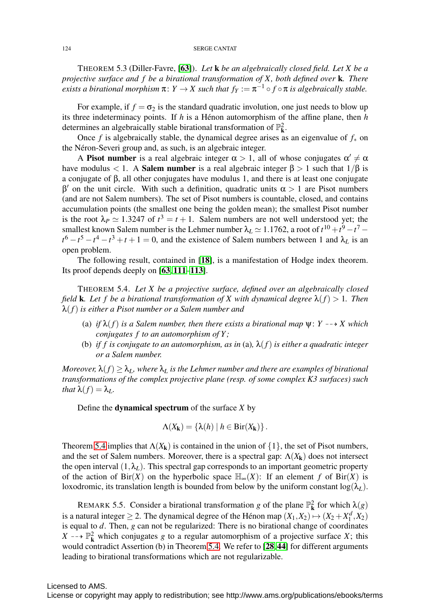THEOREM 5.3 (Diller-Favre, [[63](#page-38-7)]). *Let* k *be an algebraically closed field. Let X be a projective surface and f be a birational transformation of X, both defined over* k*. There exists a birational morphism*  $\pi: Y \to X$  *such that*  $f_Y := \pi^{-1} \circ f \circ \pi$  *is algebraically stable.* 

For example, if  $f = \sigma_2$  is the standard quadratic involution, one just needs to blow up its three indeterminacy points. If  $h$  is a Hénon automorphism of the affine plane, then  $h$ determines an algebraically stable birational transformation of  $\mathbb{P}^2_{\mathbf{k}}$ .

Once *f* is algebraically stable, the dynamical degree arises as an eigenvalue of  $f_*$  on the Néron-Severi group and, as such, is an algebraic integer.

A Pisot number is a real algebraic integer  $\alpha > 1$ , all of whose conjugates  $\alpha' \neq \alpha$ have modulus < 1. A **Salem number** is a real algebraic integer  $\beta > 1$  such that  $1/\beta$  is a conjugate of β, all other conjugates have modulus 1, and there is at least one conjugate  $β'$  on the unit circle. With such a definition, quadratic units  $α > 1$  are Pisot numbers (and are not Salem numbers). The set of Pisot numbers is countable, closed, and contains accumulation points (the smallest one being the golden mean); the smallest Pisot number is the root  $\lambda_P \simeq 1.3247$  of  $t^3 = t + 1$ . Salem numbers are not well understood yet; the smallest known Salem number is the Lehmer number  $\lambda_L \simeq 1.1762$ , a root of  $t^{10} + t^9 - t^7 - t^8$  $t^6 - t^5 - t^4 - t^3 + t + 1 = 0$ , and the existence of Salem numbers between 1 and  $\lambda_L$  is an open problem.

The following result, contained in [[18](#page-36-11)], is a manifestation of Hodge index theorem. Its proof depends deeply on [[63](#page-38-7), [111](#page-40-13)–[113](#page-40-14)].

<span id="page-23-1"></span>THEOREM 5.4. *Let X be a projective surface, defined over an algebraically closed field* **k***. Let f be a birational transformation of X with dynamical degree*  $\lambda(f) > 1$ *. Then* λ(*f*) *is either a Pisot number or a Salem number and*

- (a) *if*  $\lambda(f)$  *is a Salem number, then there exists a birational map*  $\psi$ : *Y* --+ *X* which *conjugates f to an automorphism of Y ;*
- (b) *if f is conjugate to an automorphism, as in* (a)*,* λ(*f*) *is either a quadratic integer or a Salem number.*

*Moreover,*  $\lambda(f) \geq \lambda_L$ , where  $\lambda_L$  *is the Lehmer number and there are examples of birational transformations of the complex projective plane (resp. of some complex K3 surfaces) such that*  $\lambda(f) = \lambda_L$ .

Define the dynamical spectrum of the surface *X* by

$$
\Lambda(X_{\mathbf{k}})=\{\lambda(h)\mid h\in\operatorname{Bir}(X_{\mathbf{k}})\}.
$$

Theorem [5.4](#page-23-1) implies that  $\Lambda(X_k)$  is contained in the union of  $\{1\}$ , the set of Pisot numbers, and the set of Salem numbers. Moreover, there is a spectral gap:  $\Lambda(X_k)$  does not intersect the open interval  $(1, \lambda_L)$ . This spectral gap corresponds to an important geometric property of the action of Bir(*X*) on the hyperbolic space  $\mathbb{H}_{\infty}(X)$ : If an element *f* of Bir(*X*) is loxodromic, its translation length is bounded from below by the uniform constant  $\log(\lambda_L)$ .

<span id="page-23-0"></span>REMARK 5.5. Consider a birational transformation *g* of the plane  $\mathbb{P}^2_{\mathbf{k}}$  for which  $\lambda(g)$ is a natural integer  $\geq$  2. The dynamical degree of the Hénon map  $(X_1, X_2) \mapsto (X_2 + X_1^d, X_2)$ is equal to *d*. Then, *g* can not be regularized: There is no birational change of coordinates  $X \rightarrow \mathbb{P}^2_{\mathbf{k}}$  which conjugates *g* to a regular automorphism of a projective surface *X*; this would contradict Assertion (b) in Theorem [5.4.](#page-23-1) We refer to [[28](#page-37-14),[44](#page-37-15)] for different arguments leading to birational transformations which are not regularizable.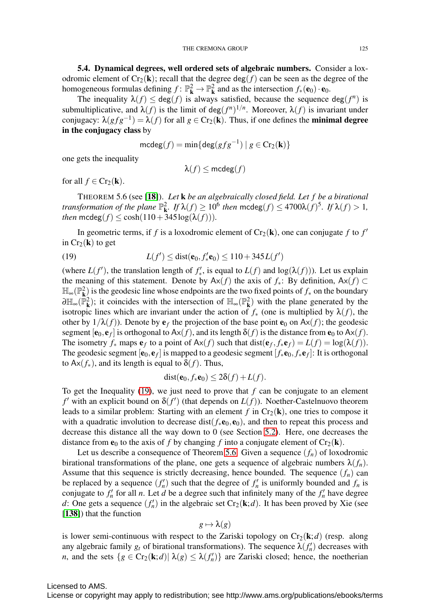5.4. Dynamical degrees, well ordered sets of algebraic numbers. Consider a loxodromic element of  $Cr_2(\mathbf{k})$ ; recall that the degree deg(*f*) can be seen as the degree of the homogeneous formulas defining  $f: \mathbb{P}_{\mathbf{k}}^2 \to \mathbb{P}_{\mathbf{k}}^2$  and as the intersection  $f_*(\mathbf{e}_0) \cdot \mathbf{e}_0$ .

The inequality  $\lambda(f) \leq \deg(f)$  is always satisfied, because the sequence  $\deg(f^n)$  is submultiplicative, and  $\lambda(f)$  is the limit of deg( $f^n$ )<sup>1/*n*</sup>. Moreover,  $\lambda(f)$  is invariant under conjugacy:  $\lambda(gfg^{-1}) = \lambda(f)$  for all  $g \in Cr_2(\mathbf{k})$ . Thus, if one defines the **minimal degree** in the conjugacy class by

$$
\mathsf{mcdeg}(f) = \min\{\mathsf{deg}(gfg^{-1}) \mid g \in \mathsf{Cr}_2(\mathbf{k})\}
$$

one gets the inequality

$$
\lambda(f) \leq \mathsf{mcdeg}(f)
$$

for all  $f \in Cr_2(\mathbf{k})$ .

<span id="page-24-1"></span>THEOREM 5.6 (see [[18](#page-36-11)]). *Let* k *be an algebraically closed field. Let f be a birational transformation of the plane*  $\mathbb{P}^2_{\mathbf{k}}$ *. If*  $\lambda(f) \geq 10^6$  *then*  $\text{mcdeg}(f) \leq 4700\lambda(f)^5$ *. If*  $\lambda(f) > 1$ *, then*  $\text{mcdeg}(f) \leq \cosh(110 + 345\log(\lambda(f))).$ 

In geometric terms, if *f* is a loxodromic element of  $Cr_2(\mathbf{k})$ , one can conjugate *f* to *f'* in  $Cr_2(\mathbf{k})$  to get

<span id="page-24-0"></span>(19) 
$$
L(f') \leq \text{dist}(\mathbf{e}_0, f'_* \mathbf{e}_0) \leq 110 + 345 L(f')
$$

(where  $L(f')$ , the translation length of  $f'_*$ , is equal to  $L(f)$  and  $log(\lambda(f))$ ). Let us explain the meaning of this statement. Denote by  $Ax(f)$  the axis of  $f_*$ : By definition,  $Ax(f) \subset$ H∞(P<sup>2</sup> <sup>k</sup>) is the geodesic line whose endpoints are the two fixed points of *f*<sup>∗</sup> on the boundary  $\partial \mathbb{H}_{\infty}(\mathbb{P}_{\mathbf{k}}^2)$ ; it coincides with the intersection of  $\mathbb{H}_{\infty}(\mathbb{P}_{\mathbf{k}}^2)$  with the plane generated by the isotropic lines which are invariant under the action of  $f_*$  (one is multiplied by  $\lambda(f)$ , the other by  $1/\lambda(f)$ ). Denote by  $e_f$  the projection of the base point  $e_0$  on  $Ax(f)$ ; the geodesic segment  $[\mathbf{e}_0, \mathbf{e}_f]$  is orthogonal to  $A \times (f)$ , and its length  $\delta(f)$  is the distance from  $\mathbf{e}_0$  to  $A \times (f)$ . The isometry  $f_*$  maps  $e_f$  to a point of  $Ax(f)$  such that  $dist(e_f, f_*e_f) = L(f) = log(\lambda(f)).$ The geodesic segment  $[e_0, e_f]$  is mapped to a geodesic segment  $[f_*e_0, f_*e_f]$ : It is orthogonal to Ax( $f$ <sup>\*</sup>), and its length is equal to  $\delta(f)$ . Thus,

$$
dist(\mathbf{e}_0, f_*\mathbf{e}_0) \le 2\delta(f) + L(f).
$$

To get the Inequality [\(19\)](#page-24-0), we just need to prove that *f* can be conjugate to an element  $f'$  with an explicit bound on  $\delta(f')$  (that depends on  $L(f)$ ). Noether-Castelnuovo theorem leads to a similar problem: Starting with an element  $f$  in  $Cr_2(k)$ , one tries to compose it with a quadratic involution to decrease dist( $f_*\mathbf{e}_0, \mathbf{e}_0$ ), and then to repeat this process and decrease this distance all the way down to 0 (see Section [5.2\)](#page-21-0). Here, one decreases the distance from  $e_0$  to the axis of *f* by changing *f* into a conjugate element of  $Cr_2(\mathbf{k})$ .

Let us describe a consequence of Theorem [5.6.](#page-24-1) Given a sequence  $(f_n)$  of loxodromic birational transformations of the plane, one gets a sequence of algebraic numbers  $\lambda(f_n)$ . Assume that this sequence is strictly decreasing, hence bounded. The sequence  $(f_n)$  can be replaced by a sequence  $(f'_n)$  such that the degree of  $f'_n$  is uniformly bounded and  $f_n$  is conjugate to  $f'_n$  for all *n*. Let *d* be a degree such that infinitely many of the  $f'_n$  have degree d: One gets a sequence  $(f'_n)$  in the algebraic set  $Cr_2(k; d)$ . It has been proved by Xie (see [[138](#page-41-11)]) that the function

$$
g \mapsto \lambda(g)
$$

is lower semi-continuous with respect to the Zariski topology on  $Cr_2(k; d)$  (resp. along any algebraic family  $g_t$  of birational transformations). The sequence  $\lambda(f'_n)$  decreases with *n*, and the sets  $\{g \in Cr_2(\mathbf{k}; d) | \lambda(g) \leq \lambda(f'_n)\}$  are Zariski closed; hence, the noetherian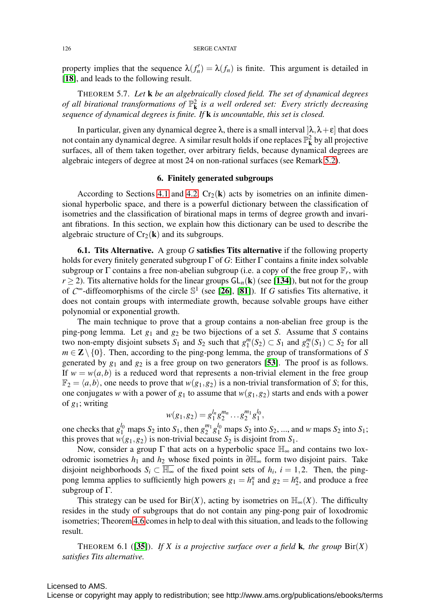property implies that the sequence  $\lambda(f'_n) = \lambda(f_n)$  is finite. This argument is detailed in [[18](#page-36-11)], and leads to the following result.

THEOREM 5.7. *Let* k *be an algebraically closed field. The set of dynamical degrees* of all birational transformations of  $\mathbb{P}_{k}^{2}$  is a well ordered set: Every strictly decreasing *sequence of dynamical degrees is finite. If* k *is uncountable, this set is closed.*

In particular, given any dynamical degree  $\lambda$ , there is a small interval  $[\lambda, \lambda + \varepsilon]$  that does not contain any dynamical degree. A similar result holds if one replaces  $\mathbb{P}_{\mathbf{k}}^2$  by all projective surfaces, all of them taken together, over arbitrary fields, because dynamical degrees are algebraic integers of degree at most 24 on non-rational surfaces (see Remark [5.2\)](#page-22-0).

#### 6. Finitely generated subgroups

According to Sections [4.1](#page-13-1) and [4.2,](#page-18-0)  $Cr_2(\mathbf{k})$  acts by isometries on an infinite dimensional hyperbolic space, and there is a powerful dictionary between the classification of isometries and the classification of birational maps in terms of degree growth and invariant fibrations. In this section, we explain how this dictionary can be used to describe the algebraic structure of  $Cr_2(\mathbf{k})$  and its subgroups.

6.1. Tits Alternative. A group *G* satisfies Tits alternative if the following property holds for every finitely generated subgroup Γ of *G*: Either Γ contains a finite index solvable subgroup or  $\Gamma$  contains a free non-abelian subgroup (i.e. a copy of the free group  $\mathbb{F}_r$ , with  $r \ge 2$ ). Tits alternative holds for the linear groups  $GL_n(\mathbf{k})$  (see [[134](#page-41-12)]), but not for the group of  $C^{\infty}$ -diffeomorphisms of the circle  $\mathbb{S}^1$  (see [[26](#page-37-16)], [[81](#page-39-16)]). If *G* satisfies Tits alternative, it does not contain groups with intermediate growth, because solvable groups have either polynomial or exponential growth.

The main technique to prove that a group contains a non-abelian free group is the ping-pong lemma. Let  $g_1$  and  $g_2$  be two bijections of a set *S*. Assume that *S* contains two non-empty disjoint subsets  $S_1$  and  $S_2$  such that  $g_1^m(S_2) \subset S_1$  and  $g_2^m(S_1) \subset S_2$  for all  $m \in \mathbb{Z} \setminus \{0\}$ . Then, according to the ping-pong lemma, the group of transformations of *S* generated by  $g_1$  and  $g_2$  is a free group on two generators [[53](#page-38-11)]. The proof is as follows. If  $w = w(a, b)$  is a reduced word that represents a non-trivial element in the free group  $\mathbb{F}_2 = \langle a, b \rangle$ , one needs to prove that  $w(g_1, g_2)$  is a non-trivial transformation of *S*; for this, one conjugates *w* with a power of  $g_1$  to assume that  $w(g_1, g_2)$  starts and ends with a power of *g*1; writing

$$
w(g_1,g_2)=g_1^{l_n}g_2^{m_n}\dots g_2^{m_1}g_1^{l_0},
$$

one checks that  $g_1^{l_0}$  maps  $S_2$  into  $S_1$ , then  $g_2^{m_1}g_1^{l_0}$  maps  $S_2$  into  $S_2$ , ..., and *w* maps  $S_2$  into  $S_1$ ; this proves that  $w(g_1, g_2)$  is non-trivial because  $S_2$  is disjoint from  $S_1$ .

Now, consider a group  $\Gamma$  that acts on a hyperbolic space  $\mathbb{H}_{\infty}$  and contains two loxodromic isometries *h*<sup>1</sup> and *h*<sup>2</sup> whose fixed points in ∂H<sup>∞</sup> form two disjoint pairs. Take disjoint neighborhoods  $S_i \subset \overline{\mathbb{H}_{\infty}}$  of the fixed point sets of  $h_i$ ,  $i = 1, 2$ . Then, the pingpong lemma applies to sufficiently high powers  $g_1 = h_1^n$  and  $g_2 = h_2^n$ , and produce a free subgroup of Γ.

This strategy can be used for Bir(*X*), acting by isometries on  $\mathbb{H}_{\infty}(X)$ . The difficulty resides in the study of subgroups that do not contain any ping-pong pair of loxodromic isometries; Theorem [4.6](#page-18-1) comes in help to deal with this situation, and leads to the following result.

THEOREM 6.1 ([[35](#page-37-10)]). *If X* is a projective surface over a field **k**, the group  $\text{Bir}(X)$ *satisfies Tits alternative.*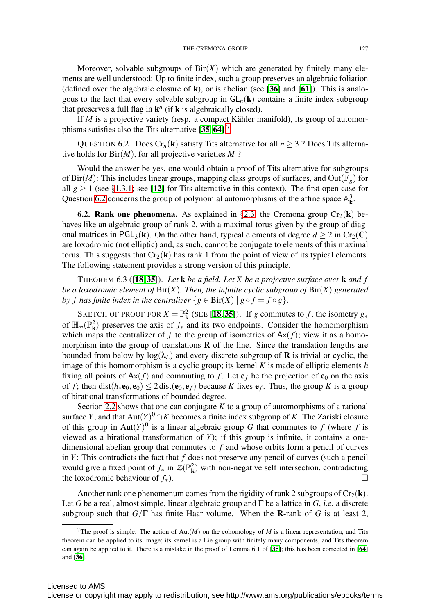Moreover, solvable subgroups of  $\text{Bir}(X)$  which are generated by finitely many elements are well understood: Up to finite index, such a group preserves an algebraic foliation (defined over the algebraic closure of k), or is abelian (see [[36](#page-37-17)] and [[61](#page-38-12)]). This is analogous to the fact that every solvable subgroup in  $GL_n(k)$  contains a finite index subgroup that preserves a full flag in  $\mathbf{k}^n$  (if **k** is algebraically closed).

If  $M$  is a projective variety (resp. a compact Kähler manifold), its group of automor-phisms satisfies also the Tits alternative [[35](#page-37-10), [64](#page-38-13)].<sup>[7](#page-26-0)</sup>

<span id="page-26-1"></span>QUESTION 6.2. Does  $Cr_n(k)$  satisfy Tits alternative for all  $n \geq 3$  ? Does Tits alternative holds for Bir(*M*), for all projective varieties *M* ?

Would the answer be yes, one would obtain a proof of Tits alternative for subgroups of Bir(*M*): This includes linear groups, mapping class groups of surfaces, and Out( $\mathbb{F}_g$ ) for all  $g \ge 1$  (see §[1.3.1;](#page-3-0) see [[12](#page-36-16)] for Tits alternative in this context). The first open case for Question [6.2](#page-26-1) concerns the group of polynomial automorphisms of the affine space  $\mathbb{A}^3_{\mathbf{k}}$ .

**6.2. Rank one phenomena.** As explained in §[2.3,](#page-7-3) the Cremona group  $Cr_2(\mathbf{k})$  behaves like an algebraic group of rank 2, with a maximal torus given by the group of diagonal matrices in PGL<sub>3</sub>(k). On the other hand, typical elements of degree  $d \ge 2$  in Cr<sub>2</sub>(C) are loxodromic (not elliptic) and, as such, cannot be conjugate to elements of this maximal torus. This suggests that  $Cr_2(k)$  has rank 1 from the point of view of its typical elements. The following statement provides a strong version of this principle.

THEOREM 6.3 ([[18](#page-36-11), [35](#page-37-10)]). *Let* k *be a field. Let X be a projective surface over* k *and f be a loxodromic element of* Bir(*X*)*. Then, the infinite cyclic subgroup of* Bir(*X*) *generated by f has finite index in the centralizer*  $\{g \in \text{Bir}(X) \mid g \circ f = f \circ g\}.$ 

SKETCH OF PROOF FOR  $X = \mathbb{P}^2_k$  (SEE [[18](#page-36-11),[35](#page-37-10)]). If *g* commutes to *f*, the isometry  $g_*$ of  $\mathbb{H}_{\infty}(\mathbb{P}_{\mathbf{k}}^2)$  preserves the axis of  $f_*$  and its two endpoints. Consider the homomorphism which maps the centralizer of  $f$  to the group of isometries of  $Ax(f)$ ; view it as a homomorphism into the group of translations  **of the line. Since the translation lengths are** bounded from below by  $\log(\lambda_L)$  and every discrete subgroup of **R** is trivial or cyclic, the image of this homomorphism is a cyclic group; its kernel *K* is made of elliptic elements *h* fixing all points of  $Ax(f)$  and commuting to f. Let  $e_f$  be the projection of  $e_0$  on the axis of *f*; then dist( $h_*e_0, e_0$ )  $\leq$  2 dist( $e_0, e_f$ ) because *K* fixes  $e_f$ . Thus, the group *K* is a group of birational transformations of bounded degree.

Section [2.2](#page-7-4) shows that one can conjugate  $K$  to a group of automorphisms of a rational surface *Y*, and that  $Aut(Y)^0 \cap K$  becomes a finite index subgroup of *K*. The Zariski closure of this group in Aut $(Y)^{0}$  is a linear algebraic group G that commutes to f (where f is viewed as a birational transformation of *Y*); if this group is infinite, it contains a onedimensional abelian group that commutes to *f* and whose orbits form a pencil of curves in *Y*: This contradicts the fact that *f* does not preserve any pencil of curves (such a pencil would give a fixed point of  $f_*$  in  $\mathcal{Z}(\mathbb{P}^2_k)$  with non-negative self intersection, contradicting the loxodromic behaviour of  $f_*$ ).

Another rank one phenomenum comes from the rigidity of rank 2 subgroups of  $Cr_2(\mathbf{k})$ . Let *G* be a real, almost simple, linear algebraic group and Γ be a lattice in *G*, i.e. a discrete subgroup such that  $G/\Gamma$  has finite Haar volume. When the **R**-rank of *G* is at least 2,

<span id="page-26-0"></span><sup>&</sup>lt;sup>7</sup>The proof is simple: The action of  $Aut(M)$  on the cohomology of  $M$  is a linear representation, and Tits theorem can be applied to its image; its kernel is a Lie group with finitely many components, and Tits theorem can again be applied to it. There is a mistake in the proof of Lemma 6.1 of [[35](#page-37-10)]; this has been corrected in [[64](#page-38-13)] and [[36](#page-37-17)].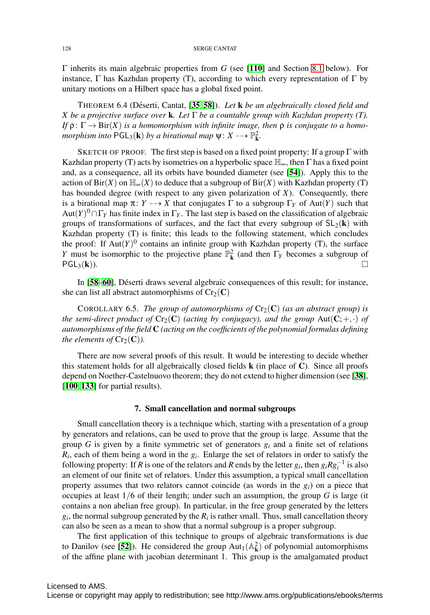Γ inherits its main algebraic properties from *G* (see [[110](#page-40-15)] and Section [8.1](#page-31-0) below). For instance, Γ has Kazhdan property (T), according to which every representation of Γ by unitary motions on a Hilbert space has a global fixed point.

THEOREM 6.4 (Déserti, Cantat, [[35](#page-37-10), [58](#page-38-14)]). *Let* **k** *be an algebraically closed field and X be a projective surface over* k*. Let* Γ *be a countable group with Kazhdan property (T). If*  $\rho: \Gamma \to Bir(X)$  *is a homomorphism with infinite image, then*  $\rho$  *is conjugate to a homomorphism into*  $PGL_3(\mathbf{k})$  *by a birational map*  $\psi: X \longrightarrow \mathbb{P}^2_{\mathbf{k}}$ *.* 

SKETCH OF PROOF. The first step is based on a fixed point property: If a group  $\Gamma$  with Kazhdan property (T) acts by isometries on a hyperbolic space  $\mathbb{H}_{\infty}$ , then  $\Gamma$  has a fixed point and, as a consequence, all its orbits have bounded diameter (see [[54](#page-38-15)]). Apply this to the action of  $\text{Bir}(X)$  on  $\mathbb{H}_{\infty}(X)$  to deduce that a subgroup of  $\text{Bir}(X)$  with Kazhdan property (T) has bounded degree (with respect to any given polarization of *X*). Consequently, there is a birational map  $\pi: Y \dashrightarrow X$  that conjugates  $\Gamma$  to a subgroup  $\Gamma_Y$  of Aut(*Y*) such that  $Aut(Y)^0 \cap \Gamma_Y$  has finite index in  $\Gamma_Y$ . The last step is based on the classification of algebraic groups of transformations of surfaces, and the fact that every subgroup of  $SL_2(\mathbf{k})$  with Kazhdan property (T) is finite; this leads to the following statement, which concludes the proof: If  $Aut(Y)^0$  contains an infinite group with Kazhdan property (T), the surface *Y* must be isomorphic to the projective plane  $\mathbb{P}^2_{\mathbf{k}}$  (and then  $\Gamma_Y$  becomes a subgroup of  $PGL_3(\mathbf{k})$ ).

In [[58](#page-38-14)–[60](#page-38-16)], Déserti draws several algebraic consequences of this result; for instance, she can list all abstract automorphisms of  $Cr_2(\mathbf{C})$ 

COROLLARY 6.5. *The group of automorphisms of*  $Cr_2(C)$  *(as an abstract group) is the semi-direct product of*  $Cr_2(C)$  *(acting by conjugacy), and the group*  $Aut(C; +, \cdot)$  *of automorphisms of the field* C *(acting on the coefficients of the polynomial formulas defining the elements of*  $Cr_2(\mathbf{C})$ *).* 

There are now several proofs of this result. It would be interesting to decide whether this statement holds for all algebraically closed fields  $\bf{k}$  (in place of  $\bf{C}$ ). Since all proofs depend on Noether-Castelnuovo theorem; they do not extend to higher dimension (see [[38](#page-37-2)], [[100](#page-40-16), [133](#page-41-13)] for partial results).

#### 7. Small cancellation and normal subgroups

<span id="page-27-0"></span>Small cancellation theory is a technique which, starting with a presentation of a group by generators and relations, can be used to prove that the group is large. Assume that the group *G* is given by a finite symmetric set of generators *gi* and a finite set of relations *Ri*, each of them being a word in the *gi*. Enlarge the set of relators in order to satisfy the following property: If *R* is one of the relators and *R* ends by the letter  $g_i$ , then  $g_i R g_i^{-1}$  is also an element of our finite set of relators. Under this assumption, a typical small cancellation property assumes that two relators cannot coincide (as words in the  $g_i$ ) on a piece that occupies at least 1/6 of their length; under such an assumption, the group *G* is large (it contains a non abelian free group). In particular, in the free group generated by the letters  $g_i$ , the normal subgroup generated by the  $R_i$  is rather small. Thus, small cancellation theory can also be seen as a mean to show that a normal subgroup is a proper subgroup.

The first application of this technique to groups of algebraic transformations is due to Danilov (see [[52](#page-38-17)]). He considered the group  $Aut_1(\mathbb{A}_{\mathbf{k}}^2)$  of polynomial automorphisms of the affine plane with jacobian determinant 1. This group is the amalgamated product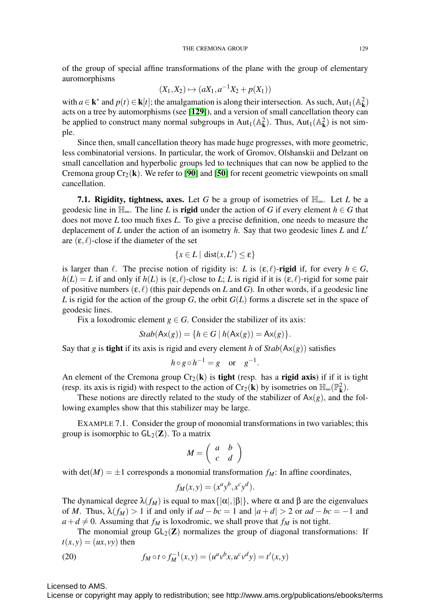of the group of special affine transformations of the plane with the group of elementary auromorphisms

$$
(X_1, X_2) \mapsto (aX_1, a^{-1}X_2 + p(X_1))
$$

with  $a \in \mathbf{k}^*$  and  $p(t) \in \mathbf{k}[t]$ ; the amalgamation is along their intersection. As such, Aut<sub>1</sub>( $\mathbb{A}_{\mathbf{k}}^2$ ) acts on a tree by automorphisms (see [[129](#page-41-14)]), and a version of small cancellation theory can be applied to construct many normal subgroups in Aut<sub>1</sub>( $\mathbb{A}_{\mathbf{k}}^2$ ). Thus, Aut<sub>1</sub>( $\mathbb{A}_{\mathbf{k}}^2$ ) is not simple.

Since then, small cancellation theory has made huge progresses, with more geometric, less combinatorial versions. In particular, the work of Gromov, Olshanskii and Delzant on small cancellation and hyperbolic groups led to techniques that can now be applied to the Cremona group  $Cr_2(k)$ . We refer to [[90](#page-39-17)] and [[50](#page-38-18)] for recent geometric viewpoints on small cancellation.

**7.1. Rigidity, tightness, axes.** Let G be a group of isometries of  $\mathbb{H}_{\infty}$ . Let L be a geodesic line in  $\mathbb{H}_{\infty}$ . The line *L* is **rigid** under the action of *G* if every element  $h \in G$  that does not move *L* too much fixes *L*. To give a precise definition, one needs to measure the deplacement of *L* under the action of an isometry *h*. Say that two geodesic lines *L* and *L* are  $(\varepsilon, \ell)$ -close if the diameter of the set

$$
\{x \in L \mid \text{dist}(x, L') \le \epsilon\}
$$

is larger than  $\ell$ . The precise notion of rigidity is: *L* is  $(\epsilon, \ell)$ -rigid if, for every  $h \in G$ ,  $h(L) = L$  if and only if  $h(L)$  is  $(\varepsilon, \ell)$ -close to *L*; *L* is rigid if it is  $(\varepsilon, \ell)$ -rigid for some pair of positive numbers  $(\varepsilon, \ell)$  (this pair depends on *L* and *G*). In other words, if a geodesic line *L* is rigid for the action of the group *G*, the orbit *G*(*L*) forms a discrete set in the space of geodesic lines.

Fix a loxodromic element  $g \in G$ . Consider the stabilizer of its axis:

$$
Stab(\mathsf{Ax}(g)) = \{ h \in G \mid h(\mathsf{Ax}(g)) = \mathsf{Ax}(g) \}.
$$

Say that *g* is **tight** if its axis is rigid and every element *h* of  $Stab(Ax(g))$  satisfies

$$
h \circ g \circ h^{-1} = g \quad \text{or} \quad g^{-1}.
$$

An element of the Cremona group  $Cr_2(k)$  is **tight** (resp. has a **rigid axis**) if if it is tight (resp. its axis is rigid) with respect to the action of Cr<sub>2</sub>(**k**) by isometries on  $\mathbb{H}_{\infty}(\mathbb{P}_{k}^{2})$ .

These notions are directly related to the study of the stabilizer of  $Ax(g)$ , and the following examples show that this stabilizer may be large.

EXAMPLE 7.1. Consider the group of monomial transformations in two variables; this group is isomorphic to  $GL_2(\mathbb{Z})$ . To a matrix

$$
M = \left(\begin{array}{cc} a & b \\ c & d \end{array}\right)
$$

with  $det(M) = \pm 1$  corresponds a monomial transformation  $f_M$ : In affine coordinates,

$$
f_M(x, y) = (x^a y^b, x^c y^d).
$$

The dynamical degree  $\lambda(f_M)$  is equal to max $\{|\alpha|,|\beta|\}$ , where  $\alpha$  and  $\beta$  are the eigenvalues of *M*. Thus,  $\lambda(f_M) > 1$  if and only if  $ad - bc = 1$  and  $|a+d| > 2$  or  $ad - bc = -1$  and  $a+d \neq 0$ . Assuming that  $f_M$  is loxodromic, we shall prove that  $f_M$  is not tight.

The monomial group  $GL_2(\mathbb{Z})$  normalizes the group of diagonal transformations: If  $t(x, y) = (ux, vy)$  then

<span id="page-28-0"></span>(20) 
$$
f_M \circ t \circ f_M^{-1}(x, y) = (u^a v^b x, u^c v^d y) = t'(x, y)
$$

Licensed to AMS.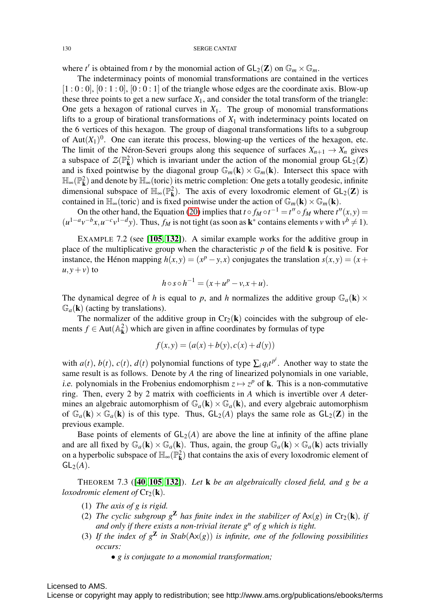where *t'* is obtained from *t* by the monomial action of  $GL_2(\mathbb{Z})$  on  $\mathbb{G}_m \times \mathbb{G}_m$ .

The indeterminacy points of monomial transformations are contained in the vertices  $[1:0:0]$ ,  $[0:1:0]$ ,  $[0:0:1]$  of the triangle whose edges are the coordinate axis. Blow-up these three points to get a new surface  $X_1$ , and consider the total transform of the triangle: One gets a hexagon of rational curves in  $X_1$ . The group of monomial transformations lifts to a group of birational transformations of  $X_1$  with indeterminacy points located on the 6 vertices of this hexagon. The group of diagonal transformations lifts to a subgroup of  $Aut(X_1)^0$ . One can iterate this process, blowing-up the vertices of the hexagon, etc. The limit of the Néron-Severi groups along this sequence of surfaces  $X_{n+1} \to X_n$  gives a subspace of  $\mathcal{Z}(\mathbb{P}^2_k)$  which is invariant under the action of the monomial group  $GL_2(\mathbb{Z})$ and is fixed pointwise by the diagonal group  $\mathbb{G}_m(\mathbf{k}) \times \mathbb{G}_m(\mathbf{k})$ . Intersect this space with  $\mathbb{H}_{\infty}(\mathbb{P}^2_{\mathbf{k}})$  and denote by  $\mathbb{H}_{\infty}$  (toric) its metric completion: One gets a totally geodesic, infinite dimensional subspace of  $\mathbb{H}_{\infty}(\mathbb{P}_{k}^{2})$ . The axis of every loxodromic element of  $GL_{2}(\mathbb{Z})$  is contained in  $\mathbb{H}_{\infty}$ (toric) and is fixed pointwise under the action of  $\mathbb{G}_{m}(\mathbf{k}) \times \mathbb{G}_{m}(\mathbf{k})$ .

On the other hand, the Equation [\(20\)](#page-28-0) implies that  $t \circ f_M \circ t^{-1} = t'' \circ f_M$  where  $t''(x, y) =$  $(u^{1-a}v^{-b}x, u^{-c}v^{1-d}y)$ . Thus,  $f_M$  is not tight (as soon as  $\mathbf{k}^*$  contains elements *v* with  $v^b \neq 1$ ).

EXAMPLE 7.2 (see [[105](#page-40-17), [132](#page-41-15)]). A similar example works for the additive group in place of the multiplicative group when the characteristic *p* of the field k is positive. For instance, the Hénon mapping  $h(x, y) = (x^p - y, x)$  conjugates the translation  $s(x, y) = (x + y, y)$  $u, y + v$ ) to

$$
h \circ s \circ h^{-1} = (x + u^p - v, x + u).
$$

The dynamical degree of *h* is equal to *p*, and *h* normalizes the additive group  $\mathbb{G}_a(\mathbf{k}) \times$  $\mathbb{G}_a(\mathbf{k})$  (acting by translations).

The normalizer of the additive group in  $Cr_2(k)$  coincides with the subgroup of elements  $f \in Aut(\mathbb{A}_{\mathbf{k}}^2)$  which are given in affine coordinates by formulas of type

$$
f(x, y) = (a(x) + b(y), c(x) + d(y))
$$

with  $a(t)$ ,  $b(t)$ ,  $c(t)$ ,  $d(t)$  polynomial functions of type  $\sum_i q_i t^{p^i}$ . Another way to state the same result is as follows. Denote by *A* the ring of linearized polynomials in one variable, *i.e.* polynomials in the Frobenius endomorphism  $z \mapsto z^p$  of **k**. This is a non-commutative ring. Then, every 2 by 2 matrix with coefficients in *A* which is invertible over *A* determines an algebraic automorphism of  $\mathbb{G}_a(\mathbf{k}) \times \mathbb{G}_a(\mathbf{k})$ , and every algebraic automorphism of  $\mathbb{G}_a(\mathbf{k}) \times \mathbb{G}_a(\mathbf{k})$  is of this type. Thus,  $GL_2(A)$  plays the same role as  $GL_2(\mathbf{Z})$  in the previous example.

Base points of elements of  $GL_2(A)$  are above the line at infinity of the affine plane and are all fixed by  $\mathbb{G}_a(\mathbf{k}) \times \mathbb{G}_a(\mathbf{k})$ . Thus, again, the group  $\mathbb{G}_a(\mathbf{k}) \times \mathbb{G}_a(\mathbf{k})$  acts trivially on a hyperbolic subspace of  $\mathbb{H}_{\infty}(\mathbb{P}^2_{\mathbf{k}})$  that contains the axis of every loxodromic element of  $GL_2(A)$ .

<span id="page-29-0"></span>THEOREM 7.3 ([[40](#page-37-18), [105](#page-40-17), [132](#page-41-15)]). *Let* k *be an algebraically closed field, and g be a loxodromic element of*  $Cr_2(\mathbf{k})$ *.* 

- (1) *The axis of g is rigid.*
- (2) *The cyclic subgroup*  $g^{\mathbf{Z}}$  *has finite index in the stabilizer of*  $Ax(g)$  *in*  $Cr_2(\mathbf{k})$ *, if and only if there exists a non-trivial iterate g<sup>n</sup> of g which is tight.*
- (3) If the index of  $g^{\mathbf{Z}}$  in Stab( $Ax(g)$ ) is infinite, one of the following possibilities *occurs:*
	- *g is conjugate to a monomial transformation;*

## Licensed to AMS.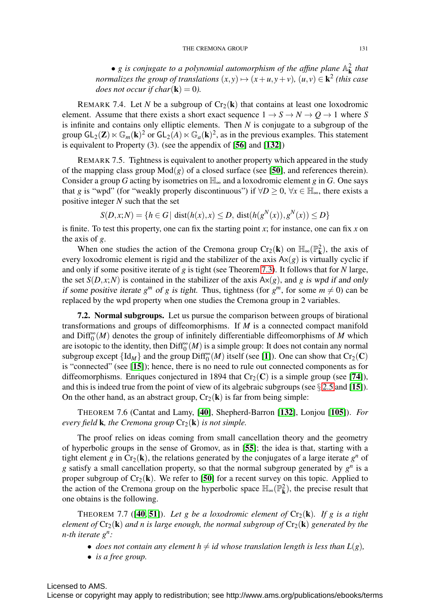• *g* is conjugate to a polynomial automorphism of the affine plane  $\mathbb{A}_{\mathbf{k}}^2$  that *normalizes the group of translations*  $(x, y) \mapsto (x + u, y + v)$ *,*  $(u, v) \in \mathbf{k}^2$  (this case *does not occur if char*( $\bf{k}$ ) = 0).

REMARK 7.4. Let *N* be a subgroup of  $Cr_2(k)$  that contains at least one loxodromic element. Assume that there exists a short exact sequence  $1 \rightarrow S \rightarrow N \rightarrow Q \rightarrow 1$  where *S* is infinite and contains only elliptic elements. Then *N* is conjugate to a subgroup of the group  $GL_2(\mathbf{Z}) \ltimes \mathbb{G}_m(\mathbf{k})^2$  or  $GL_2(A) \ltimes \mathbb{G}_a(\mathbf{k})^2$ , as in the previous examples. This statement is equivalent to Property (3). (see the appendix of [[56](#page-38-19)] and [[132](#page-41-15)])

REMARK 7.5. Tightness is equivalent to another property which appeared in the study of the mapping class group  $Mod(g)$  of a closed surface (see [[50](#page-38-18)], and references therein). Consider a group *G* acting by isometries on  $\mathbb{H}_{\infty}$  and a loxodromic element *g* in *G*. One says that *g* is "wpd" (for "weakly properly discontinuous") if  $\forall D \ge 0$ ,  $\forall x \in \mathbb{H}_{\infty}$ , there exists a positive integer *N* such that the set

$$
S(D, x; N) = \{ h \in G \mid dist(h(x), x) \le D, dist(h(g^N(x)), g^N(x)) \le D \}
$$

is finite. To test this property, one can fix the starting point *x*; for instance, one can fix *x* on the axis of *g*.

When one studies the action of the Cremona group  $Cr_2(k)$  on  $\mathbb{H}_{\infty}(\mathbb{P}^2_k)$ , the axis of every loxodromic element is rigid and the stabilizer of the axis  $Ax(g)$  is virtually cyclic if and only if some positive iterate of *g* is tight (see Theorem [7.3\)](#page-29-0). It follows that for *N* large, the set  $S(D, x; N)$  is contained in the stabilizer of the axis  $Ax(g)$ , and *g* is wpd if and only if some positive iterate  $g^m$  of g is tight. Thus, tightness (for  $g^m$ , for some  $m \neq 0$ ) can be replaced by the wpd property when one studies the Cremona group in 2 variables.

7.2. Normal subgroups. Let us pursue the comparison between groups of birational transformations and groups of diffeomorphisms. If *M* is a connected compact manifold and  $\text{Diff}^{\infty}_{0}(M)$  denotes the group of infinitely differentiable diffeomorphisms of M which are isotopic to the identity, then  $\text{Diff}^{\infty}_{0}(M)$  is a simple group: It does not contain any normal subgroup except  $\{Id_M\}$  and the group  $\text{Diff}_0^{\infty}(M)$  itself (see [[1](#page-36-17)]). One can show that  $\text{Cr}_2(\mathbf{C})$ is "connected" (see [[15](#page-36-8)]); hence, there is no need to rule out connected components as for diffeomorphisms. Enriques conjectured in 1894 that  $Cr_2(C)$  is a simple group (see [[74](#page-39-18)]), and this is indeed true from the point of view of its algebraic subgroups (see  $\S 2.5$  $\S 2.5$  and [[15](#page-36-8)]). On the other hand, as an abstract group,  $Cr_2(\mathbf{k})$  is far from being simple:

THEOREM 7.6 (Cantat and Lamy, [[40](#page-37-18)], Shepherd-Barron [[132](#page-41-15)], Lonjou [[105](#page-40-17)]). *For every field* **k***, the Cremona group*  $Cr_2(\mathbf{k})$  *is not simple.* 

The proof relies on ideas coming from small cancellation theory and the geometry of hyperbolic groups in the sense of Gromov, as in [[55](#page-38-20)]; the idea is that, starting with a tight element *g* in  $Cr_2(k)$ , the relations generated by the conjugates of a large iterate  $g^n$  of *g* satisfy a small cancellation property, so that the normal subgroup generated by *gn* is a proper subgroup of  $Cr_2(\mathbf{k})$ . We refer to [[50](#page-38-18)] for a recent survey on this topic. Applied to the action of the Cremona group on the hyperbolic space  $\mathbb{H}_{\infty}(\mathbb{P}^2_k)$ , the precise result that one obtains is the following.

THEOREM 7.7 ([[40](#page-37-18), [51](#page-38-21)]). Let g be a loxodromic element of  $Cr_2(\mathbf{k})$ . If g is a tight *element of*  $Cr_2(k)$  *and n is large enough, the normal subgroup of*  $Cr_2(k)$  *generated by the n-th iterate gn:*

- *does not contain any element*  $h \neq id$  *whose translation length is less than*  $L(g)$ *,*
- *is a free group.*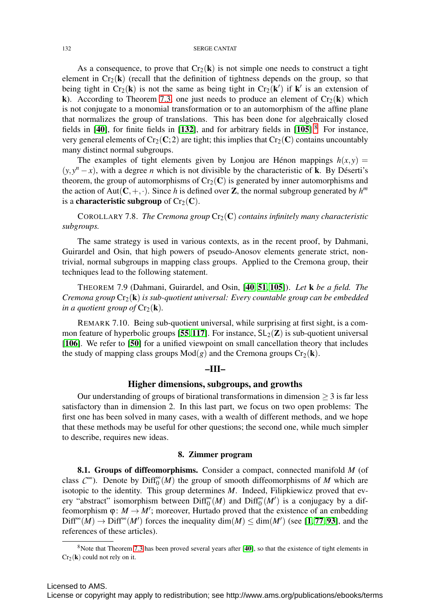As a consequence, to prove that  $Cr_2(k)$  is not simple one needs to construct a tight element in  $Cr_2(k)$  (recall that the definition of tightness depends on the group, so that being tight in  $Cr_2(k)$  is not the same as being tight in  $Cr_2(k')$  if  $k'$  is an extension of k). According to Theorem [7.3,](#page-29-0) one just needs to produce an element of  $Cr_2(k)$  which is not conjugate to a monomial transformation or to an automorphism of the affine plane that normalizes the group of translations. This has been done for algebraically closed fields in  $[40]$  $[40]$  $[40]$ , for finite fields in  $[132]$  $[132]$  $[132]$ , and for arbitrary fields in  $[105]$  $[105]$  $[105]$ .<sup>[8](#page-31-1)</sup> For instance, very general elements of  $Cr_2(C; 2)$  are tight; this implies that  $Cr_2(C)$  contains uncountably many distinct normal subgroups.

The examples of tight elements given by Lonjou are Hénon mappings  $h(x, y) =$  $(y, y^n - x)$ , with a degree *n* which is not divisible by the characteristic of **k**. By Déserti's theorem, the group of automorphisms of  $Cr_2(C)$  is generated by inner automorphisms and the action of Aut( $C, +, \cdot$ ). Since *h* is defined over **Z**, the normal subgroup generated by  $h^m$ is a characteristic subgroup of  $Cr_2(\mathbf{C})$ .

COROLLARY 7.8. *The Cremona group*  $Cr_2(\mathbb{C})$  *contains infinitely many characteristic subgroups.*

The same strategy is used in various contexts, as in the recent proof, by Dahmani, Guirardel and Osin, that high powers of pseudo-Anosov elements generate strict, nontrivial, normal subgroups in mapping class groups. Applied to the Cremona group, their techniques lead to the following statement.

THEOREM 7.9 (Dahmani, Guirardel, and Osin, [[40](#page-37-18), [51](#page-38-21), [105](#page-40-17)]). *Let* k *be a field. The Cremona group* Cr2(k) *is sub-quotient universal: Every countable group can be embedded in a quotient group of*  $Cr_2(\mathbf{k})$ .

REMARK 7.10. Being sub-quotient universal, while surprising at first sight, is a com-mon feature of hyperbolic groups [[55](#page-38-20), [117](#page-40-18)]. For instance,  $SL_2(\mathbb{Z})$  is sub-quotient universal [[106](#page-40-19)]. We refer to [[50](#page-38-18)] for a unified viewpoint on small cancellation theory that includes the study of mapping class groups  $Mod(g)$  and the Cremona groups  $Cr_2(\mathbf{k})$ .

#### –III–

#### Higher dimensions, subgroups, and growths

Our understanding of groups of birational transformations in dimension  $\geq$  3 is far less satisfactory than in dimension 2. In this last part, we focus on two open problems: The first one has been solved in many cases, with a wealth of different methods, and we hope that these methods may be useful for other questions; the second one, while much simpler to describe, requires new ideas.

#### 8. Zimmer program

<span id="page-31-0"></span>8.1. Groups of diffeomorphisms. Consider a compact, connected manifold *M* (of class  $C^{\infty}$ ). Denote by  $\text{Diff}_{0}^{\infty}(M)$  the group of smooth diffeomorphisms of *M* which are isotopic to the identity. This group determines *M*. Indeed, Filipkiewicz proved that every "abstract" isomorphism between  $\text{Diff}_{0}^{\infty}(M)$  and  $\text{Diff}_{0}^{\infty}(M')$  is a conjugacy by a diffeomorphism  $\varphi: M \to M'$ ; moreover, Hurtado proved that the existence of an embedding  $\text{Diff}^{\infty}(M) \to \text{Diff}^{\infty}(M')$  forces the inequality  $\dim(M) \leq \dim(M')$  (see [[1](#page-36-17),[77](#page-39-19),[93](#page-39-20)], and the references of these articles).

<span id="page-31-1"></span><sup>&</sup>lt;sup>8</sup>Note that Theorem [7.3](#page-29-0) has been proved several years after [[40](#page-37-18)], so that the existence of tight elements in  $Cr_2(\mathbf{k})$  could not rely on it.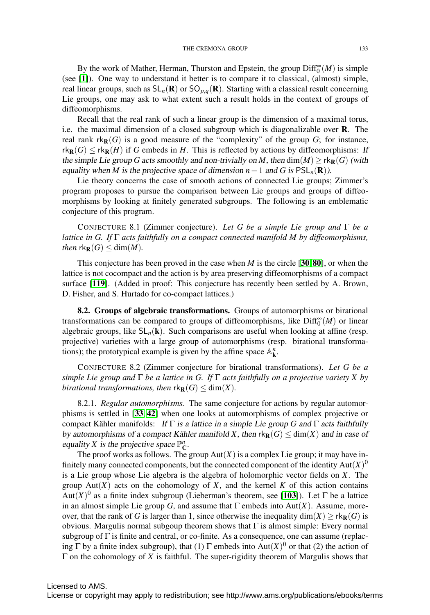By the work of Mather, Herman, Thurston and Epstein, the group  $\text{Diff}^{\infty}_{0}(M)$  is simple (see [[1](#page-36-17)]). One way to understand it better is to compare it to classical, (almost) simple, real linear groups, such as  $SL_n(\mathbf{R})$  or  $SO_{p,q}(\mathbf{R})$ . Starting with a classical result concerning Lie groups, one may ask to what extent such a result holds in the context of groups of diffeomorphisms.

Recall that the real rank of such a linear group is the dimension of a maximal torus, i.e. the maximal dimension of a closed subgroup which is diagonalizable over R. The real rank  $rk_{\mathbf{R}}(G)$  is a good measure of the "complexity" of the group  $G$ ; for instance,  $rk_{\mathbf{R}}(G) \leq rk_{\mathbf{R}}(H)$  if *G* embeds in *H*. This is reflected by actions by diffeomorphisms: If the simple Lie group *G* acts smoothly and non-trivially on *M*, then  $dim(M) \geq rk_R(G)$  (with equality when *M* is the projective space of dimension  $n-1$  and *G* is  $PSL_n(\mathbf{R})$ ).

Lie theory concerns the case of smooth actions of connected Lie groups; Zimmer's program proposes to pursue the comparison between Lie groups and groups of diffeomorphisms by looking at finitely generated subgroups. The following is an emblematic conjecture of this program.

CONJECTURE 8.1 (Zimmer conjecture). *Let G be a simple Lie group and* Γ *be a lattice in G. If* Γ *acts faithfully on a compact connected manifold M by diffeomorphisms, then*  $rk_{\mathbf{R}}(G) \leq \dim(M)$ .

This conjecture has been proved in the case when *M* is the circle [[30](#page-37-19), [80](#page-39-21)], or when the lattice is not cocompact and the action is by area preserving diffeomorphisms of a compact surface [[119](#page-40-20)]. (Added in proof: This conjecture has recently been settled by A. Brown, D. Fisher, and S. Hurtado for co-compact lattices.)

8.2. Groups of algebraic transformations. Groups of automorphisms or birational transformations can be compared to groups of diffeomorphisms, like  $\text{Diff}^{\infty}_{0}(M)$  or linear algebraic groups, like  $SL_n(k)$ . Such comparisons are useful when looking at affine (resp. projective) varieties with a large group of automorphisms (resp. birational transformations); the prototypical example is given by the affine space  $\mathbb{A}^n_{\mathbf{k}}$ .

<span id="page-32-0"></span>CONJECTURE 8.2 (Zimmer conjecture for birational transformations). *Let G be a simple Lie group and* Γ *be a lattice in G. If* Γ *acts faithfully on a projective variety X by birational transformations, then*  $rk_{\mathbf{R}}(G) \leq dim(X)$ .

8.2.1. *Regular automorphisms.* The same conjecture for actions by regular automorphisms is settled in [[33](#page-37-20), [42](#page-37-21)] when one looks at automorphisms of complex projective or compact Kähler manifolds: If  $\Gamma$  is a lattice in a simple Lie group *G* and  $\Gamma$  acts faithfully by automorphisms of a compact Kähler manifold X, then  $rk_{\mathbf{R}}(G) \leq dim(X)$  and in case of equality *X* is the projective space  $\mathbb{P}_{\mathbb{C}}^n$ .

The proof works as follows. The group  $Aut(X)$  is a complex Lie group; it may have infinitely many connected components, but the connected component of the identity  $Aut(X)$ <sup>0</sup> is a Lie group whose Lie algebra is the algebra of holomorphic vector fields on *X*. The group  $Aut(X)$  acts on the cohomology of  $X$ , and the kernel  $K$  of this action contains Aut $(X)$ <sup>0</sup> as a finite index subgroup (Lieberman's theorem, see [[103](#page-40-6)]). Let  $\Gamma$  be a lattice in an almost simple Lie group *G*, and assume that  $\Gamma$  embeds into Aut(*X*). Assume, moreover, that the rank of *G* is larger than 1, since otherwise the inequality dim(*X*) ≥  $rk_{\mathbf{R}}(G)$  is obvious. Margulis normal subgoup theorem shows that  $\Gamma$  is almost simple: Every normal subgroup of  $\Gamma$  is finite and central, or co-finite. As a consequence, one can assume (replacing  $\Gamma$  by a finite index subgroup), that (1)  $\Gamma$  embeds into Aut(*X*)<sup>0</sup> or that (2) the action of Γ on the cohomology of *X* is faithful. The super-rigidity theorem of Margulis shows that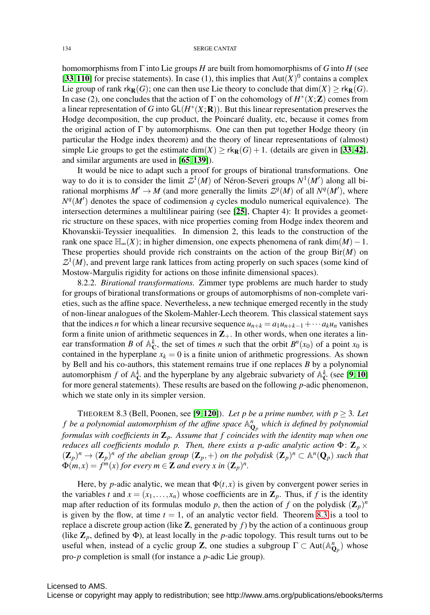homomorphisms from Γ into Lie groups *H* are built from homomorphisms of *G* into *H* (see [[33](#page-37-20),[110](#page-40-15)] for precise statements). In case (1), this implies that  $Aut(X)^0$  contains a complex Lie group of rank  $rk_R(G)$ ; one can then use Lie theory to conclude that  $dim(X) > rk_R(G)$ . In case (2), one concludes that the action of  $\Gamma$  on the cohomology of  $H^*(X;\mathbb{Z})$  comes from a linear representation of *G* into  $GL(H^*(X; \mathbf{R}))$ . But this linear representation preserves the Hodge decomposition, the cup product, the Poincaré duality, etc, because it comes from the original action of  $\Gamma$  by automorphisms. One can then put together Hodge theory (in particular the Hodge index theorem) and the theory of linear representations of (almost) simple Lie groups to get the estimate dim(*X*)  $\geq$  rk<sub>R</sub>(*G*) + 1. (details are given in [[33](#page-37-20), [42](#page-37-21)], and similar arguments are used in [[65](#page-38-22), [139](#page-41-16)]).

It would be nice to adapt such a proof for groups of birational transformations. One way to do it is to consider the limit  $Z^1(M)$  of Néron-Severi groups  $N^1(M')$  along all birational morphisms  $M' \to M$  (and more generally the limits  $Z^q(M)$  of all  $N^q(M')$ , where  $N<sup>q</sup>(M')$  denotes the space of codimension *q* cycles modulo numerical equivalence). The intersection determines a multilinear pairing (see [[25](#page-37-22)], Chapter 4): It provides a geometric structure on these spaces, with nice properties coming from Hodge index theorem and Khovanskii-Teyssier inequalities. In dimension 2, this leads to the construction of the rank one space  $\mathbb{H}_{\infty}(X)$ ; in higher dimension, one expects phenomena of rank dim(*M*) – 1. These properties should provide rich constraints on the action of the group Bir(*M*) on  $Z^1(M)$ , and prevent large rank lattices from acting properly on such spaces (some kind of Mostow-Margulis rigidity for actions on those infinite dimensional spaces).

8.2.2. *Birational transformations.* Zimmer type problems are much harder to study for groups of birational transformations or groups of automorphisms of non-complete varieties, such as the affine space. Nevertheless, a new technique emerged recently in the study of non-linear analogues of the Skolem-Mahler-Lech theorem. This classical statement says that the indices *n* for which a linear recursive sequence  $u_{n+k} = a_1u_{n+k-1} + \cdots + a_ku_n$  vanishes form a finite union of arithmetic sequences in  $\mathbb{Z}_+$ . In other words, when one iterates a linear transformation *B* of  $\mathbb{A}_{\mathbb{C}}^k$ , the set of times *n* such that the orbit  $B^n(x_0)$  of a point  $x_0$  is contained in the hyperplane  $x_k = 0$  is a finite union of arithmetic progressions. As shown by Bell and his co-authors, this statement remains true if one replaces *B* by a polynomial automorphism *f* of  $\mathbb{A}_{\mathbb{C}}^k$  and the hyperplane by any algebraic subvariety of  $\mathbb{A}_{\mathbb{C}}^k$  (see [[9](#page-36-18), [10](#page-36-19)] for more general statements). These results are based on the following *p*-adic phenomenon, which we state only in its simpler version.

<span id="page-33-0"></span>THEOREM 8.3 (Bell, Poonen, see [[9](#page-36-18), [120](#page-40-21)]). *Let p be a prime number, with p*  $\geq$  3*. Let f be a polynomial automorphism of the affine space* A*<sup>n</sup>* <sup>Q</sup>*<sup>p</sup> which is defined by polynomial formulas with coefficients in* Z*p. Assume that f coincides with the identity map when one reduces all coefficients modulo p. Then, there exists a p-adic analytic action*  $\Phi$ :  $\mathbf{Z}_p$  ×  $(\mathbf{Z}_p)^n \to (\mathbf{Z}_p)^n$  *of the abelian group*  $(\mathbf{Z}_p, +)$  *on the polydisk*  $(\mathbf{Z}_p)^n \subset \mathbb{A}^n(\mathbf{Q}_p)$  *such that*  $\Phi(m,x) = f^m(x)$  for every  $m \in \mathbb{Z}$  and every x in  $(\mathbb{Z}_p)^n$ .

Here, by *p*-adic analytic, we mean that  $\Phi(t, x)$  is given by convergent power series in the variables *t* and  $x = (x_1, \ldots, x_n)$  whose coefficients are in  $\mathbb{Z}_p$ . Thus, if *f* is the identity map after reduction of its formulas modulo p, then the action of f on the polydisk  $(\mathbb{Z}_p)^n$ is given by the flow, at time  $t = 1$ , of an analytic vector field. Theorem [8.3](#page-33-0) is a tool to replace a discrete group action (like  $\mathbb{Z}$ , generated by  $f$ ) by the action of a continuous group (like  $\mathbb{Z}_p$ , defined by  $\Phi$ ), at least locally in the *p*-adic topology. This result turns out to be useful when, instead of a cyclic group **Z**, one studies a subgroup  $\Gamma \subset Aut(\mathbb{A}_{\mathbb{Q}_p}^n)$  whose pro-*p* completion is small (for instance a *p*-adic Lie group).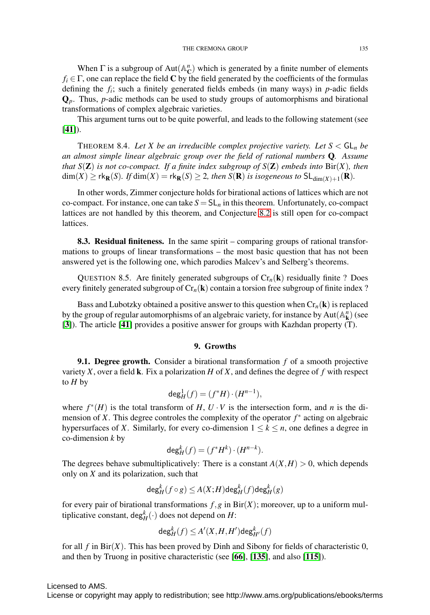When  $\Gamma$  is a subgroup of  $Aut(A_C^n)$  which is generated by a finite number of elements  $f_i \in \Gamma$ , one can replace the field C by the field generated by the coefficients of the formulas defining the *fi*; such a finitely generated fields embeds (in many ways) in *p*-adic fields Q*p*. Thus, *p*-adic methods can be used to study groups of automorphisms and birational transformations of complex algebraic varieties.

This argument turns out to be quite powerful, and leads to the following statement (see  $[41]$  $[41]$  $[41]$ ).

THEOREM 8.4. Let X be an irreducible complex projective variety. Let  $S < GL_n$  be *an almost simple linear algebraic group over the field of rational numbers* Q*. Assume that*  $S(\mathbf{Z})$  *is not co-compact. If a finite index subgroup of*  $S(\mathbf{Z})$  *embeds into* Bir(*X*)*, then*  $\dim(X) \geq \text{rk}_{\mathbf{R}}(S)$ *. If*  $\dim(X) = \text{rk}_{\mathbf{R}}(S) \geq 2$ *, then*  $S(\mathbf{R})$  *is isogeneous to*  $\text{SL}_{\dim(X)+1}(\mathbf{R})$ *.* 

In other words, Zimmer conjecture holds for birational actions of lattices which are not co-compact. For instance, one can take  $S = SL_n$  in this theorem. Unfortunately, co-compact lattices are not handled by this theorem, and Conjecture [8.2](#page-32-0) is still open for co-compact lattices.

8.3. Residual finiteness. In the same spirit – comparing groups of rational transformations to groups of linear transformations – the most basic question that has not been answered yet is the following one, which parodies Malcev's and Selberg's theorems.

QUESTION 8.5. Are finitely generated subgroups of  $Cr_n(k)$  residually finite ? Does every finitely generated subgroup of  $Cr_n(k)$  contain a torsion free subgroup of finite index ?

Bass and Lubotzky obtained a positive answer to this question when  $Cr_n(\mathbf{k})$  is replaced by the group of regular automorphisms of an algebraic variety, for instance by  $Aut(A_{\bf k}^n)$  (see [[3](#page-36-1)]). The article [[41](#page-37-23)] provides a positive answer for groups with Kazhdan property (T).

#### 9. Growths

9.1. Degree growth. Consider a birational transformation *f* of a smooth projective variety *X*, over a field **k**. Fix a polarization *H* of *X*, and defines the degree of *f* with respect to *H* by

$$
\deg_H^1(f)=(f^*H)\cdot(H^{n-1}),
$$

where  $f^*(H)$  is the total transform of  $H, U \cdot V$  is the intersection form, and *n* is the dimension of *X*. This degree controles the complexity of the operator  $f^*$  acting on algebraic hypersurfaces of *X*. Similarly, for every co-dimension  $1 \leq k \leq n$ , one defines a degree in co-dimension *k* by

$$
\deg_H^k(f) = (f^*H^k) \cdot (H^{n-k}).
$$

The degrees behave submultiplicatively: There is a constant  $A(X, H) > 0$ , which depends only on *X* and its polarization, such that

$$
\deg^k_H(f\circ g)\leq A(X;H)\deg^k_H(f)\deg^k_H(g)
$$

for every pair of birational transformations  $f, g$  in Bir( $X$ ); moreover, up to a uniform multiplicative constant,  $\deg_H^k(\cdot)$  does not depend on *H*:

$$
\deg^k_H(f)\leq A'(X,H,H')\deg^k_{H'}(f)
$$

for all  $f$  in Bir( $X$ ). This has been proved by Dinh and Sibony for fields of characteristic 0, and then by Truong in positive characteristic (see [[66](#page-38-23)], [[135](#page-41-17)], and also [[115](#page-40-22)]).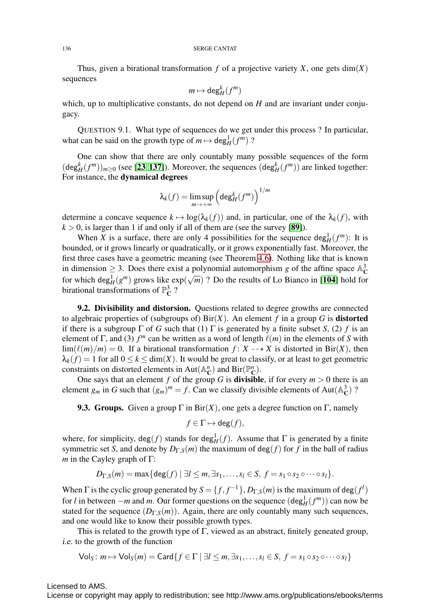Thus, given a birational transformation  $f$  of a projective variety  $X$ , one gets  $dim(X)$ sequences

$$
m\mapsto \deg^k_H(f^m)
$$

which, up to multiplicative constants, do not depend on *H* and are invariant under conjugacy.

QUESTION 9.1. What type of sequences do we get under this process ? In particular, what can be said on the growth type of  $m \mapsto \deg^1_H(f^m)$ ?

One can show that there are only countably many possible sequences of the form  $(\deg_H^k(f^m))_{m\geq 0}$  (see [[23](#page-37-24), [137](#page-41-18)]). Moreover, the sequences  $(\deg_H^k(f^m))$  are linked together: For instance, the dynamical degrees

$$
\lambda_k(f)=\limsup_{m\to+\infty}\left(\deg^k_H(f^m)\right)^{1/m}
$$

determine a concave sequence  $k \mapsto \log(\lambda_k(f))$  and, in particular, one of the  $\lambda_k(f)$ , with  $k > 0$ , is larger than 1 if and only if all of them are (see the survey [[89](#page-39-2)]).

When *X* is a surface, there are only 4 possibilities for the sequence  $\deg_H^1(f^m)$ : It is bounded, or it grows linearly or quadratically, or it grows exponentially fast. Moreover, the first three cases have a geometric meaning (see Theorem [4.6\)](#page-18-1). Nothing like that is known in dimension  $\geq$  3. Does there exist a polynomial automorphism *g* of the affine space  $\mathbb{A}_{\mathbb{C}}^3$ for which deg<sub> $H$ </sub>( $g<sup>m</sup>$ ) grows like  $\exp(\sqrt{m})$  ? Do the results of Lo Bianco in [[104](#page-40-23)] hold for birational transformations of  $\mathbb{P}^3_{\mathbf{C}}$ ?

9.2. Divisibility and distorsion. Questions related to degree growths are connected to algebraic properties of (subgroups of)  $\text{Bir}(X)$ . An element f in a group G is **distorted** if there is a subgroup  $\Gamma$  of *G* such that (1)  $\Gamma$  is generated by a finite subset *S*, (2) *f* is an element of  $\Gamma$ , and (3)  $f^m$  can be written as a word of length  $\ell(m)$  in the elements of *S* with  $\lim(\ell(m)/m) = 0$ . If a birational transformation  $f: X \dashrightarrow X$  is distorted in Bir(*X*), then  $\lambda_k(f) = 1$  for all  $0 \le k \le \dim(X)$ . It would be great to classify, or at least to get geometric constraints on distorted elements in Aut( $\mathbb{A}_{\mathbf{C}}^n$ ) and Bir( $\mathbb{P}_{\mathbf{C}}^n$ ).

One says that an element *f* of the group *G* is **divisible**, if for every  $m > 0$  there is an element  $g_m$  in *G* such that  $(g_m)^m = f$ . Can we classify divisible elements of Aut( $\mathbb{A}_{\mathbb{C}}^3$ )?

**9.3. Groups.** Given a group  $\Gamma$  in Bir(*X*), one gets a degree function on  $\Gamma$ , namely

$$
f \in \Gamma \mapsto \deg(f),
$$

where, for simplicity,  $deg(f)$  stands for  $deg^1_H(f)$ . Assume that  $\Gamma$  is generated by a finite symmetric set *S*, and denote by  $D_{\Gamma,S}(m)$  the maximum of deg(*f*) for *f* in the ball of radius *m* in the Cayley graph of Γ:

$$
D_{\Gamma,S}(m) = \max\{\deg(f) \mid \exists l \leq m, \exists s_1,\ldots,s_l \in S, \ f = s_1 \circ s_2 \circ \cdots \circ s_l\}.
$$

When  $\Gamma$  is the cyclic group generated by  $S = \{f, f^{-1}\}, D_{\Gamma,S}(m)$  is the maximum of deg $(f^l)$ for *l* in between  $-m$  and *m*. Our former questions on the sequence  $(\deg_H^1(f^m))$  can now be stated for the sequence  $(D_{\Gamma,S}(m))$ . Again, there are only countably many such sequences, and one would like to know their possible growth types.

This is related to the growth type of  $\Gamma$ , viewed as an abstract, finitely geneated group, i.e. to the growth of the function

$$
\mathsf{Vol}_S\colon m\mapsto \mathsf{Vol}_S(m)=\mathsf{Card}\{f\in\Gamma\mid \exists l\leq m, \exists s_1,\ldots,s_l\in S,\,f=s_1\circ s_2\circ\cdots\circ s_l\}
$$

Licensed to AMS.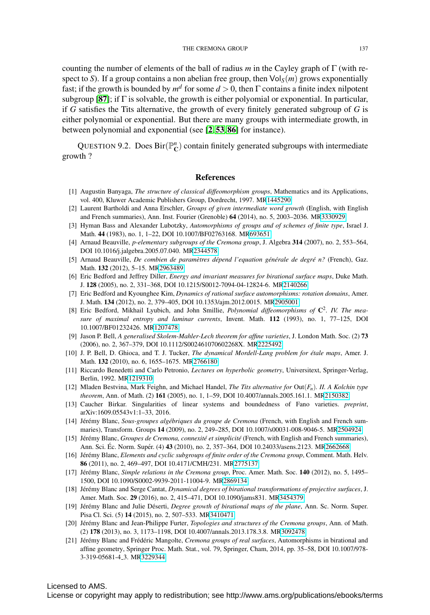counting the number of elements of the ball of radius *m* in the Cayley graph of Γ (with respect to *S*). If a group contains a non abelian free group, then  $\text{Vol}_S(m)$  grows exponentially fast; if the growth is bounded by  $m<sup>d</sup>$  for some  $d > 0$ , then  $\Gamma$  contains a finite index nilpotent subgroup [[87](#page-39-22)]; if  $\Gamma$  is solvable, the growth is either polyomial or exponential. In particular, if *G* satisfies the Tits alternative, the growth of every finitely generated subgroup of *G* is either polynomial or exponential. But there are many groups with intermediate growth, in between polynomial and exponential (see [[2](#page-36-20), [53](#page-38-11), [86](#page-39-23)] for instance).

QUESTION 9.2. Does  $\text{Bir}(\mathbb{P}_{\mathbb{C}}^n)$  contain finitely generated subgroups with intermediate growth ?

#### References

- <span id="page-36-17"></span>[1] Augustin Banyaga, *The structure of classical diffeomorphism groups*, Mathematics and its Applications, vol. 400, Kluwer Academic Publishers Group, Dordrecht, 1997. M[R1445290](http://www.ams.org/mathscinet-getitem?mr=1445290)
- <span id="page-36-20"></span>[2] Laurent Bartholdi and Anna Erschler, *Groups of given intermediate word growth* (English, with English and French summaries), Ann. Inst. Fourier (Grenoble) 64 (2014), no. 5, 2003–2036. M[R3330929](http://www.ams.org/mathscinet-getitem?mr=3330929)
- <span id="page-36-1"></span>[3] Hyman Bass and Alexander Lubotzky, *Automorphisms of groups and of schemes of finite type*, Israel J. Math. 44 (1983), no. 1, 1–22, DOI 10.1007/BF02763168. M[R693651](http://www.ams.org/mathscinet-getitem?mr=693651)
- <span id="page-36-6"></span>[4] Arnaud Beauville, *p-elementary subgroups of the Cremona group*, J. Algebra 314 (2007), no. 2, 553–564, DOI 10.1016/j.jalgebra.2005.07.040. M[R2344578](http://www.ams.org/mathscinet-getitem?mr=2344578)
- <span id="page-36-5"></span>[5] Arnaud Beauville, *De combien de parametres d ` epend l'equation g ´ en´ erale de degr ´ e n? ´* (French), Gaz. Math. 132 (2012), 5–15. M[R2963489](http://www.ams.org/mathscinet-getitem?mr=2963489)
- <span id="page-36-14"></span>[6] Eric Bedford and Jeffrey Diller, *Energy and invariant measures for birational surface maps*, Duke Math. J. 128 (2005), no. 2, 331–368, DOI 10.1215/S0012-7094-04-12824-6. M[R2140266](http://www.ams.org/mathscinet-getitem?mr=2140266)
- <span id="page-36-15"></span>[7] Eric Bedford and Kyounghee Kim, *Dynamics of rational surface automorphisms: rotation domains*, Amer. J. Math. 134 (2012), no. 2, 379–405, DOI 10.1353/ajm.2012.0015. M[R2905001](http://www.ams.org/mathscinet-getitem?mr=2905001)
- <span id="page-36-0"></span>[8] Eric Bedford, Mikhail Lyubich, and John Smillie, *Polynomial diffeomorphisms of* C2*. IV. The measure of maximal entropy and laminar currents*, Invent. Math. 112 (1993), no. 1, 77–125, DOI 10.1007/BF01232426. M[R1207478](http://www.ams.org/mathscinet-getitem?mr=1207478)
- <span id="page-36-18"></span>[9] Jason P. Bell, *A generalised Skolem-Mahler-Lech theorem for affine varieties*, J. London Math. Soc. (2) 73 (2006), no. 2, 367–379, DOI 10.1112/S002461070602268X. M[R2225492](http://www.ams.org/mathscinet-getitem?mr=2225492)
- <span id="page-36-19"></span>[10] J. P. Bell, D. Ghioca, and T. J. Tucker, *The dynamical Mordell-Lang problem for etale maps ´* , Amer. J. Math. 132 (2010), no. 6, 1655–1675. M[R2766180](http://www.ams.org/mathscinet-getitem?mr=2766180)
- <span id="page-36-12"></span>[11] Riccardo Benedetti and Carlo Petronio, *Lectures on hyperbolic geometry*, Universitext, Springer-Verlag, Berlin, 1992. M[R1219310](http://www.ams.org/mathscinet-getitem?mr=1219310)
- <span id="page-36-16"></span>[12] Mladen Bestvina, Mark Feighn, and Michael Handel, *The Tits alternative for* Out(*Fn*)*. II. A Kolchin type theorem*, Ann. of Math. (2) 161 (2005), no. 1, 1–59, DOI 10.4007/annals.2005.161.1. M[R2150382](http://www.ams.org/mathscinet-getitem?mr=2150382)
- <span id="page-36-7"></span>[13] Caucher Birkar. Singularities of linear systems and boundedness of Fano varieties. *preprint*, arXiv:1609.05543v1:1–33, 2016.
- <span id="page-36-3"></span>[14] Jérémy Blanc, Sous-groupes algébriques du groupe de Cremona (French, with English and French summaries), Transform. Groups 14 (2009), no. 2, 249–285, DOI 10.1007/s00031-008-9046-5. M[R2504924](http://www.ams.org/mathscinet-getitem?mr=2504924)
- <span id="page-36-8"></span>[15] Jer´ emy Blanc, ´ *Groupes de Cremona, connexite et simplicit ´ e´* (French, with English and French summaries), Ann. Sci. Éc. Norm. Supér. (4) 43 (2010), no. 2, 357–364, DOI 10.24033/asens.2123. M[R2662668](http://www.ams.org/mathscinet-getitem?mr=2662668)
- <span id="page-36-4"></span>[16] Jérémy Blanc, *Elements and cyclic subgroups of finite order of the Cremona group*, Comment. Math. Helv. 86 (2011), no. 2, 469–497, DOI 10.4171/CMH/231. M[R2775137](http://www.ams.org/mathscinet-getitem?mr=2775137)
- <span id="page-36-9"></span>[17] Jérémy Blanc, Simple relations in the Cremona group, Proc. Amer. Math. Soc. 140 (2012), no. 5, 1495– 1500, DOI 10.1090/S0002-9939-2011-11004-9. M[R2869134](http://www.ams.org/mathscinet-getitem?mr=2869134)
- <span id="page-36-11"></span>[18] Jérémy Blanc and Serge Cantat, *Dynamical degrees of birational transformations of projective surfaces*, J. Amer. Math. Soc. 29 (2016), no. 2, 415–471, DOI 10.1090/jams831. M[R3454379](http://www.ams.org/mathscinet-getitem?mr=3454379)
- <span id="page-36-13"></span>[19] Jérémy Blanc and Julie Déserti, *Degree growth of birational maps of the plane*, Ann. Sc. Norm. Super. Pisa Cl. Sci. (5) 14 (2015), no. 2, 507–533. M[R3410471](http://www.ams.org/mathscinet-getitem?mr=3410471)
- <span id="page-36-2"></span>[20] Jérémy Blanc and Jean-Philippe Furter, *Topologies and structures of the Cremona groups*, Ann. of Math. (2) 178 (2013), no. 3, 1173–1198, DOI 10.4007/annals.2013.178.3.8. M[R3092478](http://www.ams.org/mathscinet-getitem?mr=3092478)
- <span id="page-36-10"></span>[21] Jérémy Blanc and Frédéric Mangolte, *Cremona groups of real surfaces*, Automorphisms in birational and affine geometry, Springer Proc. Math. Stat., vol. 79, Springer, Cham, 2014, pp. 35–58, DOI 10.1007/978- 3-319-05681-4 3. M[R3229344](http://www.ams.org/mathscinet-getitem?mr=3229344)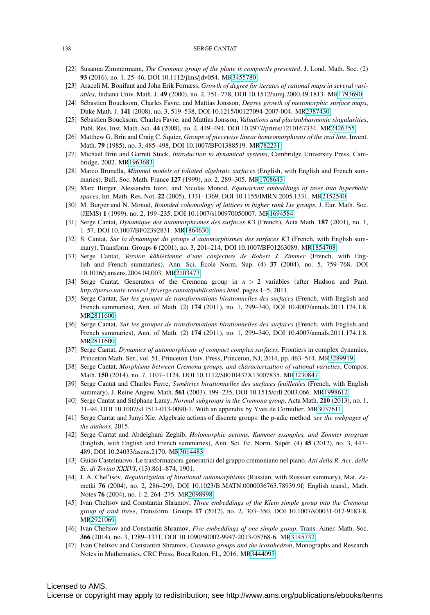#### 138 SERGE CANTAT

- <span id="page-37-5"></span>[22] Susanna Zimmermann, *The Cremona group of the plane is compactly presented*, J. Lond. Math. Soc. (2) 93 (2016), no. 1, 25–46, DOI 10.1112/jlms/jdv054. M[R3455780](http://www.ams.org/mathscinet-getitem?mr=3455780)
- <span id="page-37-24"></span>[23] Araceli M. Bonifant and John Erik Fornæss, *Growth of degree for iterates of rational maps in several variables*, Indiana Univ. Math. J. 49 (2000), no. 2, 751–778, DOI 10.1512/iumj.2000.49.1813. M[R1793690](http://www.ams.org/mathscinet-getitem?mr=1793690)
- <span id="page-37-9"></span>[24] Sébastien Boucksom, Charles Favre, and Mattias Jonsson, Degree growth of meromorphic surface maps, Duke Math. J. 141 (2008), no. 3, 519–538, DOI 10.1215/00127094-2007-004. M[R2387430](http://www.ams.org/mathscinet-getitem?mr=2387430)
- <span id="page-37-22"></span>[25] Sébastien Boucksom, Charles Favre, and Mattias Jonsson, *Valuations and plurisubharmonic singularities*, Publ. Res. Inst. Math. Sci. 44 (2008), no. 2, 449–494, DOI 10.2977/prims/1210167334. M[R2426355](http://www.ams.org/mathscinet-getitem?mr=2426355)
- <span id="page-37-16"></span>[26] Matthew G. Brin and Craig C. Squier, *Groups of piecewise linear homeomorphisms of the real line*, Invent. Math. 79 (1985), no. 3, 485–498, DOI 10.1007/BF01388519. M[R782231](http://www.ams.org/mathscinet-getitem?mr=782231)
- <span id="page-37-0"></span>[27] Michael Brin and Garrett Stuck, *Introduction to dynamical systems*, Cambridge University Press, Cambridge, 2002. M[R1963683](http://www.ams.org/mathscinet-getitem?mr=1963683)
- <span id="page-37-14"></span>[28] Marco Brunella, *Minimal models of foliated algebraic surfaces* (English, with English and French summaries), Bull. Soc. Math. France 127 (1999), no. 2, 289–305. M[R1708643](http://www.ams.org/mathscinet-getitem?mr=1708643)
- <span id="page-37-8"></span>[29] Marc Burger, Alessandra Iozzi, and Nicolas Monod, *Equivariant embeddings of trees into hyperbolic spaces*, Int. Math. Res. Not. 22 (2005), 1331–1369, DOI 10.1155/IMRN.2005.1331. M[R2152540](http://www.ams.org/mathscinet-getitem?mr=2152540)
- <span id="page-37-19"></span>[30] M. Burger and N. Monod, *Bounded cohomology of lattices in higher rank Lie groups*, J. Eur. Math. Soc. (JEMS) 1 (1999), no. 2, 199–235, DOI 10.1007/s100970050007. M[R1694584](http://www.ams.org/mathscinet-getitem?mr=1694584)
- <span id="page-37-11"></span>[31] Serge Cantat, *Dynamique des automorphismes des surfaces K*3 (French), Acta Math. 187 (2001), no. 1, 1–57, DOI 10.1007/BF02392831. M[R1864630](http://www.ams.org/mathscinet-getitem?mr=1864630)
- <span id="page-37-12"></span>[32] S. Cantat, *Sur la dynamique du groupe d'automorphismes des surfaces K*3 (French, with English summary), Transform. Groups 6 (2001), no. 3, 201–214, DOI 10.1007/BF01263089. M[R1854708](http://www.ams.org/mathscinet-getitem?mr=1854708)
- <span id="page-37-20"></span>[33] Serge Cantat, Version kählérienne d'une conjecture de Robert J. Zimmer (French, with English and French summaries), Ann. Sci. École Norm. Sup.  $(4)$  37  $(2004)$ , no. 5, 759–768, DOI 10.1016/j.ansens.2004.04.003. M[R2103473](http://www.ams.org/mathscinet-getitem?mr=2103473)
- <span id="page-37-7"></span>[34] Serge Cantat. Generators of the Cremona group in *n* > 2 variables (after Hudson and Pan). *http://perso.univ-rennes1.fr/serge.cantat/publications.html*, pages 1–5, 2011.
- <span id="page-37-10"></span>[35] Serge Cantat, *Sur les groupes de transformations birationnelles des surfaces* (French, with English and French summaries), Ann. of Math. (2) 174 (2011), no. 1, 299–340, DOI 10.4007/annals.2011.174.1.8. M[R2811600](http://www.ams.org/mathscinet-getitem?mr=2811600)
- <span id="page-37-17"></span>[36] Serge Cantat, *Sur les groupes de transformations birationnelles des surfaces* (French, with English and French summaries), Ann. of Math. (2) 174 (2011), no. 1, 299–340, DOI 10.4007/annals.2011.174.1.8. M[R2811600](http://www.ams.org/mathscinet-getitem?mr=2811600)
- <span id="page-37-1"></span>[37] Serge Cantat, *Dynamics of automorphisms of compact complex surfaces*, Frontiers in complex dynamics, Princeton Math. Ser., vol. 51, Princeton Univ. Press, Princeton, NJ, 2014, pp. 463–514. M[R3289919](http://www.ams.org/mathscinet-getitem?mr=3289919)
- <span id="page-37-2"></span>[38] Serge Cantat, *Morphisms between Cremona groups, and characterization of rational varieties*, Compos. Math. 150 (2014), no. 7, 1107–1124, DOI 10.1112/S0010437X13007835. M[R3230847](http://www.ams.org/mathscinet-getitem?mr=3230847)
- <span id="page-37-13"></span>[39] Serge Cantat and Charles Favre, *Symétries birationnelles des surfaces feuilletées* (French, with English summary), J. Reine Angew. Math. 561 (2003), 199–235, DOI 10.1515/crll.2003.066. M[R1998612](http://www.ams.org/mathscinet-getitem?mr=1998612)
- <span id="page-37-18"></span>[40] Serge Cantat and Stéphane Lamy, *Normal subgroups in the Cremona group*, Acta Math. **210** (2013), no. 1, 31–94, DOI 10.1007/s11511-013-0090-1. With an appendix by Yves de Cornulier. M[R3037611](http://www.ams.org/mathscinet-getitem?mr=3037611)
- <span id="page-37-23"></span>[41] Serge Cantat and Junyi Xie. Algebraic actions of discrete groups: the p-adic method. *see the webpages of the authors*, 2015.
- <span id="page-37-21"></span>[42] Serge Cantat and Abdelghani Zeghib, *Holomorphic actions, Kummer examples, and Zimmer program* (English, with English and French summaries), Ann. Sci. Ec. Norm. Super. (4)  $45$  (2012), no. 3, 447– 489, DOI 10.24033/asens.2170. M[R3014483](http://www.ams.org/mathscinet-getitem?mr=3014483)
- <span id="page-37-6"></span>[43] Guido Castelnuovo. Le trasformazioni generatrici del gruppo cremoniano nel piano. *Atti della R. Acc. delle Sc. di Torino XXXVI*, (13):861–874, 1901.
- <span id="page-37-15"></span>[44] I. A. Chel'tsov, *Regularization of birational automorphisms* (Russian, with Russian summary), Mat. Zametki 76 (2004), no. 2, 286–299, DOI 10.1023/B:MATN.0000036763.78939.9f; English transl., Math. Notes 76 (2004), no. 1-2, 264–275. M[R2098998](http://www.ams.org/mathscinet-getitem?mr=2098998)
- <span id="page-37-3"></span>[45] Ivan Cheltsov and Constantin Shramov, *Three embeddings of the Klein simple group into the Cremona group of rank three*, Transform. Groups 17 (2012), no. 2, 303–350, DOI 10.1007/s00031-012-9183-8. M[R2921069](http://www.ams.org/mathscinet-getitem?mr=2921069)
- [46] Ivan Cheltsov and Constantin Shramov, *Five embeddings of one simple group*, Trans. Amer. Math. Soc. 366 (2014), no. 3, 1289–1331, DOI 10.1090/S0002-9947-2013-05768-6. M[R3145732](http://www.ams.org/mathscinet-getitem?mr=3145732)
- <span id="page-37-4"></span>[47] Ivan Cheltsov and Constantin Shramov, *Cremona groups and the icosahedron*, Monographs and Research Notes in Mathematics, CRC Press, Boca Raton, FL, 2016. M[R3444095](http://www.ams.org/mathscinet-getitem?mr=3444095)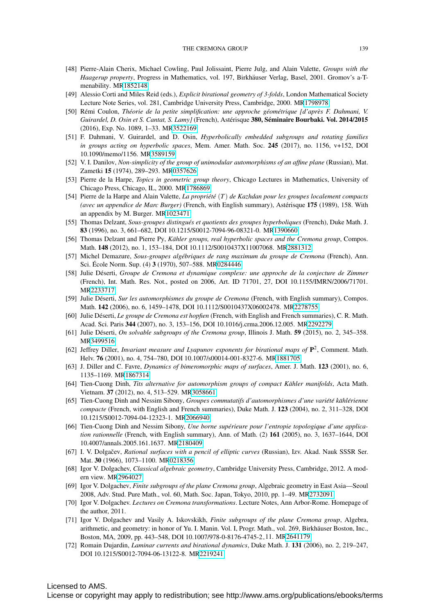- <span id="page-38-6"></span>[48] Pierre-Alain Cherix, Michael Cowling, Paul Jolissaint, Pierre Julg, and Alain Valette, *Groups with the Haagerup property*, Progress in Mathematics, vol. 197, Birkhäuser Verlag, Basel, 2001. Gromov's a-Tmenability. M[R1852148](http://www.ams.org/mathscinet-getitem?mr=1852148)
- <span id="page-38-1"></span>[49] Alessio Corti and Miles Reid (eds.), *Explicit birational geometry of 3-folds*, London Mathematical Society Lecture Note Series, vol. 281, Cambridge University Press, Cambridge, 2000. M[R1798978](http://www.ams.org/mathscinet-getitem?mr=1798978)
- <span id="page-38-18"></span>[50] Remi Coulon, ´ *Theorie de la petite simplification: une approche g ´ eom ´ etrique [d'apr ´ es F. Dahmani, V. ` Guirardel, D. Osin et S. Cantat, S. Lamy]* (French), Astérisque 380, Séminaire Bourbaki. Vol. 2014/2015 (2016), Exp. No. 1089, 1–33. M[R3522169](http://www.ams.org/mathscinet-getitem?mr=3522169)
- <span id="page-38-21"></span>[51] F. Dahmani, V. Guirardel, and D. Osin, *Hyperbolically embedded subgroups and rotating families in groups acting on hyperbolic spaces*, Mem. Amer. Math. Soc. 245 (2017), no. 1156, v+152, DOI 10.1090/memo/1156. M[R3589159](http://www.ams.org/mathscinet-getitem?mr=3589159)
- <span id="page-38-17"></span>[52] V. I. Danilov, *Non-simplicity of the group of unimodular automorphisms of an affine plane* (Russian), Mat. Zametki 15 (1974), 289–293. M[R0357626](http://www.ams.org/mathscinet-getitem?mr=0357626)
- <span id="page-38-11"></span>[53] Pierre de la Harpe, *Topics in geometric group theory*, Chicago Lectures in Mathematics, University of Chicago Press, Chicago, IL, 2000. M[R1786869](http://www.ams.org/mathscinet-getitem?mr=1786869)
- <span id="page-38-15"></span>[54] Pierre de la Harpe and Alain Valette, *La propriété* (*T*) *de Kazhdan pour les groupes localement compacts (avec un appendice de Marc Burger)* (French, with English summary), Astérisque 175 (1989), 158. With an appendix by M. Burger. M[R1023471](http://www.ams.org/mathscinet-getitem?mr=1023471)
- <span id="page-38-20"></span>[55] Thomas Delzant, *Sous-groupes distingues et quotients des groupes hyperboliques ´* (French), Duke Math. J. 83 (1996), no. 3, 661–682, DOI 10.1215/S0012-7094-96-08321-0. M[R1390660](http://www.ams.org/mathscinet-getitem?mr=1390660)
- <span id="page-38-19"></span>[56] Thomas Delzant and Pierre Py, *Kähler groups, real hyperbolic spaces and the Cremona group*, Compos. Math. 148 (2012), no. 1, 153–184, DOI 10.1112/S0010437X11007068. M[R2881312](http://www.ams.org/mathscinet-getitem?mr=2881312)
- <span id="page-38-3"></span>[57] Michel Demazure, *Sous-groupes algebriques de rang maximum du groupe de Cremona ´* (French), Ann. Sci. École Norm. Sup. (4) 3 (1970), 507–588. M[R0284446](http://www.ams.org/mathscinet-getitem?mr=0284446)
- <span id="page-38-14"></span>[58] Julie Déserti, Groupe de Cremona et dynamique complexe: une approche de la conjecture de Zimmer (French), Int. Math. Res. Not., posted on 2006, Art. ID 71701, 27, DOI 10.1155/IMRN/2006/71701. M[R2233717](http://www.ams.org/mathscinet-getitem?mr=2233717)
- [59] Julie Déserti, Sur les automorphismes du groupe de Cremona (French, with English summary), Compos. Math. 142 (2006), no. 6, 1459–1478, DOI 10.1112/S0010437X06002478. M[R2278755](http://www.ams.org/mathscinet-getitem?mr=2278755)
- <span id="page-38-16"></span>[60] Julie Déserti, *Le groupe de Cremona est hopfien* (French, with English and French summaries), C. R. Math. Acad. Sci. Paris 344 (2007), no. 3, 153–156, DOI 10.1016/j.crma.2006.12.005. M[R2292279](http://www.ams.org/mathscinet-getitem?mr=2292279)
- <span id="page-38-12"></span>[61] Julie Déserti, *On solvable subgroups of the Cremona group*, Illinois J. Math. **59** (2015), no. 2, 345–358. M[R3499516](http://www.ams.org/mathscinet-getitem?mr=3499516)
- <span id="page-38-8"></span>[62] Jeffrey Diller, *Invariant measure and Lyapunov exponents for birational maps of* P2, Comment. Math. Helv. 76 (2001), no. 4, 754–780, DOI 10.1007/s00014-001-8327-6. M[R1881705](http://www.ams.org/mathscinet-getitem?mr=1881705)
- <span id="page-38-7"></span>[63] J. Diller and C. Favre, *Dynamics of bimeromorphic maps of surfaces*, Amer. J. Math. 123 (2001), no. 6, 1135–1169. M[R1867314](http://www.ams.org/mathscinet-getitem?mr=1867314)
- <span id="page-38-13"></span>[64] Tien-Cuong Dinh, *Tits alternative for automorphism groups of compact Kähler manifolds*, Acta Math. Vietnam. 37 (2012), no. 4, 513–529. M[R3058661](http://www.ams.org/mathscinet-getitem?mr=3058661)
- <span id="page-38-22"></span>[65] Tien-Cuong Dinh and Nessim Sibony, *Groupes commutatifs d'automorphismes d'une variet´ e k ´ ahl ¨ erienne ´ compacte* (French, with English and French summaries), Duke Math. J. 123 (2004), no. 2, 311–328, DOI 10.1215/S0012-7094-04-12323-1. M[R2066940](http://www.ams.org/mathscinet-getitem?mr=2066940)
- <span id="page-38-23"></span>[66] Tien-Cuong Dinh and Nessim Sibony, *Une borne superieure pour l'entropie topologique d'une applica- ´ tion rationnelle* (French, with English summary), Ann. of Math. (2) 161 (2005), no. 3, 1637–1644, DOI 10.4007/annals.2005.161.1637. M[R2180409](http://www.ams.org/mathscinet-getitem?mr=2180409)
- <span id="page-38-10"></span>[67] I. V. Dolgačev, Rational surfaces with a pencil of elliptic curves (Russian), Izv. Akad. Nauk SSSR Ser. Mat. 30 (1966), 1073–1100. M[R0218356](http://www.ams.org/mathscinet-getitem?mr=0218356)
- <span id="page-38-2"></span>[68] Igor V. Dolgachev, *Classical algebraic geometry*, Cambridge University Press, Cambridge, 2012. A modern view. M[R2964027](http://www.ams.org/mathscinet-getitem?mr=2964027)
- <span id="page-38-4"></span>[69] Igor V. Dolgachev, *Finite subgroups of the plane Cremona group*, Algebraic geometry in East Asia—Seoul 2008, Adv. Stud. Pure Math., vol. 60, Math. Soc. Japan, Tokyo, 2010, pp. 1–49. M[R2732091](http://www.ams.org/mathscinet-getitem?mr=2732091)
- <span id="page-38-0"></span>[70] Igor V. Dolgachev. *Lectures on Cremona transformations*. Lecture Notes, Ann Arbor-Rome. Homepage of the author, 2011.
- <span id="page-38-5"></span>[71] Igor V. Dolgachev and Vasily A. Iskovskikh, *Finite subgroups of the plane Cremona group*, Algebra, arithmetic, and geometry: in honor of Yu. I. Manin. Vol. I, Progr. Math., vol. 269, Birkhauser Boston, Inc., ¨ Boston, MA, 2009, pp. 443–548, DOI 10.1007/978-0-8176-4745-2 11. M[R2641179](http://www.ams.org/mathscinet-getitem?mr=2641179)
- <span id="page-38-9"></span>[72] Romain Dujardin, *Laminar currents and birational dynamics*, Duke Math. J. 131 (2006), no. 2, 219–247, DOI 10.1215/S0012-7094-06-13122-8. M[R2219241](http://www.ams.org/mathscinet-getitem?mr=2219241)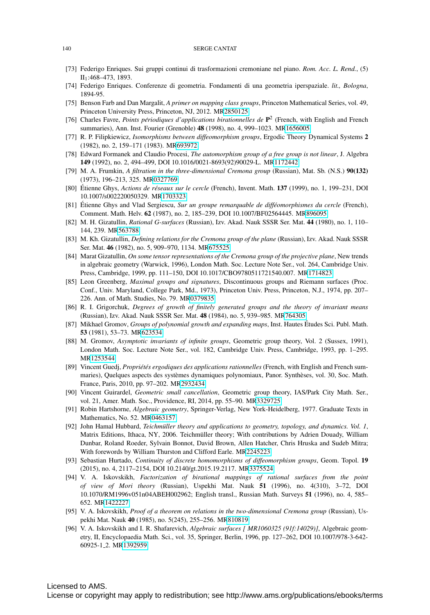#### 140 SERGE CANTAT

- <span id="page-39-3"></span>[73] Federigo Enriques. Sui gruppi continui di trasformazioni cremoniane nel piano. *Rom. Acc. L. Rend.*, (5)  $II<sub>1</sub>:468–473, 1893.$
- <span id="page-39-18"></span>[74] Federigo Enriques. Conferenze di geometria. Fondamenti di una geometria iperspaziale. *lit., Bologna*, 1894-95.
- <span id="page-39-13"></span>[75] Benson Farb and Dan Margalit, *A primer on mapping class groups*, Princeton Mathematical Series, vol. 49, Princeton University Press, Princeton, NJ, 2012. M[R2850125](http://www.ams.org/mathscinet-getitem?mr=2850125)
- <span id="page-39-14"></span>[76] Charles Favre, *Points périodiques d'applications birationnelles de*  $\mathbf{P}^2$  (French, with English and French summaries), Ann. Inst. Fourier (Grenoble) 48 (1998), no. 4, 999–1023. M[R1656005](http://www.ams.org/mathscinet-getitem?mr=1656005)
- <span id="page-39-19"></span>[77] R. P. Filipkiewicz, *Isomorphisms between diffeomorphism groups*, Ergodic Theory Dynamical Systems 2 (1982), no. 2, 159–171 (1983). M[R693972](http://www.ams.org/mathscinet-getitem?mr=693972)
- <span id="page-39-1"></span>[78] Edward Formanek and Claudio Procesi, *The automorphism group of a free group is not linear*, J. Algebra 149 (1992), no. 2, 494–499, DOI 10.1016/0021-8693(92)90029-L. M[R1172442](http://www.ams.org/mathscinet-getitem?mr=1172442)
- <span id="page-39-7"></span>[79] M. A. Frumkin, *A filtration in the three-dimensional Cremona group* (Russian), Mat. Sb. (N.S.) 90(132) (1973), 196–213, 325. M[R0327769](http://www.ams.org/mathscinet-getitem?mr=0327769)
- <span id="page-39-21"></span>[80] Etienne Ghys, ´ *Actions de reseaux sur le cercle ´* (French), Invent. Math. 137 (1999), no. 1, 199–231, DOI 10.1007/s002220050329. M[R1703323](http://www.ams.org/mathscinet-getitem?mr=1703323)
- <span id="page-39-16"></span>[81] Étienne Ghys and Vlad Sergiescu, Sur un groupe remarquable de difféomorphismes du cercle (French), Comment. Math. Helv. 62 (1987), no. 2, 185–239, DOI 10.1007/BF02564445. M[R896095](http://www.ams.org/mathscinet-getitem?mr=896095)
- <span id="page-39-12"></span>[82] M. H. Gizatullin, *Rational G-surfaces* (Russian), Izv. Akad. Nauk SSSR Ser. Mat. 44 (1980), no. 1, 110– 144, 239. M[R563788](http://www.ams.org/mathscinet-getitem?mr=563788)
- <span id="page-39-5"></span>[83] M. Kh. Gizatullin, *Defining relations for the Cremona group of the plane* (Russian), Izv. Akad. Nauk SSSR Ser. Mat. 46 (1982), no. 5, 909–970, 1134. M[R675525](http://www.ams.org/mathscinet-getitem?mr=675525)
- <span id="page-39-6"></span>[84] Marat Gizatullin, *On some tensor representations of the Cremona group of the projective plane*, New trends in algebraic geometry (Warwick, 1996), London Math. Soc. Lecture Note Ser., vol. 264, Cambridge Univ. Press, Cambridge, 1999, pp. 111–150, DOI 10.1017/CBO9780511721540.007. M[R1714823](http://www.ams.org/mathscinet-getitem?mr=1714823)
- <span id="page-39-0"></span>[85] Leon Greenberg, *Maximal groups and signatures*, Discontinuous groups and Riemann surfaces (Proc. Conf., Univ. Maryland, College Park, Md., 1973), Princeton Univ. Press, Princeton, N.J., 1974, pp. 207– 226. Ann. of Math. Studies, No. 79. M[R0379835](http://www.ams.org/mathscinet-getitem?mr=0379835)
- <span id="page-39-23"></span>[86] R. I. Grigorchuk, *Degrees of growth of finitely generated groups and the theory of invariant means* (Russian), Izv. Akad. Nauk SSSR Ser. Mat. 48 (1984), no. 5, 939–985. M[R764305](http://www.ams.org/mathscinet-getitem?mr=764305)
- <span id="page-39-22"></span>[87] Mikhael Gromov, *Groups of polynomial growth and expanding maps*, Inst. Hautes Etudes Sci. Publ. Math. ´ 53 (1981), 53–73. M[R623534](http://www.ams.org/mathscinet-getitem?mr=623534)
- <span id="page-39-11"></span>[88] M. Gromov, *Asymptotic invariants of infinite groups*, Geometric group theory, Vol. 2 (Sussex, 1991), London Math. Soc. Lecture Note Ser., vol. 182, Cambridge Univ. Press, Cambridge, 1993, pp. 1–295. M[R1253544](http://www.ams.org/mathscinet-getitem?mr=1253544)
- <span id="page-39-2"></span>[89] Vincent Guedj, *Propriétés ergodiques des applications rationnelles* (French, with English and French summaries), Quelques aspects des systèmes dynamiques polynomiaux, Panor. Synthèses, vol. 30, Soc. Math. France, Paris, 2010, pp. 97–202. M[R2932434](http://www.ams.org/mathscinet-getitem?mr=2932434)
- <span id="page-39-17"></span>[90] Vincent Guirardel, *Geometric small cancellation*, Geometric group theory, IAS/Park City Math. Ser., vol. 21, Amer. Math. Soc., Providence, RI, 2014, pp. 55–90. M[R3329725](http://www.ams.org/mathscinet-getitem?mr=3329725)
- <span id="page-39-9"></span>[91] Robin Hartshorne, *Algebraic geometry*, Springer-Verlag, New York-Heidelberg, 1977. Graduate Texts in Mathematics, No. 52. M[R0463157](http://www.ams.org/mathscinet-getitem?mr=0463157)
- <span id="page-39-10"></span>[92] John Hamal Hubbard, *Teichmüller theory and applications to geometry, topology, and dynamics. Vol. 1*, Matrix Editions, Ithaca, NY, 2006. Teichmüller theory; With contributions by Adrien Douady, William Dunbar, Roland Roeder, Sylvain Bonnot, David Brown, Allen Hatcher, Chris Hruska and Sudeb Mitra; With forewords by William Thurston and Clifford Earle. M[R2245223](http://www.ams.org/mathscinet-getitem?mr=2245223)
- <span id="page-39-20"></span>[93] Sebastian Hurtado, *Continuity of discrete homomorphisms of diffeomorphism groups*, Geom. Topol. 19 (2015), no. 4, 2117–2154, DOI 10.2140/gt.2015.19.2117. M[R3375524](http://www.ams.org/mathscinet-getitem?mr=3375524)
- <span id="page-39-8"></span>[94] V. A. Iskovskikh, *Factorization of birational mappings of rational surfaces from the point of view of Mori theory* (Russian), Uspekhi Mat. Nauk 51 (1996), no. 4(310), 3–72, DOI 10.1070/RM1996v051n04ABEH002962; English transl., Russian Math. Surveys 51 (1996), no. 4, 585– 652. M[R1422227](http://www.ams.org/mathscinet-getitem?mr=1422227)
- <span id="page-39-4"></span>[95] V. A. Iskovskikh, *Proof of a theorem on relations in the two-dimensional Cremona group* (Russian), Uspekhi Mat. Nauk 40 (1985), no. 5(245), 255–256. M[R810819](http://www.ams.org/mathscinet-getitem?mr=810819)
- <span id="page-39-15"></span>[96] V. A. Iskovskikh and I. R. Shafarevich, *Algebraic surfaces [ MR1060325 (91f:14029)]*, Algebraic geometry, II, Encyclopaedia Math. Sci., vol. 35, Springer, Berlin, 1996, pp. 127–262, DOI 10.1007/978-3-642- 60925-1 2. M[R1392959](http://www.ams.org/mathscinet-getitem?mr=1392959)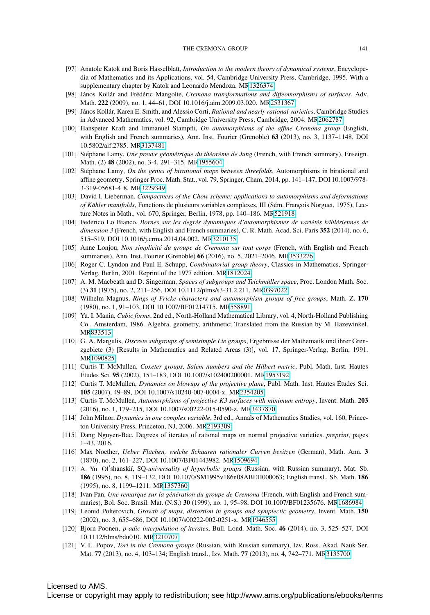- <span id="page-40-3"></span>[97] Anatole Katok and Boris Hasselblatt, *Introduction to the modern theory of dynamical systems*, Encyclopedia of Mathematics and its Applications, vol. 54, Cambridge University Press, Cambridge, 1995. With a supplementary chapter by Katok and Leonardo Mendoza. M[R1326374](http://www.ams.org/mathscinet-getitem?mr=1326374)
- <span id="page-40-2"></span>[98] János Kollár and Frédéric Mangolte, *Cremona transformations and diffeomorphisms of surfaces*, Adv. Math. 222 (2009), no. 1, 44–61, DOI 10.1016/j.aim.2009.03.020. M[R2531367](http://www.ams.org/mathscinet-getitem?mr=2531367)
- <span id="page-40-5"></span>[99] János Kollár, Karen E. Smith, and Alessio Corti, Rational and nearly rational varieties, Cambridge Studies in Advanced Mathematics, vol. 92, Cambridge University Press, Cambridge, 2004. M[R2062787](http://www.ams.org/mathscinet-getitem?mr=2062787)
- <span id="page-40-16"></span>[100] Hanspeter Kraft and Immanuel Stampfli, *On automorphisms of the affine Cremona group* (English, with English and French summaries), Ann. Inst. Fourier (Grenoble) 63 (2013), no. 3, 1137–1148, DOI 10.5802/aif.2785. M[R3137481](http://www.ams.org/mathscinet-getitem?mr=3137481)
- <span id="page-40-9"></span>[101] Stéphane Lamy, *Une preuve géométrique du théorème de Jung* (French, with French summary), Enseign. Math. (2) 48 (2002), no. 3-4, 291–315. M[R1955604](http://www.ams.org/mathscinet-getitem?mr=1955604)
- <span id="page-40-11"></span>[102] Stéphane Lamy, *On the genus of birational maps between threefolds*, Automorphisms in birational and affine geometry, Springer Proc. Math. Stat., vol. 79, Springer, Cham, 2014, pp. 141–147, DOI 10.1007/978- 3-319-05681-4 8. M[R3229349](http://www.ams.org/mathscinet-getitem?mr=3229349)
- <span id="page-40-6"></span>[103] David I. Lieberman, *Compactness of the Chow scheme: applications to automorphisms and deformations of Kähler manifolds*, Fonctions de plusieurs variables complexes, III (Sém. François Norguet, 1975), Lecture Notes in Math., vol. 670, Springer, Berlin, 1978, pp. 140–186. M[R521918](http://www.ams.org/mathscinet-getitem?mr=521918)
- <span id="page-40-23"></span>[104] Federico Lo Bianco, *Bornes sur les degres dynamiques d'automorphismes de vari ´ et´ es k ´ ahl ¨ eriennes de ´ dimension 3* (French, with English and French summaries), C. R. Math. Acad. Sci. Paris 352 (2014), no. 6, 515–519, DOI 10.1016/j.crma.2014.04.002. M[R3210135](http://www.ams.org/mathscinet-getitem?mr=3210135)
- <span id="page-40-17"></span>[105] Anne Lonjou, *Non simplicite du groupe de Cremona sur tout corps ´* (French, with English and French summaries), Ann. Inst. Fourier (Grenoble) 66 (2016), no. 5, 2021–2046. M[R3533276](http://www.ams.org/mathscinet-getitem?mr=3533276)
- <span id="page-40-19"></span>[106] Roger C. Lyndon and Paul E. Schupp, *Combinatorial group theory*, Classics in Mathematics, Springer-Verlag, Berlin, 2001. Reprint of the 1977 edition. M[R1812024](http://www.ams.org/mathscinet-getitem?mr=1812024)
- <span id="page-40-4"></span>[107] A. M. Macbeath and D. Singerman, *Spaces of subgroups and Teichmüller space*, Proc. London Math. Soc. (3) 31 (1975), no. 2, 211–256, DOI 10.1112/plms/s3-31.2.211. M[R0397022](http://www.ams.org/mathscinet-getitem?mr=0397022)
- <span id="page-40-1"></span>[108] Wilhelm Magnus, *Rings of Fricke characters and automorphism groups of free groups*, Math. Z. 170 (1980), no. 1, 91–103, DOI 10.1007/BF01214715. M[R558891](http://www.ams.org/mathscinet-getitem?mr=558891)
- <span id="page-40-12"></span>[109] Yu. I. Manin, *Cubic forms*, 2nd ed., North-Holland Mathematical Library, vol. 4, North-Holland Publishing Co., Amsterdam, 1986. Algebra, geometry, arithmetic; Translated from the Russian by M. Hazewinkel. M[R833513](http://www.ams.org/mathscinet-getitem?mr=833513)
- <span id="page-40-15"></span>[110] G. A. Margulis, *Discrete subgroups of semisimple Lie groups*, Ergebnisse der Mathematik und ihrer Grenzgebiete (3) [Results in Mathematics and Related Areas (3)], vol. 17, Springer-Verlag, Berlin, 1991. M[R1090825](http://www.ams.org/mathscinet-getitem?mr=1090825)
- <span id="page-40-13"></span>[111] Curtis T. McMullen, *Coxeter groups, Salem numbers and the Hilbert metric*, Publ. Math. Inst. Hautes Etudes Sci. 95 (2002), 151–183, DOI 10.1007/s102400200001. M[R1953192](http://www.ams.org/mathscinet-getitem?mr=1953192)
- [112] Curtis T. McMullen, *Dynamics on blowups of the projective plane*, Publ. Math. Inst. Hautes Etudes Sci. ´ 105 (2007), 49–89, DOI 10.1007/s10240-007-0004-x. M[R2354205](http://www.ams.org/mathscinet-getitem?mr=2354205)
- <span id="page-40-14"></span>[113] Curtis T. McMullen, *Automorphisms of projective K3 surfaces with minimum entropy*, Invent. Math. 203 (2016), no. 1, 179–215, DOI 10.1007/s00222-015-0590-z. M[R3437870](http://www.ams.org/mathscinet-getitem?mr=3437870)
- <span id="page-40-0"></span>[114] John Milnor, *Dynamics in one complex variable*, 3rd ed., Annals of Mathematics Studies, vol. 160, Princeton University Press, Princeton, NJ, 2006. M[R2193309](http://www.ams.org/mathscinet-getitem?mr=2193309)
- <span id="page-40-22"></span>[115] Dang Nguyen-Bac. Degrees of iterates of rational maps on normal projective varieties. *preprint*, pages 1–43, 2016.
- <span id="page-40-8"></span>[116] Max Noether, *Ueber Flachen, welche Schaaren rationaler Curven besitzen ¨* (German), Math. Ann. 3 (1870), no. 2, 161–227, DOI 10.1007/BF01443982. M[R1509694](http://www.ams.org/mathscinet-getitem?mr=1509694)
- <span id="page-40-18"></span>[117] A. Yu. Ol'shanskiĭ, SQ-universality of hyperbolic groups (Russian, with Russian summary), Mat. Sb. 186 (1995), no. 8, 119–132, DOI 10.1070/SM1995v186n08ABEH000063; English transl., Sb. Math. 186 (1995), no. 8, 1199–1211. M[R1357360](http://www.ams.org/mathscinet-getitem?mr=1357360)
- <span id="page-40-10"></span>[118] Ivan Pan, *Une remarque sur la génération du groupe de Cremona* (French, with English and French summaries), Bol. Soc. Brasil. Mat. (N.S.) 30 (1999), no. 1, 95–98, DOI 10.1007/BF01235676. M[R1686984](http://www.ams.org/mathscinet-getitem?mr=1686984)
- <span id="page-40-20"></span>[119] Leonid Polterovich, *Growth of maps, distortion in groups and symplectic geometry*, Invent. Math. 150 (2002), no. 3, 655–686, DOI 10.1007/s00222-002-0251-x. M[R1946555](http://www.ams.org/mathscinet-getitem?mr=1946555)
- <span id="page-40-21"></span>[120] Bjorn Poonen, *p-adic interpolation of iterates*, Bull. Lond. Math. Soc. 46 (2014), no. 3, 525–527, DOI 10.1112/blms/bdu010. M[R3210707](http://www.ams.org/mathscinet-getitem?mr=3210707)
- <span id="page-40-7"></span>[121] V. L. Popov, *Tori in the Cremona groups* (Russian, with Russian summary), Izv. Ross. Akad. Nauk Ser. Mat. 77 (2013), no. 4, 103–134; English transl., Izv. Math. 77 (2013), no. 4, 742–771. M[R3135700](http://www.ams.org/mathscinet-getitem?mr=3135700)

## Licensed to AMS.